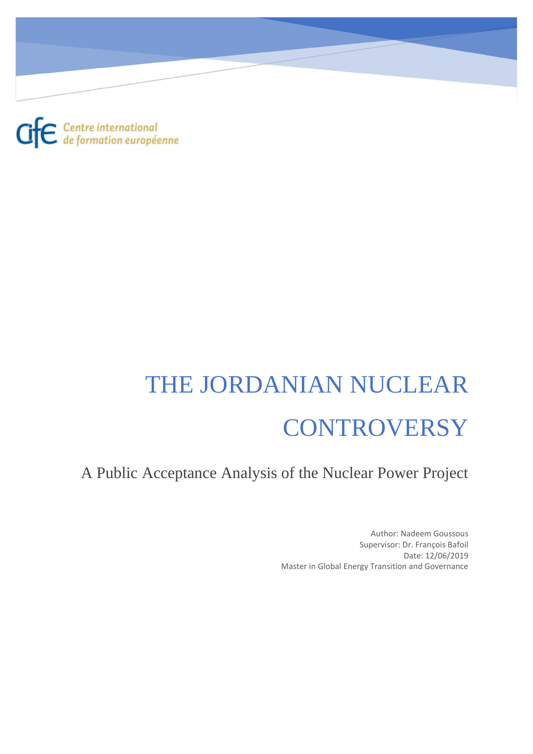$\mathbf{G}$  $\mathbf{E}$  Centre international

# THE JORDANIAN NUCLEAR **CONTROVERSY**

A Public Acceptance Analysis of the Nuclear Power Project

Author: Nadeem Goussous Supervisor: Dr. François Bafoil Date: 12/06/2019 Master in Global Energy Transition and Governance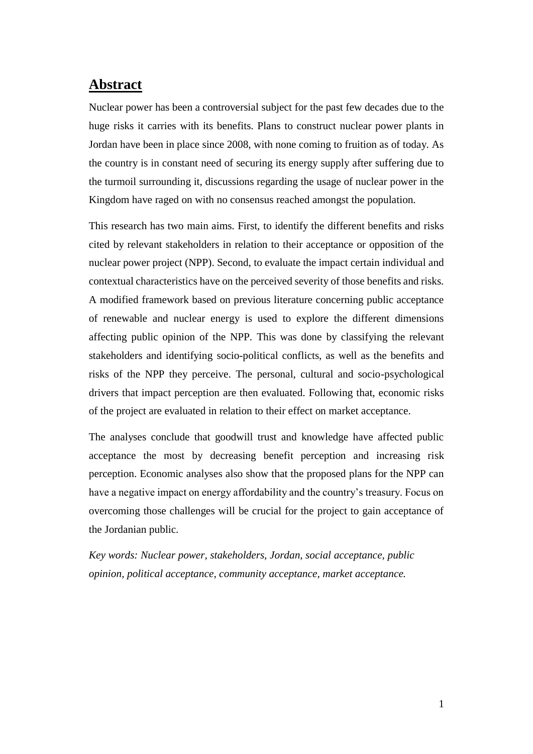## <span id="page-1-0"></span>**Abstract**

Nuclear power has been a controversial subject for the past few decades due to the huge risks it carries with its benefits. Plans to construct nuclear power plants in Jordan have been in place since 2008, with none coming to fruition as of today. As the country is in constant need of securing its energy supply after suffering due to the turmoil surrounding it, discussions regarding the usage of nuclear power in the Kingdom have raged on with no consensus reached amongst the population.

This research has two main aims. First, to identify the different benefits and risks cited by relevant stakeholders in relation to their acceptance or opposition of the nuclear power project (NPP). Second, to evaluate the impact certain individual and contextual characteristics have on the perceived severity of those benefits and risks. A modified framework based on previous literature concerning public acceptance of renewable and nuclear energy is used to explore the different dimensions affecting public opinion of the NPP. This was done by classifying the relevant stakeholders and identifying socio-political conflicts, as well as the benefits and risks of the NPP they perceive. The personal, cultural and socio-psychological drivers that impact perception are then evaluated. Following that, economic risks of the project are evaluated in relation to their effect on market acceptance.

The analyses conclude that goodwill trust and knowledge have affected public acceptance the most by decreasing benefit perception and increasing risk perception. Economic analyses also show that the proposed plans for the NPP can have a negative impact on energy affordability and the country's treasury. Focus on overcoming those challenges will be crucial for the project to gain acceptance of the Jordanian public.

*Key words: Nuclear power, stakeholders, Jordan, social acceptance, public opinion, political acceptance, community acceptance, market acceptance.*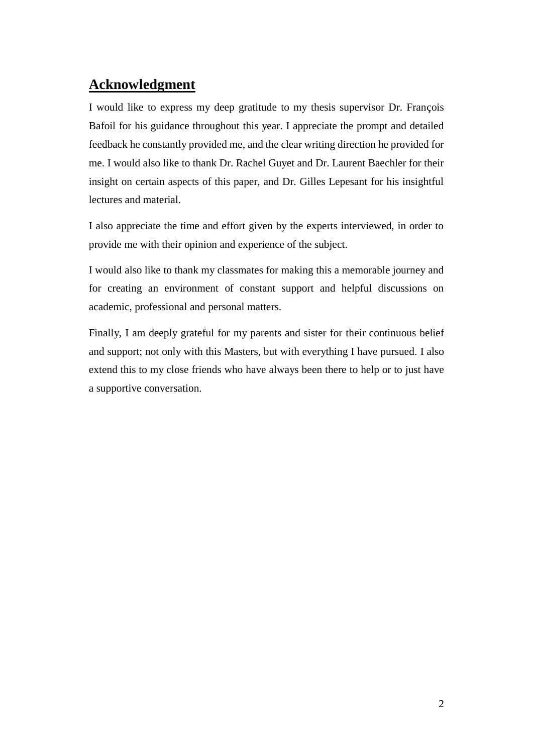# <span id="page-2-0"></span>**Acknowledgment**

I would like to express my deep gratitude to my thesis supervisor Dr. François Bafoil for his guidance throughout this year. I appreciate the prompt and detailed feedback he constantly provided me, and the clear writing direction he provided for me. I would also like to thank Dr. Rachel Guyet and Dr. Laurent Baechler for their insight on certain aspects of this paper, and Dr. Gilles Lepesant for his insightful lectures and material.

I also appreciate the time and effort given by the experts interviewed, in order to provide me with their opinion and experience of the subject.

I would also like to thank my classmates for making this a memorable journey and for creating an environment of constant support and helpful discussions on academic, professional and personal matters.

Finally, I am deeply grateful for my parents and sister for their continuous belief and support; not only with this Masters, but with everything I have pursued. I also extend this to my close friends who have always been there to help or to just have a supportive conversation.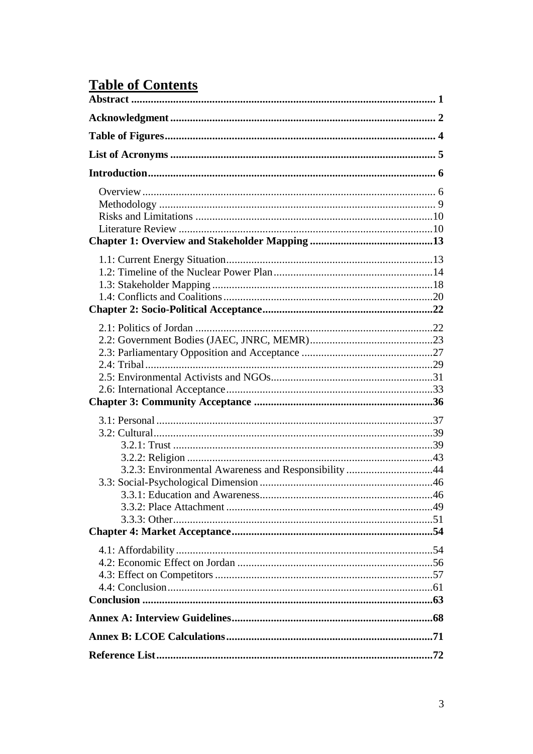# **Table of Contents**

| 3.2.3: Environmental Awareness and Responsibility 44 |  |
|------------------------------------------------------|--|
|                                                      |  |
|                                                      |  |
|                                                      |  |
|                                                      |  |
|                                                      |  |
|                                                      |  |
|                                                      |  |
|                                                      |  |
|                                                      |  |
|                                                      |  |
|                                                      |  |
|                                                      |  |
|                                                      |  |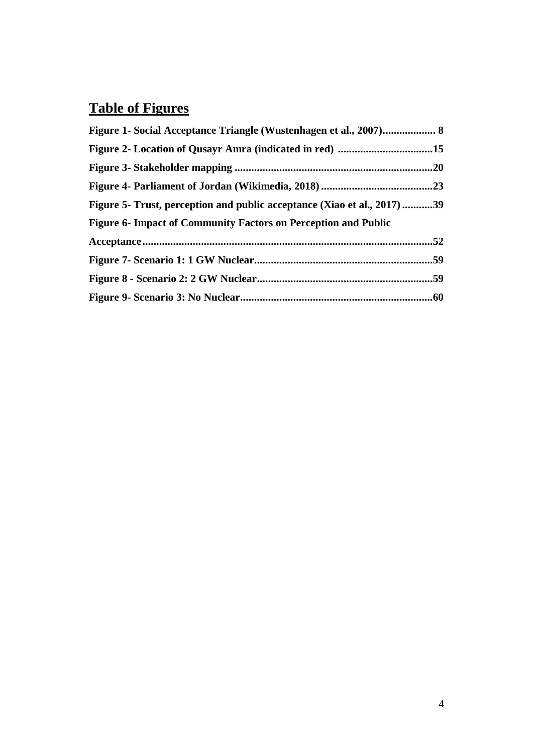# <span id="page-4-0"></span>**Table of Figures**

| Figure 2- Location of Qusayr Amra (indicated in red) 15                  |  |
|--------------------------------------------------------------------------|--|
|                                                                          |  |
|                                                                          |  |
| Figure 5- Trust, perception and public acceptance (Xiao et al., 2017) 39 |  |
| Figure 6- Impact of Community Factors on Perception and Public           |  |
|                                                                          |  |
|                                                                          |  |
|                                                                          |  |
|                                                                          |  |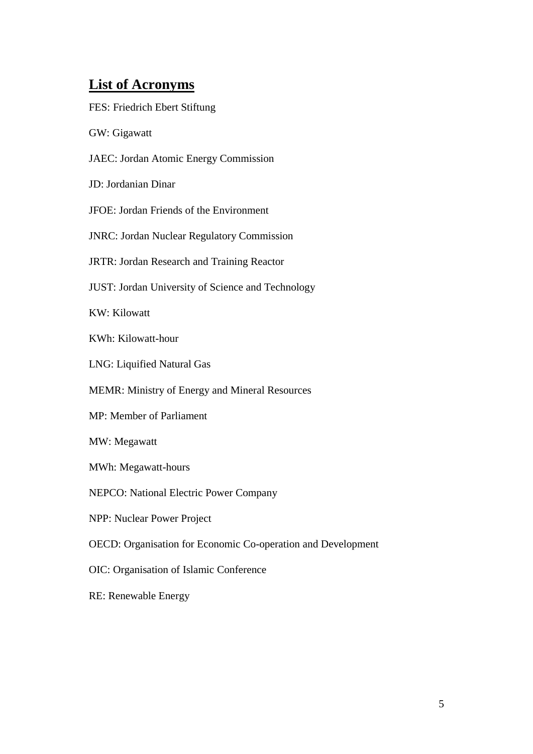# <span id="page-5-0"></span>**List of Acronyms**

| FES: Friedrich Ebert Stiftung                                |
|--------------------------------------------------------------|
| GW: Gigawatt                                                 |
| JAEC: Jordan Atomic Energy Commission                        |
| JD: Jordanian Dinar                                          |
| JFOE: Jordan Friends of the Environment                      |
| <b>JNRC: Jordan Nuclear Regulatory Commission</b>            |
| JRTR: Jordan Research and Training Reactor                   |
| <b>JUST:</b> Jordan University of Science and Technology     |
| <b>KW: Kilowatt</b>                                          |
| KWh: Kilowatt-hour                                           |
| LNG: Liquified Natural Gas                                   |
| MEMR: Ministry of Energy and Mineral Resources               |
| MP: Member of Parliament                                     |
| MW: Megawatt                                                 |
| MWh: Megawatt-hours                                          |
| <b>NEPCO:</b> National Electric Power Company                |
| <b>NPP: Nuclear Power Project</b>                            |
| OECD: Organisation for Economic Co-operation and Development |
| OIC: Organisation of Islamic Conference                      |
| RE: Renewable Energy                                         |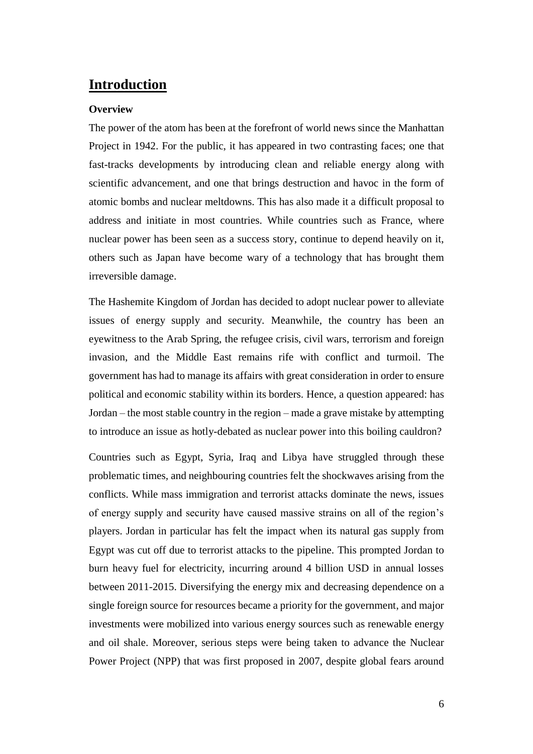## <span id="page-6-0"></span>**Introduction**

#### <span id="page-6-1"></span>**Overview**

The power of the atom has been at the forefront of world news since the Manhattan Project in 1942. For the public, it has appeared in two contrasting faces; one that fast-tracks developments by introducing clean and reliable energy along with scientific advancement, and one that brings destruction and havoc in the form of atomic bombs and nuclear meltdowns. This has also made it a difficult proposal to address and initiate in most countries. While countries such as France, where nuclear power has been seen as a success story, continue to depend heavily on it, others such as Japan have become wary of a technology that has brought them irreversible damage.

The Hashemite Kingdom of Jordan has decided to adopt nuclear power to alleviate issues of energy supply and security. Meanwhile, the country has been an eyewitness to the Arab Spring, the refugee crisis, civil wars, terrorism and foreign invasion, and the Middle East remains rife with conflict and turmoil. The government has had to manage its affairs with great consideration in order to ensure political and economic stability within its borders. Hence, a question appeared: has Jordan – the most stable country in the region – made a grave mistake by attempting to introduce an issue as hotly-debated as nuclear power into this boiling cauldron?

Countries such as Egypt, Syria, Iraq and Libya have struggled through these problematic times, and neighbouring countries felt the shockwaves arising from the conflicts. While mass immigration and terrorist attacks dominate the news, issues of energy supply and security have caused massive strains on all of the region's players. Jordan in particular has felt the impact when its natural gas supply from Egypt was cut off due to terrorist attacks to the pipeline. This prompted Jordan to burn heavy fuel for electricity, incurring around 4 billion USD in annual losses between 2011-2015. Diversifying the energy mix and decreasing dependence on a single foreign source for resources became a priority for the government, and major investments were mobilized into various energy sources such as renewable energy and oil shale. Moreover, serious steps were being taken to advance the Nuclear Power Project (NPP) that was first proposed in 2007, despite global fears around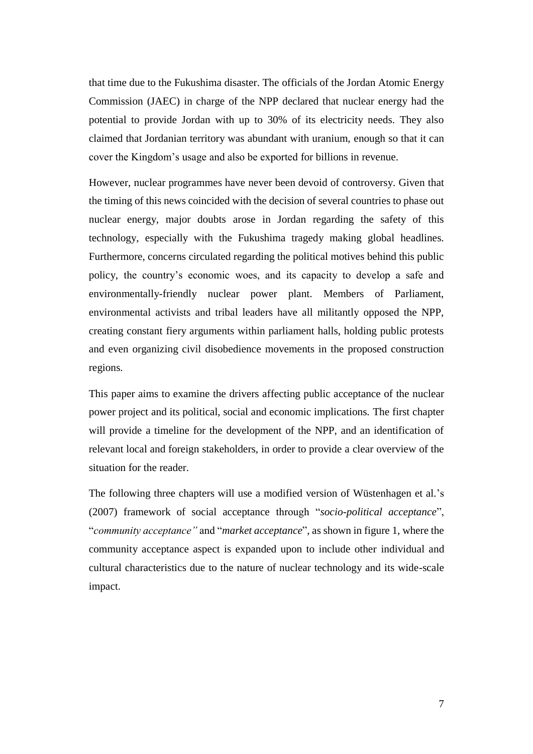that time due to the Fukushima disaster. The officials of the Jordan Atomic Energy Commission (JAEC) in charge of the NPP declared that nuclear energy had the potential to provide Jordan with up to 30% of its electricity needs. They also claimed that Jordanian territory was abundant with uranium, enough so that it can cover the Kingdom's usage and also be exported for billions in revenue.

However, nuclear programmes have never been devoid of controversy. Given that the timing of this news coincided with the decision of several countries to phase out nuclear energy, major doubts arose in Jordan regarding the safety of this technology, especially with the Fukushima tragedy making global headlines. Furthermore, concerns circulated regarding the political motives behind this public policy, the country's economic woes, and its capacity to develop a safe and environmentally-friendly nuclear power plant. Members of Parliament, environmental activists and tribal leaders have all militantly opposed the NPP, creating constant fiery arguments within parliament halls, holding public protests and even organizing civil disobedience movements in the proposed construction regions.

This paper aims to examine the drivers affecting public acceptance of the nuclear power project and its political, social and economic implications. The first chapter will provide a timeline for the development of the NPP, and an identification of relevant local and foreign stakeholders, in order to provide a clear overview of the situation for the reader.

The following three chapters will use a modified version of Wüstenhagen et al.'s (2007) framework of social acceptance through "*socio-political acceptance*", "*community acceptance"* and "*market acceptance*", as shown in figure 1, where the community acceptance aspect is expanded upon to include other individual and cultural characteristics due to the nature of nuclear technology and its wide-scale impact.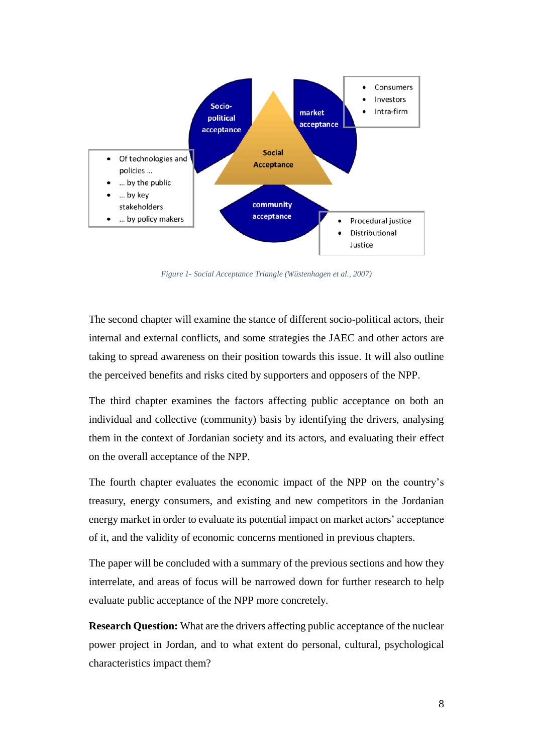

*Figure 1- Social Acceptance Triangle (Wüstenhagen et al., 2007)*

<span id="page-8-0"></span>The second chapter will examine the stance of different socio-political actors, their internal and external conflicts, and some strategies the JAEC and other actors are taking to spread awareness on their position towards this issue. It will also outline the perceived benefits and risks cited by supporters and opposers of the NPP.

The third chapter examines the factors affecting public acceptance on both an individual and collective (community) basis by identifying the drivers, analysing them in the context of Jordanian society and its actors, and evaluating their effect on the overall acceptance of the NPP.

The fourth chapter evaluates the economic impact of the NPP on the country's treasury, energy consumers, and existing and new competitors in the Jordanian energy market in order to evaluate its potential impact on market actors' acceptance of it, and the validity of economic concerns mentioned in previous chapters.

The paper will be concluded with a summary of the previous sections and how they interrelate, and areas of focus will be narrowed down for further research to help evaluate public acceptance of the NPP more concretely.

**Research Question:** What are the drivers affecting public acceptance of the nuclear power project in Jordan, and to what extent do personal, cultural, psychological characteristics impact them?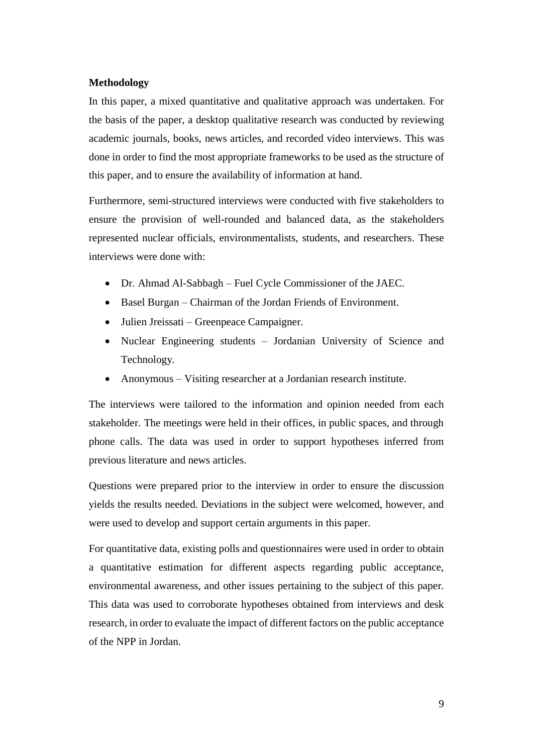#### <span id="page-9-0"></span>**Methodology**

In this paper, a mixed quantitative and qualitative approach was undertaken. For the basis of the paper, a desktop qualitative research was conducted by reviewing academic journals, books, news articles, and recorded video interviews. This was done in order to find the most appropriate frameworks to be used as the structure of this paper, and to ensure the availability of information at hand.

Furthermore, semi-structured interviews were conducted with five stakeholders to ensure the provision of well-rounded and balanced data, as the stakeholders represented nuclear officials, environmentalists, students, and researchers. These interviews were done with:

- Dr. Ahmad Al-Sabbagh Fuel Cycle Commissioner of the JAEC.
- Basel Burgan Chairman of the Jordan Friends of Environment.
- Julien Jreissati Greenpeace Campaigner.
- Nuclear Engineering students Jordanian University of Science and Technology.
- Anonymous Visiting researcher at a Jordanian research institute.

The interviews were tailored to the information and opinion needed from each stakeholder. The meetings were held in their offices, in public spaces, and through phone calls. The data was used in order to support hypotheses inferred from previous literature and news articles.

Questions were prepared prior to the interview in order to ensure the discussion yields the results needed. Deviations in the subject were welcomed, however, and were used to develop and support certain arguments in this paper.

For quantitative data, existing polls and questionnaires were used in order to obtain a quantitative estimation for different aspects regarding public acceptance, environmental awareness, and other issues pertaining to the subject of this paper. This data was used to corroborate hypotheses obtained from interviews and desk research, in order to evaluate the impact of different factors on the public acceptance of the NPP in Jordan.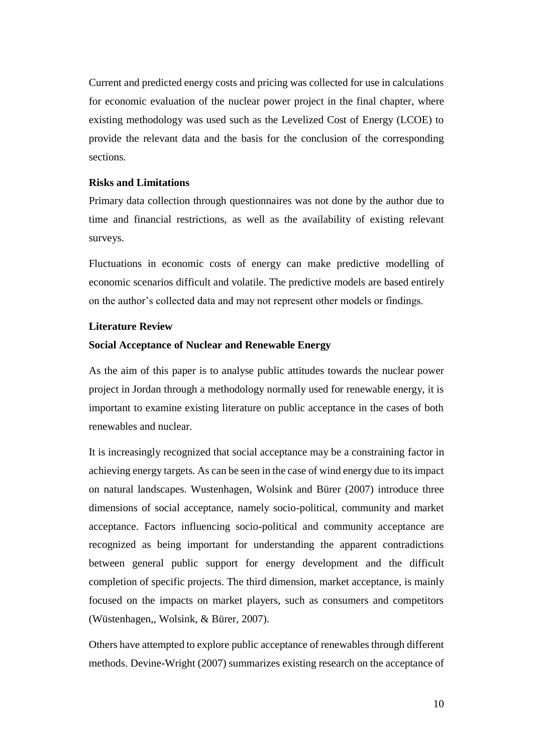Current and predicted energy costs and pricing was collected for use in calculations for economic evaluation of the nuclear power project in the final chapter, where existing methodology was used such as the Levelized Cost of Energy (LCOE) to provide the relevant data and the basis for the conclusion of the corresponding sections.

#### <span id="page-10-0"></span>**Risks and Limitations**

Primary data collection through questionnaires was not done by the author due to time and financial restrictions, as well as the availability of existing relevant surveys.

Fluctuations in economic costs of energy can make predictive modelling of economic scenarios difficult and volatile. The predictive models are based entirely on the author's collected data and may not represent other models or findings.

#### <span id="page-10-1"></span>**Literature Review**

#### **Social Acceptance of Nuclear and Renewable Energy**

As the aim of this paper is to analyse public attitudes towards the nuclear power project in Jordan through a methodology normally used for renewable energy, it is important to examine existing literature on public acceptance in the cases of both renewables and nuclear.

It is increasingly recognized that social acceptance may be a constraining factor in achieving energy targets. As can be seen in the case of wind energy due to its impact on natural landscapes. Wustenhagen, Wolsink and Bürer (2007) introduce three dimensions of social acceptance, namely socio-political, community and market acceptance. Factors influencing socio-political and community acceptance are recognized as being important for understanding the apparent contradictions between general public support for energy development and the difficult completion of specific projects. The third dimension, market acceptance, is mainly focused on the impacts on market players, such as consumers and competitors (Wüstenhagen,, Wolsink, & Bürer, 2007).

Others have attempted to explore public acceptance of renewables through different methods. Devine-Wright (2007) summarizes existing research on the acceptance of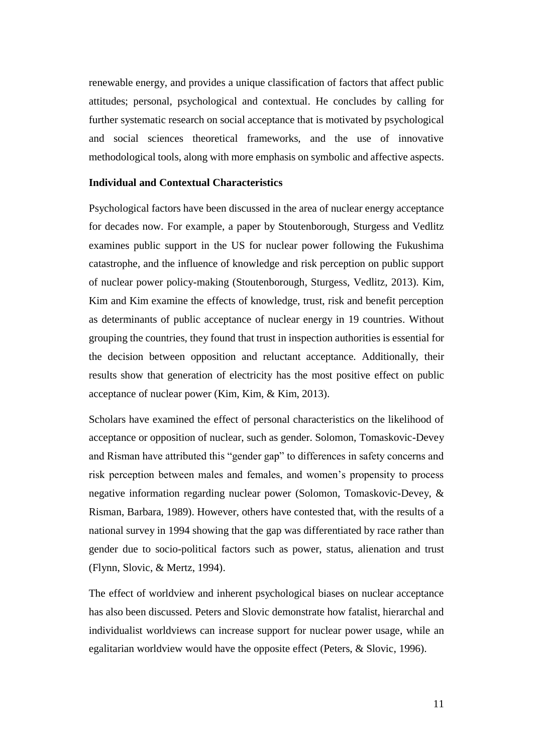renewable energy, and provides a unique classification of factors that affect public attitudes; personal, psychological and contextual. He concludes by calling for further systematic research on social acceptance that is motivated by psychological and social sciences theoretical frameworks, and the use of innovative methodological tools, along with more emphasis on symbolic and affective aspects.

#### **Individual and Contextual Characteristics**

Psychological factors have been discussed in the area of nuclear energy acceptance for decades now. For example, a paper by Stoutenborough, Sturgess and Vedlitz examines public support in the US for nuclear power following the Fukushima catastrophe, and the influence of knowledge and risk perception on public support of nuclear power policy-making (Stoutenborough, Sturgess, Vedlitz, 2013). Kim, Kim and Kim examine the effects of knowledge, trust, risk and benefit perception as determinants of public acceptance of nuclear energy in 19 countries. Without grouping the countries, they found that trust in inspection authorities is essential for the decision between opposition and reluctant acceptance. Additionally, their results show that generation of electricity has the most positive effect on public acceptance of nuclear power (Kim, Kim, & Kim, 2013).

Scholars have examined the effect of personal characteristics on the likelihood of acceptance or opposition of nuclear, such as gender. Solomon, Tomaskovic-Devey and Risman have attributed this "gender gap" to differences in safety concerns and risk perception between males and females, and women's propensity to process negative information regarding nuclear power (Solomon, Tomaskovic-Devey, & Risman, Barbara, 1989). However, others have contested that, with the results of a national survey in 1994 showing that the gap was differentiated by race rather than gender due to socio-political factors such as power, status, alienation and trust (Flynn, Slovic, & Mertz, 1994).

The effect of worldview and inherent psychological biases on nuclear acceptance has also been discussed. Peters and Slovic demonstrate how fatalist, hierarchal and individualist worldviews can increase support for nuclear power usage, while an egalitarian worldview would have the opposite effect (Peters, & Slovic, 1996).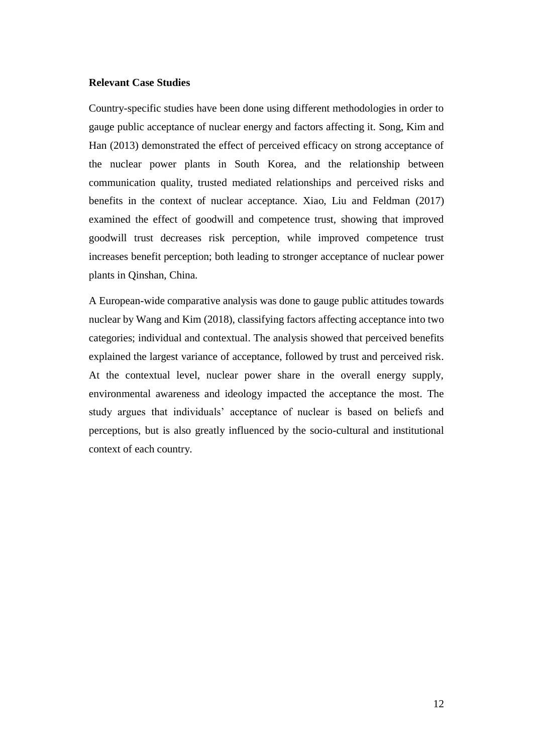#### **Relevant Case Studies**

Country-specific studies have been done using different methodologies in order to gauge public acceptance of nuclear energy and factors affecting it. Song, Kim and Han (2013) demonstrated the effect of perceived efficacy on strong acceptance of the nuclear power plants in South Korea, and the relationship between communication quality, trusted mediated relationships and perceived risks and benefits in the context of nuclear acceptance. Xiao, Liu and Feldman (2017) examined the effect of goodwill and competence trust, showing that improved goodwill trust decreases risk perception, while improved competence trust increases benefit perception; both leading to stronger acceptance of nuclear power plants in Qinshan, China.

A European-wide comparative analysis was done to gauge public attitudes towards nuclear by Wang and Kim (2018), classifying factors affecting acceptance into two categories; individual and contextual. The analysis showed that perceived benefits explained the largest variance of acceptance, followed by trust and perceived risk. At the contextual level, nuclear power share in the overall energy supply, environmental awareness and ideology impacted the acceptance the most. The study argues that individuals' acceptance of nuclear is based on beliefs and perceptions, but is also greatly influenced by the socio-cultural and institutional context of each country.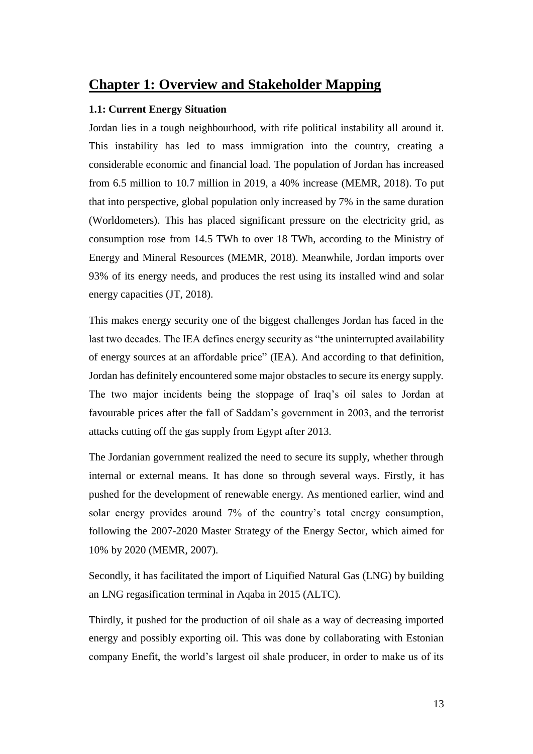## <span id="page-13-0"></span>**Chapter 1: Overview and Stakeholder Mapping**

#### <span id="page-13-1"></span>**1.1: Current Energy Situation**

Jordan lies in a tough neighbourhood, with rife political instability all around it. This instability has led to mass immigration into the country, creating a considerable economic and financial load. The population of Jordan has increased from 6.5 million to 10.7 million in 2019, a 40% increase (MEMR, 2018). To put that into perspective, global population only increased by 7% in the same duration (Worldometers). This has placed significant pressure on the electricity grid, as consumption rose from 14.5 TWh to over 18 TWh, according to the Ministry of Energy and Mineral Resources (MEMR, 2018). Meanwhile, Jordan imports over 93% of its energy needs, and produces the rest using its installed wind and solar energy capacities (JT, 2018).

This makes energy security one of the biggest challenges Jordan has faced in the last two decades. The IEA defines energy security as "the uninterrupted availability of energy sources at an affordable price" (IEA). And according to that definition, Jordan has definitely encountered some major obstacles to secure its energy supply. The two major incidents being the stoppage of Iraq's oil sales to Jordan at favourable prices after the fall of Saddam's government in 2003, and the terrorist attacks cutting off the gas supply from Egypt after 2013.

The Jordanian government realized the need to secure its supply, whether through internal or external means. It has done so through several ways. Firstly, it has pushed for the development of renewable energy. As mentioned earlier, wind and solar energy provides around 7% of the country's total energy consumption, following the 2007-2020 Master Strategy of the Energy Sector, which aimed for 10% by 2020 (MEMR, 2007).

Secondly, it has facilitated the import of Liquified Natural Gas (LNG) by building an LNG regasification terminal in Aqaba in 2015 (ALTC).

Thirdly, it pushed for the production of oil shale as a way of decreasing imported energy and possibly exporting oil. This was done by collaborating with Estonian company Enefit, the world's largest oil shale producer, in order to make us of its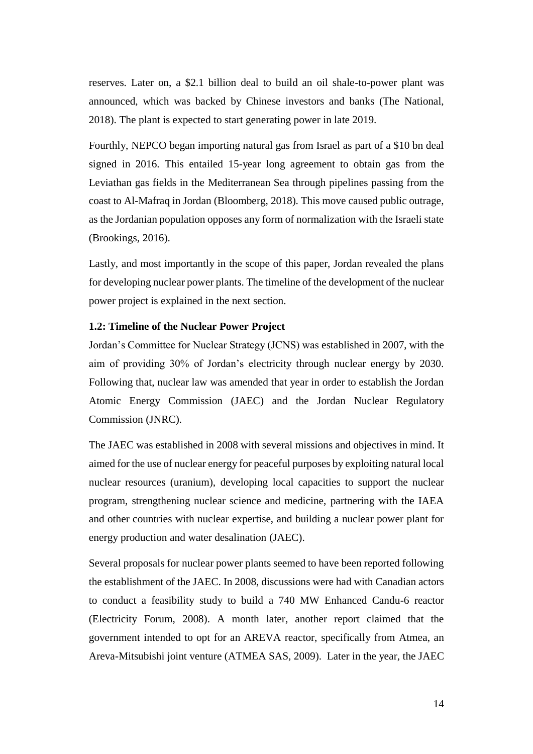reserves. Later on, a \$2.1 billion deal to build an oil shale-to-power plant was announced, which was backed by Chinese investors and banks (The National, 2018). The plant is expected to start generating power in late 2019.

Fourthly, NEPCO began importing natural gas from Israel as part of a \$10 bn deal signed in 2016. This entailed 15-year long agreement to obtain gas from the Leviathan gas fields in the Mediterranean Sea through pipelines passing from the coast to Al-Mafraq in Jordan (Bloomberg, 2018). This move caused public outrage, as the Jordanian population opposes any form of normalization with the Israeli state (Brookings, 2016).

Lastly, and most importantly in the scope of this paper, Jordan revealed the plans for developing nuclear power plants. The timeline of the development of the nuclear power project is explained in the next section.

#### <span id="page-14-0"></span>**1.2: Timeline of the Nuclear Power Project**

Jordan's Committee for Nuclear Strategy (JCNS) was established in 2007, with the aim of providing 30% of Jordan's electricity through nuclear energy by 2030. Following that, nuclear law was amended that year in order to establish the Jordan Atomic Energy Commission (JAEC) and the Jordan Nuclear Regulatory Commission (JNRC).

The JAEC was established in 2008 with several missions and objectives in mind. It aimed for the use of nuclear energy for peaceful purposes by exploiting natural local nuclear resources (uranium), developing local capacities to support the nuclear program, strengthening nuclear science and medicine, partnering with the IAEA and other countries with nuclear expertise, and building a nuclear power plant for energy production and water desalination (JAEC).

Several proposals for nuclear power plants seemed to have been reported following the establishment of the JAEC. In 2008, discussions were had with Canadian actors to conduct a feasibility study to build a 740 MW Enhanced Candu-6 reactor (Electricity Forum, 2008). A month later, another report claimed that the government intended to opt for an AREVA reactor, specifically from Atmea, an Areva-Mitsubishi joint venture (ATMEA SAS, 2009). Later in the year, the JAEC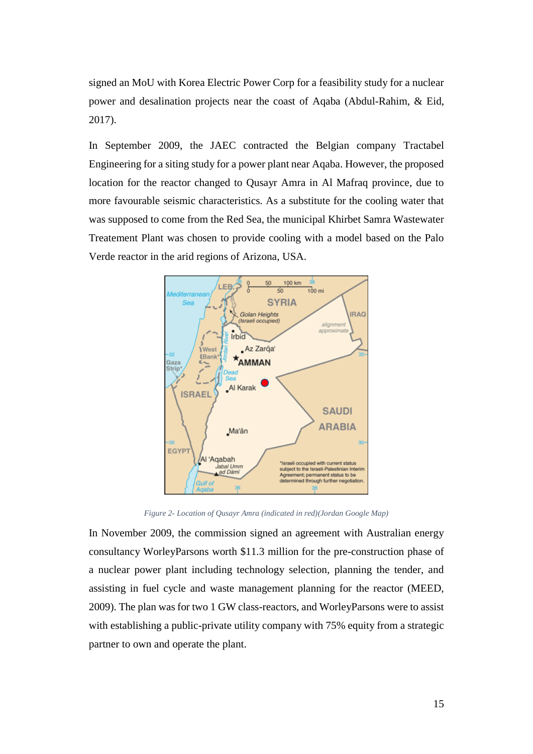signed an MoU with Korea Electric Power Corp for a feasibility study for a nuclear power and desalination projects near the coast of Aqaba (Abdul-Rahim, & Eid, 2017).

In September 2009, the JAEC contracted the Belgian company Tractabel Engineering for a siting study for a power plant near Aqaba. However, the proposed location for the reactor changed to Qusayr Amra in Al Mafraq province, due to more favourable seismic characteristics. As a substitute for the cooling water that was supposed to come from the Red Sea, the municipal Khirbet Samra Wastewater Treatement Plant was chosen to provide cooling with a model based on the Palo Verde reactor in the arid regions of Arizona, USA.



*Figure 2- Location of Qusayr Amra (indicated in red)(Jordan Google Map)*

<span id="page-15-0"></span>In November 2009, the commission signed an agreement with Australian energy consultancy WorleyParsons worth \$11.3 million for the pre-construction phase of a nuclear power plant including technology selection, planning the tender, and assisting in fuel cycle and waste management planning for the reactor (MEED, 2009). The plan was for two 1 GW class-reactors, and WorleyParsons were to assist with establishing a public-private utility company with 75% equity from a strategic partner to own and operate the plant.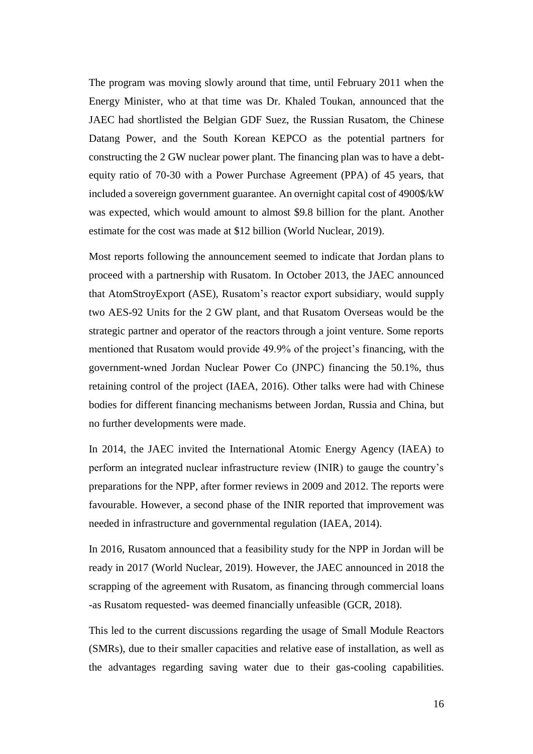The program was moving slowly around that time, until February 2011 when the Energy Minister, who at that time was Dr. Khaled Toukan, announced that the JAEC had shortlisted the Belgian GDF Suez, the Russian Rusatom, the Chinese Datang Power, and the South Korean KEPCO as the potential partners for constructing the 2 GW nuclear power plant. The financing plan was to have a debtequity ratio of 70-30 with a Power Purchase Agreement (PPA) of 45 years, that included a sovereign government guarantee. An overnight capital cost of 4900\$/kW was expected, which would amount to almost \$9.8 billion for the plant. Another estimate for the cost was made at \$12 billion (World Nuclear, 2019).

Most reports following the announcement seemed to indicate that Jordan plans to proceed with a partnership with Rusatom. In October 2013, the JAEC announced that AtomStroyExport (ASE), Rusatom's reactor export subsidiary, would supply two AES-92 Units for the 2 GW plant, and that Rusatom Overseas would be the strategic partner and operator of the reactors through a joint venture. Some reports mentioned that Rusatom would provide 49.9% of the project's financing, with the government-wned Jordan Nuclear Power Co (JNPC) financing the 50.1%, thus retaining control of the project (IAEA, 2016). Other talks were had with Chinese bodies for different financing mechanisms between Jordan, Russia and China, but no further developments were made.

In 2014, the JAEC invited the International Atomic Energy Agency (IAEA) to perform an integrated nuclear infrastructure review (INIR) to gauge the country's preparations for the NPP, after former reviews in 2009 and 2012. The reports were favourable. However, a second phase of the INIR reported that improvement was needed in infrastructure and governmental regulation (IAEA, 2014).

In 2016, Rusatom announced that a feasibility study for the NPP in Jordan will be ready in 2017 (World Nuclear, 2019). However, the JAEC announced in 2018 the scrapping of the agreement with Rusatom, as financing through commercial loans -as Rusatom requested- was deemed financially unfeasible (GCR, 2018).

This led to the current discussions regarding the usage of Small Module Reactors (SMRs), due to their smaller capacities and relative ease of installation, as well as the advantages regarding saving water due to their gas-cooling capabilities.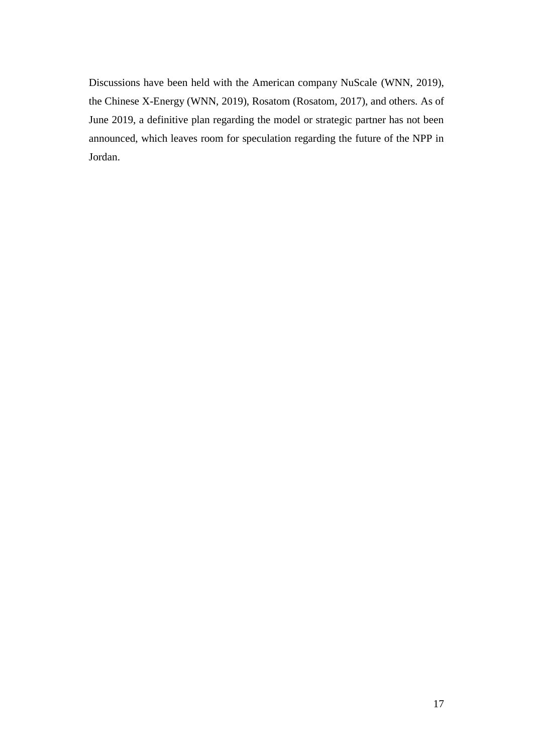Discussions have been held with the American company NuScale (WNN, 2019), the Chinese X-Energy (WNN, 2019), Rosatom (Rosatom, 2017), and others. As of June 2019, a definitive plan regarding the model or strategic partner has not been announced, which leaves room for speculation regarding the future of the NPP in Jordan.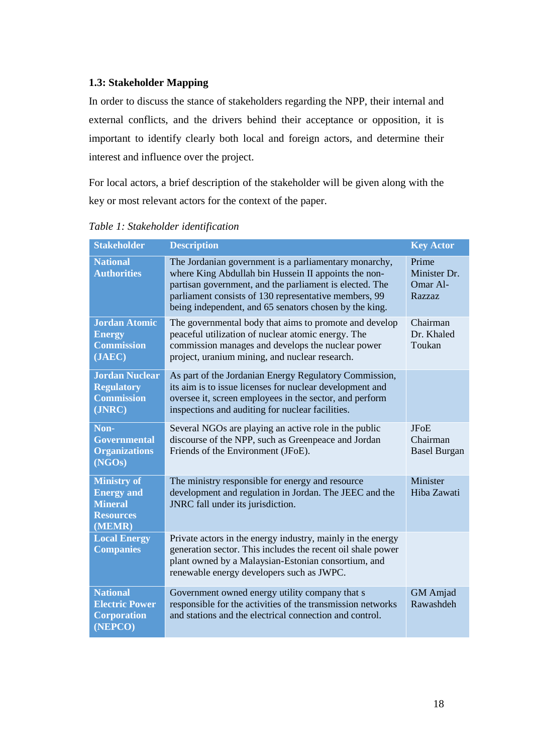#### <span id="page-18-0"></span>**1.3: Stakeholder Mapping**

In order to discuss the stance of stakeholders regarding the NPP, their internal and external conflicts, and the drivers behind their acceptance or opposition, it is important to identify clearly both local and foreign actors, and determine their interest and influence over the project.

For local actors, a brief description of the stakeholder will be given along with the key or most relevant actors for the context of the paper.

| <b>Stakeholder</b>                                                                      | <b>Description</b>                                                                                                                                                                                                                                                                          | <b>Key Actor</b>                               |
|-----------------------------------------------------------------------------------------|---------------------------------------------------------------------------------------------------------------------------------------------------------------------------------------------------------------------------------------------------------------------------------------------|------------------------------------------------|
| <b>National</b><br><b>Authorities</b>                                                   | The Jordanian government is a parliamentary monarchy,<br>where King Abdullah bin Hussein II appoints the non-<br>partisan government, and the parliament is elected. The<br>parliament consists of 130 representative members, 99<br>being independent, and 65 senators chosen by the king. | Prime<br>Minister Dr.<br>Omar Al-<br>Razzaz    |
| <b>Jordan Atomic</b><br><b>Energy</b><br><b>Commission</b><br>(JAEC)                    | The governmental body that aims to promote and develop<br>peaceful utilization of nuclear atomic energy. The<br>commission manages and develops the nuclear power<br>project, uranium mining, and nuclear research.                                                                         | Chairman<br>Dr. Khaled<br>Toukan               |
| <b>Jordan Nuclear</b><br><b>Regulatory</b><br><b>Commission</b><br>(JNRC)               | As part of the Jordanian Energy Regulatory Commission,<br>its aim is to issue licenses for nuclear development and<br>oversee it, screen employees in the sector, and perform<br>inspections and auditing for nuclear facilities.                                                           |                                                |
| Non-<br><b>Governmental</b><br><b>Organizations</b><br>(NGOs)                           | Several NGOs are playing an active role in the public<br>discourse of the NPP, such as Greenpeace and Jordan<br>Friends of the Environment (JFoE).                                                                                                                                          | <b>JFoE</b><br>Chairman<br><b>Basel Burgan</b> |
| <b>Ministry of</b><br><b>Energy and</b><br><b>Mineral</b><br><b>Resources</b><br>(MEMR) | The ministry responsible for energy and resource<br>development and regulation in Jordan. The JEEC and the<br>JNRC fall under its jurisdiction.                                                                                                                                             | Minister<br>Hiba Zawati                        |
| <b>Local Energy</b><br><b>Companies</b>                                                 | Private actors in the energy industry, mainly in the energy<br>generation sector. This includes the recent oil shale power<br>plant owned by a Malaysian-Estonian consortium, and<br>renewable energy developers such as JWPC.                                                              |                                                |
| <b>National</b><br><b>Electric Power</b><br><b>Corporation</b><br>(NEPCO)               | Government owned energy utility company that s<br>responsible for the activities of the transmission networks<br>and stations and the electrical connection and control.                                                                                                                    | <b>GM</b> Amjad<br>Rawashdeh                   |

*Table 1: Stakeholder identification*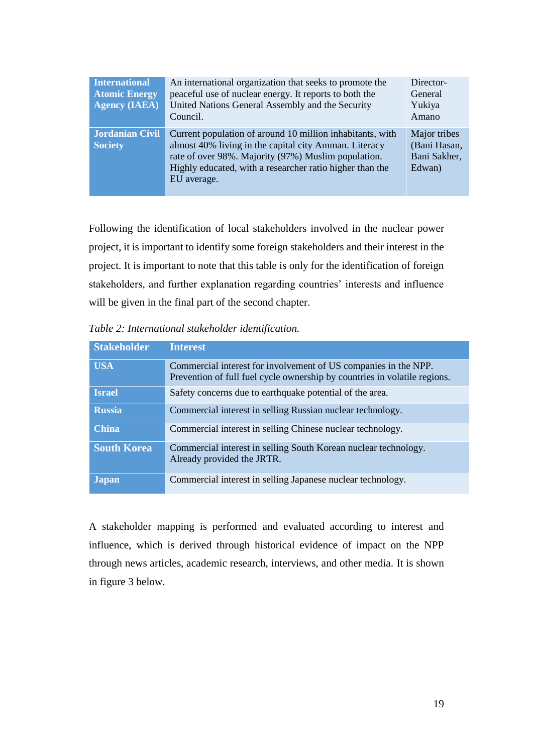| <b>International</b><br><b>Atomic Energy</b><br>Agency (IAEA) | An international organization that seeks to promote the<br>peaceful use of nuclear energy. It reports to both the<br>United Nations General Assembly and the Security<br>Council.                                                                    | Director-<br>General<br>Yukiya<br>Amano                |
|---------------------------------------------------------------|------------------------------------------------------------------------------------------------------------------------------------------------------------------------------------------------------------------------------------------------------|--------------------------------------------------------|
| <b>Jordanian Civil</b><br><b>Society</b>                      | Current population of around 10 million inhabitants, with<br>almost 40% living in the capital city Amman. Literacy<br>rate of over 98%. Majority (97%) Muslim population.<br>Highly educated, with a researcher ratio higher than the<br>EU average. | Major tribes<br>(Bani Hasan,<br>Bani Sakher,<br>Edwan) |

Following the identification of local stakeholders involved in the nuclear power project, it is important to identify some foreign stakeholders and their interest in the project. It is important to note that this table is only for the identification of foreign stakeholders, and further explanation regarding countries' interests and influence will be given in the final part of the second chapter.

*Table 2: International stakeholder identification.*

| <b>Stakeholder</b> | <b>Interest</b>                                                                                                                              |
|--------------------|----------------------------------------------------------------------------------------------------------------------------------------------|
| <b>USA</b>         | Commercial interest for involvement of US companies in the NPP.<br>Prevention of full fuel cycle ownership by countries in volatile regions. |
| <b>Israel</b>      | Safety concerns due to earthquake potential of the area.                                                                                     |
| <b>Russia</b>      | Commercial interest in selling Russian nuclear technology.                                                                                   |
| <b>China</b>       | Commercial interest in selling Chinese nuclear technology.                                                                                   |
| <b>South Korea</b> | Commercial interest in selling South Korean nuclear technology.<br>Already provided the JRTR.                                                |
| <b>Japan</b>       | Commercial interest in selling Japanese nuclear technology.                                                                                  |

A stakeholder mapping is performed and evaluated according to interest and influence, which is derived through historical evidence of impact on the NPP through news articles, academic research, interviews, and other media. It is shown in figure 3 below.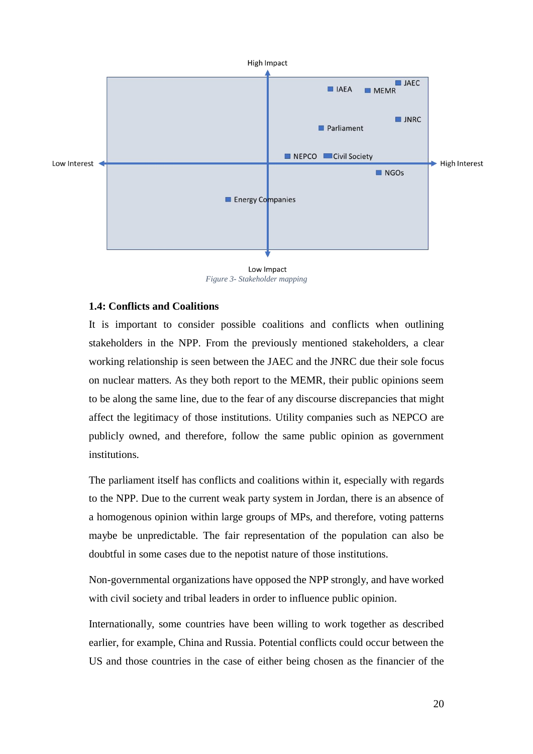

Low Impact *Figure 3- Stakeholder mapping*

#### <span id="page-20-0"></span>**1.4: Conflicts and Coalitions**

It is important to consider possible coalitions and conflicts when outlining stakeholders in the NPP. From the previously mentioned stakeholders, a clear working relationship is seen between the JAEC and the JNRC due their sole focus on nuclear matters. As they both report to the MEMR, their public opinions seem to be along the same line, due to the fear of any discourse discrepancies that might affect the legitimacy of those institutions. Utility companies such as NEPCO are publicly owned, and therefore, follow the same public opinion as government institutions.

The parliament itself has conflicts and coalitions within it, especially with regards to the NPP. Due to the current weak party system in Jordan, there is an absence of a homogenous opinion within large groups of MPs, and therefore, voting patterns maybe be unpredictable. The fair representation of the population can also be doubtful in some cases due to the nepotist nature of those institutions.

Non-governmental organizations have opposed the NPP strongly, and have worked with civil society and tribal leaders in order to influence public opinion.

Internationally, some countries have been willing to work together as described earlier, for example, China and Russia. Potential conflicts could occur between the US and those countries in the case of either being chosen as the financier of the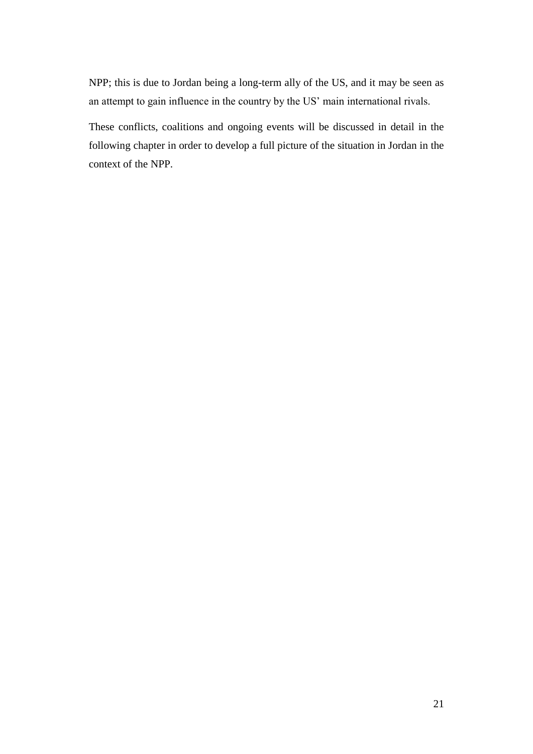NPP; this is due to Jordan being a long-term ally of the US, and it may be seen as an attempt to gain influence in the country by the US' main international rivals.

These conflicts, coalitions and ongoing events will be discussed in detail in the following chapter in order to develop a full picture of the situation in Jordan in the context of the NPP.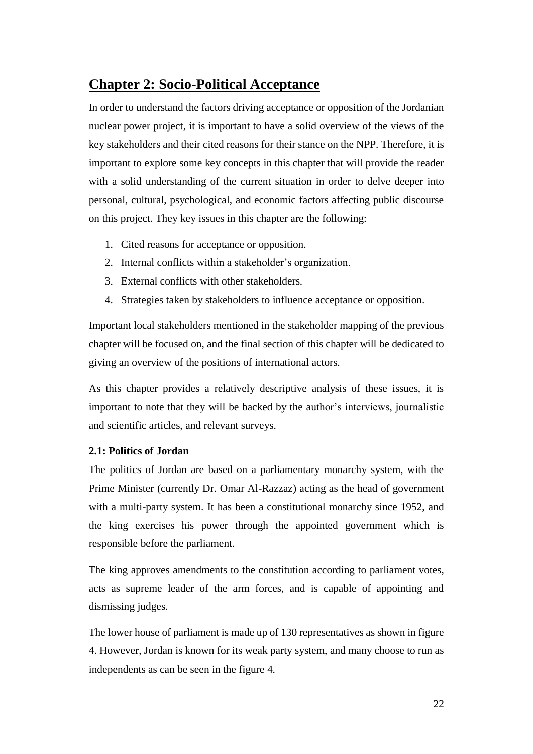## <span id="page-22-0"></span>**Chapter 2: Socio-Political Acceptance**

In order to understand the factors driving acceptance or opposition of the Jordanian nuclear power project, it is important to have a solid overview of the views of the key stakeholders and their cited reasons for their stance on the NPP. Therefore, it is important to explore some key concepts in this chapter that will provide the reader with a solid understanding of the current situation in order to delve deeper into personal, cultural, psychological, and economic factors affecting public discourse on this project. They key issues in this chapter are the following:

- 1. Cited reasons for acceptance or opposition.
- 2. Internal conflicts within a stakeholder's organization.
- 3. External conflicts with other stakeholders.
- 4. Strategies taken by stakeholders to influence acceptance or opposition.

Important local stakeholders mentioned in the stakeholder mapping of the previous chapter will be focused on, and the final section of this chapter will be dedicated to giving an overview of the positions of international actors.

As this chapter provides a relatively descriptive analysis of these issues, it is important to note that they will be backed by the author's interviews, journalistic and scientific articles, and relevant surveys.

#### <span id="page-22-1"></span>**2.1: Politics of Jordan**

The politics of Jordan are based on a parliamentary monarchy system, with the Prime Minister (currently Dr. Omar Al-Razzaz) acting as the head of government with a multi-party system. It has been a constitutional monarchy since 1952, and the king exercises his power through the appointed government which is responsible before the parliament.

The king approves amendments to the constitution according to parliament votes, acts as supreme leader of the arm forces, and is capable of appointing and dismissing judges.

The lower house of parliament is made up of 130 representatives as shown in figure 4. However, Jordan is known for its weak party system, and many choose to run as independents as can be seen in the figure 4.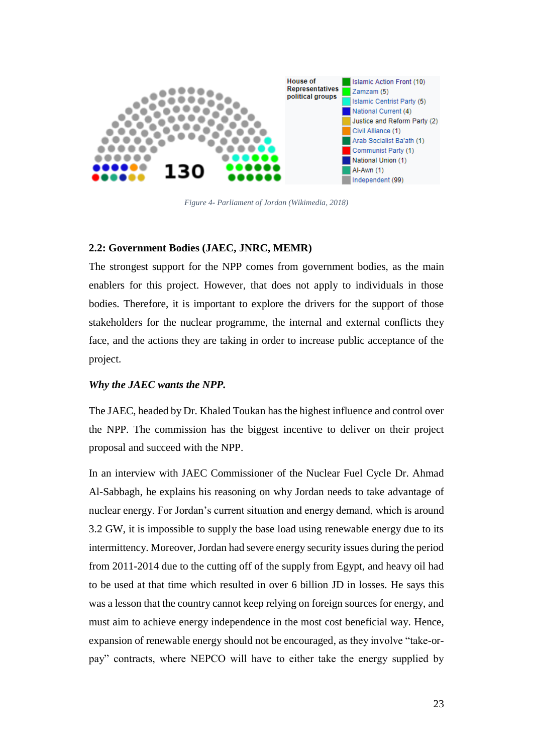

*Figure 4- Parliament of Jordan (Wikimedia, 2018)*

#### <span id="page-23-1"></span><span id="page-23-0"></span>**2.2: Government Bodies (JAEC, JNRC, MEMR)**

The strongest support for the NPP comes from government bodies, as the main enablers for this project. However, that does not apply to individuals in those bodies. Therefore, it is important to explore the drivers for the support of those stakeholders for the nuclear programme, the internal and external conflicts they face, and the actions they are taking in order to increase public acceptance of the project.

#### *Why the JAEC wants the NPP.*

The JAEC, headed by Dr. Khaled Toukan has the highest influence and control over the NPP. The commission has the biggest incentive to deliver on their project proposal and succeed with the NPP.

In an interview with JAEC Commissioner of the Nuclear Fuel Cycle Dr. Ahmad Al-Sabbagh, he explains his reasoning on why Jordan needs to take advantage of nuclear energy. For Jordan's current situation and energy demand, which is around 3.2 GW, it is impossible to supply the base load using renewable energy due to its intermittency. Moreover, Jordan had severe energy security issues during the period from 2011-2014 due to the cutting off of the supply from Egypt, and heavy oil had to be used at that time which resulted in over 6 billion JD in losses. He says this was a lesson that the country cannot keep relying on foreign sources for energy, and must aim to achieve energy independence in the most cost beneficial way. Hence, expansion of renewable energy should not be encouraged, as they involve "take-orpay" contracts, where NEPCO will have to either take the energy supplied by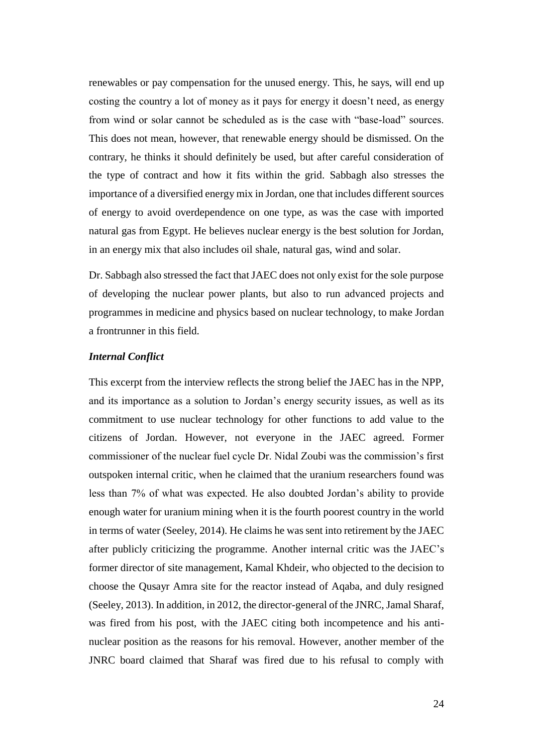renewables or pay compensation for the unused energy. This, he says, will end up costing the country a lot of money as it pays for energy it doesn't need, as energy from wind or solar cannot be scheduled as is the case with "base-load" sources. This does not mean, however, that renewable energy should be dismissed. On the contrary, he thinks it should definitely be used, but after careful consideration of the type of contract and how it fits within the grid. Sabbagh also stresses the importance of a diversified energy mix in Jordan, one that includes different sources of energy to avoid overdependence on one type, as was the case with imported natural gas from Egypt. He believes nuclear energy is the best solution for Jordan, in an energy mix that also includes oil shale, natural gas, wind and solar.

Dr. Sabbagh also stressed the fact that JAEC does not only exist for the sole purpose of developing the nuclear power plants, but also to run advanced projects and programmes in medicine and physics based on nuclear technology, to make Jordan a frontrunner in this field.

#### *Internal Conflict*

This excerpt from the interview reflects the strong belief the JAEC has in the NPP, and its importance as a solution to Jordan's energy security issues, as well as its commitment to use nuclear technology for other functions to add value to the citizens of Jordan. However, not everyone in the JAEC agreed. Former commissioner of the nuclear fuel cycle Dr. Nidal Zoubi was the commission's first outspoken internal critic, when he claimed that the uranium researchers found was less than 7% of what was expected. He also doubted Jordan's ability to provide enough water for uranium mining when it is the fourth poorest country in the world in terms of water (Seeley, 2014). He claims he was sent into retirement by the JAEC after publicly criticizing the programme. Another internal critic was the JAEC's former director of site management, Kamal Khdeir, who objected to the decision to choose the Qusayr Amra site for the reactor instead of Aqaba, and duly resigned (Seeley, 2013). In addition, in 2012, the director-general of the JNRC, Jamal Sharaf, was fired from his post, with the JAEC citing both incompetence and his antinuclear position as the reasons for his removal. However, another member of the JNRC board claimed that Sharaf was fired due to his refusal to comply with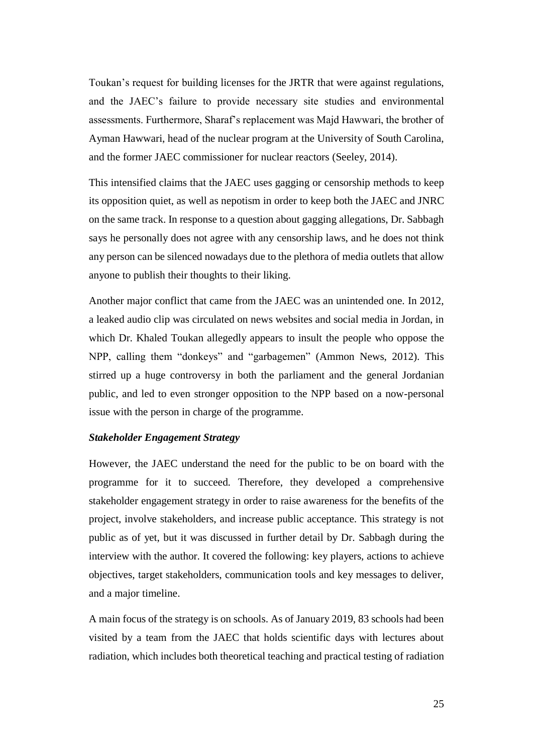Toukan's request for building licenses for the JRTR that were against regulations, and the JAEC's failure to provide necessary site studies and environmental assessments. Furthermore, Sharaf's replacement was Majd Hawwari, the brother of Ayman Hawwari, head of the nuclear program at the University of South Carolina, and the former JAEC commissioner for nuclear reactors (Seeley, 2014).

This intensified claims that the JAEC uses gagging or censorship methods to keep its opposition quiet, as well as nepotism in order to keep both the JAEC and JNRC on the same track. In response to a question about gagging allegations, Dr. Sabbagh says he personally does not agree with any censorship laws, and he does not think any person can be silenced nowadays due to the plethora of media outlets that allow anyone to publish their thoughts to their liking.

Another major conflict that came from the JAEC was an unintended one. In 2012, a leaked audio clip was circulated on news websites and social media in Jordan, in which Dr. Khaled Toukan allegedly appears to insult the people who oppose the NPP, calling them "donkeys" and "garbagemen" (Ammon News, 2012). This stirred up a huge controversy in both the parliament and the general Jordanian public, and led to even stronger opposition to the NPP based on a now-personal issue with the person in charge of the programme.

#### *Stakeholder Engagement Strategy*

However, the JAEC understand the need for the public to be on board with the programme for it to succeed. Therefore, they developed a comprehensive stakeholder engagement strategy in order to raise awareness for the benefits of the project, involve stakeholders, and increase public acceptance. This strategy is not public as of yet, but it was discussed in further detail by Dr. Sabbagh during the interview with the author. It covered the following: key players, actions to achieve objectives, target stakeholders, communication tools and key messages to deliver, and a major timeline.

A main focus of the strategy is on schools. As of January 2019, 83 schools had been visited by a team from the JAEC that holds scientific days with lectures about radiation, which includes both theoretical teaching and practical testing of radiation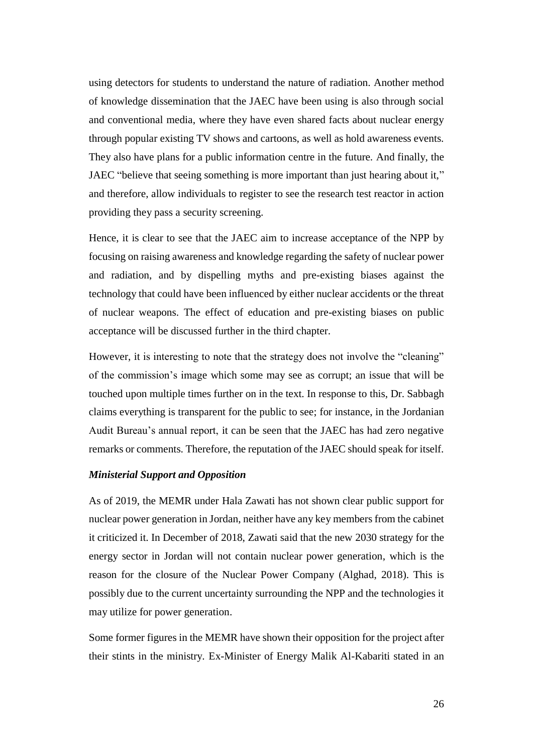using detectors for students to understand the nature of radiation. Another method of knowledge dissemination that the JAEC have been using is also through social and conventional media, where they have even shared facts about nuclear energy through popular existing TV shows and cartoons, as well as hold awareness events. They also have plans for a public information centre in the future. And finally, the JAEC "believe that seeing something is more important than just hearing about it," and therefore, allow individuals to register to see the research test reactor in action providing they pass a security screening.

Hence, it is clear to see that the JAEC aim to increase acceptance of the NPP by focusing on raising awareness and knowledge regarding the safety of nuclear power and radiation, and by dispelling myths and pre-existing biases against the technology that could have been influenced by either nuclear accidents or the threat of nuclear weapons. The effect of education and pre-existing biases on public acceptance will be discussed further in the third chapter.

However, it is interesting to note that the strategy does not involve the "cleaning" of the commission's image which some may see as corrupt; an issue that will be touched upon multiple times further on in the text. In response to this, Dr. Sabbagh claims everything is transparent for the public to see; for instance, in the Jordanian Audit Bureau's annual report, it can be seen that the JAEC has had zero negative remarks or comments. Therefore, the reputation of the JAEC should speak for itself.

#### *Ministerial Support and Opposition*

As of 2019, the MEMR under Hala Zawati has not shown clear public support for nuclear power generation in Jordan, neither have any key members from the cabinet it criticized it. In December of 2018, Zawati said that the new 2030 strategy for the energy sector in Jordan will not contain nuclear power generation, which is the reason for the closure of the Nuclear Power Company (Alghad, 2018). This is possibly due to the current uncertainty surrounding the NPP and the technologies it may utilize for power generation.

Some former figures in the MEMR have shown their opposition for the project after their stints in the ministry. Ex-Minister of Energy Malik Al-Kabariti stated in an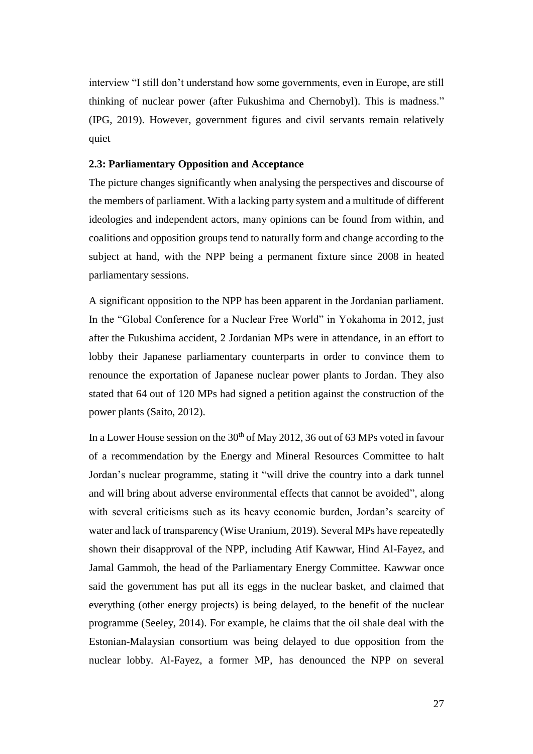interview "I still don't understand how some governments, even in Europe, are still thinking of nuclear power (after Fukushima and Chernobyl). This is madness." (IPG, 2019). However, government figures and civil servants remain relatively quiet

#### <span id="page-27-0"></span>**2.3: Parliamentary Opposition and Acceptance**

The picture changes significantly when analysing the perspectives and discourse of the members of parliament. With a lacking party system and a multitude of different ideologies and independent actors, many opinions can be found from within, and coalitions and opposition groups tend to naturally form and change according to the subject at hand, with the NPP being a permanent fixture since 2008 in heated parliamentary sessions.

A significant opposition to the NPP has been apparent in the Jordanian parliament. In the "Global Conference for a Nuclear Free World" in Yokahoma in 2012, just after the Fukushima accident, 2 Jordanian MPs were in attendance, in an effort to lobby their Japanese parliamentary counterparts in order to convince them to renounce the exportation of Japanese nuclear power plants to Jordan. They also stated that 64 out of 120 MPs had signed a petition against the construction of the power plants (Saito, 2012).

In a Lower House session on the  $30<sup>th</sup>$  of May 2012, 36 out of 63 MPs voted in favour of a recommendation by the Energy and Mineral Resources Committee to halt Jordan's nuclear programme, stating it "will drive the country into a dark tunnel and will bring about adverse environmental effects that cannot be avoided", along with several criticisms such as its heavy economic burden, Jordan's scarcity of water and lack of transparency (Wise Uranium, 2019). Several MPs have repeatedly shown their disapproval of the NPP, including Atif Kawwar, Hind Al-Fayez, and Jamal Gammoh, the head of the Parliamentary Energy Committee. Kawwar once said the government has put all its eggs in the nuclear basket, and claimed that everything (other energy projects) is being delayed, to the benefit of the nuclear programme (Seeley, 2014). For example, he claims that the oil shale deal with the Estonian-Malaysian consortium was being delayed to due opposition from the nuclear lobby. Al-Fayez, a former MP, has denounced the NPP on several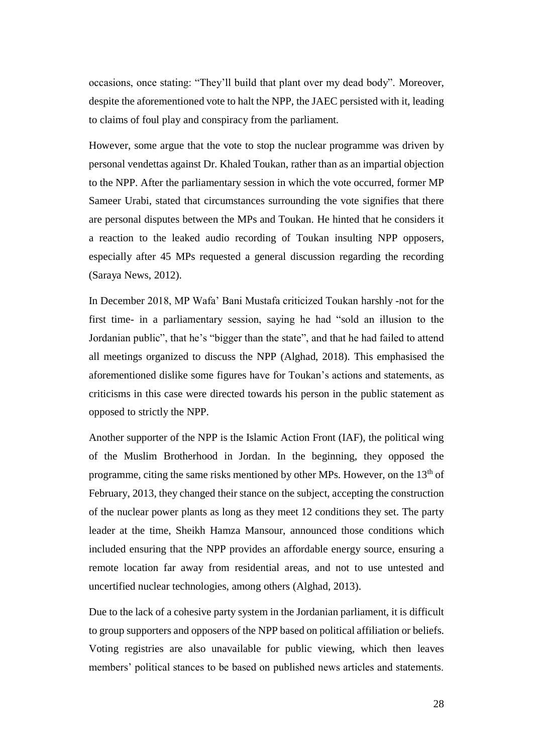occasions, once stating: "They'll build that plant over my dead body". Moreover, despite the aforementioned vote to halt the NPP, the JAEC persisted with it, leading to claims of foul play and conspiracy from the parliament.

However, some argue that the vote to stop the nuclear programme was driven by personal vendettas against Dr. Khaled Toukan, rather than as an impartial objection to the NPP. After the parliamentary session in which the vote occurred, former MP Sameer Urabi, stated that circumstances surrounding the vote signifies that there are personal disputes between the MPs and Toukan. He hinted that he considers it a reaction to the leaked audio recording of Toukan insulting NPP opposers, especially after 45 MPs requested a general discussion regarding the recording (Saraya News, 2012).

In December 2018, MP Wafa' Bani Mustafa criticized Toukan harshly -not for the first time- in a parliamentary session, saying he had "sold an illusion to the Jordanian public", that he's "bigger than the state", and that he had failed to attend all meetings organized to discuss the NPP (Alghad, 2018). This emphasised the aforementioned dislike some figures have for Toukan's actions and statements, as criticisms in this case were directed towards his person in the public statement as opposed to strictly the NPP.

Another supporter of the NPP is the Islamic Action Front (IAF), the political wing of the Muslim Brotherhood in Jordan. In the beginning, they opposed the programme, citing the same risks mentioned by other MPs. However, on the  $13<sup>th</sup>$  of February, 2013, they changed their stance on the subject, accepting the construction of the nuclear power plants as long as they meet 12 conditions they set. The party leader at the time, Sheikh Hamza Mansour, announced those conditions which included ensuring that the NPP provides an affordable energy source, ensuring a remote location far away from residential areas, and not to use untested and uncertified nuclear technologies, among others (Alghad, 2013).

Due to the lack of a cohesive party system in the Jordanian parliament, it is difficult to group supporters and opposers of the NPP based on political affiliation or beliefs. Voting registries are also unavailable for public viewing, which then leaves members' political stances to be based on published news articles and statements.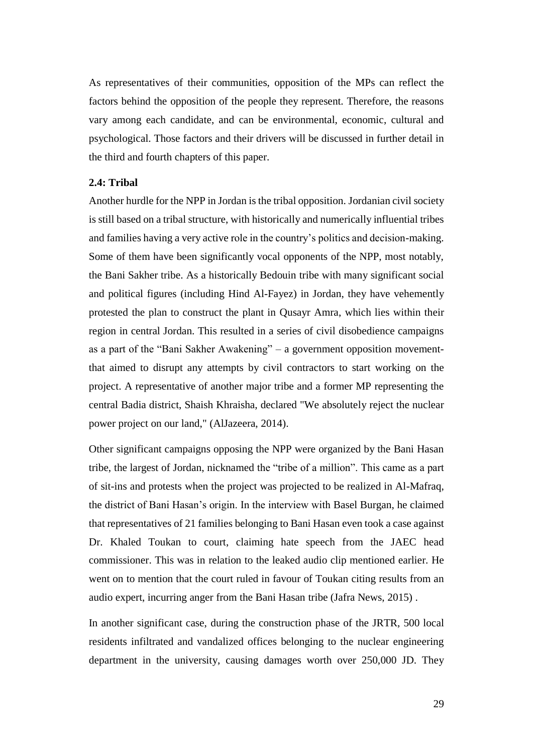As representatives of their communities, opposition of the MPs can reflect the factors behind the opposition of the people they represent. Therefore, the reasons vary among each candidate, and can be environmental, economic, cultural and psychological. Those factors and their drivers will be discussed in further detail in the third and fourth chapters of this paper.

#### <span id="page-29-0"></span>**2.4: Tribal**

Another hurdle for the NPP in Jordan is the tribal opposition. Jordanian civil society is still based on a tribal structure, with historically and numerically influential tribes and families having a very active role in the country's politics and decision-making. Some of them have been significantly vocal opponents of the NPP, most notably, the Bani Sakher tribe. As a historically Bedouin tribe with many significant social and political figures (including Hind Al-Fayez) in Jordan, they have vehemently protested the plan to construct the plant in Qusayr Amra, which lies within their region in central Jordan. This resulted in a series of civil disobedience campaigns as a part of the "Bani Sakher Awakening" – a government opposition movementthat aimed to disrupt any attempts by civil contractors to start working on the project. A representative of another major tribe and a former MP representing the central Badia district, Shaish Khraisha, declared "We absolutely reject the nuclear power project on our land," (AlJazeera, 2014).

Other significant campaigns opposing the NPP were organized by the Bani Hasan tribe, the largest of Jordan, nicknamed the "tribe of a million". This came as a part of sit-ins and protests when the project was projected to be realized in Al-Mafraq, the district of Bani Hasan's origin. In the interview with Basel Burgan, he claimed that representatives of 21 families belonging to Bani Hasan even took a case against Dr. Khaled Toukan to court, claiming hate speech from the JAEC head commissioner. This was in relation to the leaked audio clip mentioned earlier. He went on to mention that the court ruled in favour of Toukan citing results from an audio expert, incurring anger from the Bani Hasan tribe (Jafra News, 2015) .

In another significant case, during the construction phase of the JRTR, 500 local residents infiltrated and vandalized offices belonging to the nuclear engineering department in the university, causing damages worth over 250,000 JD. They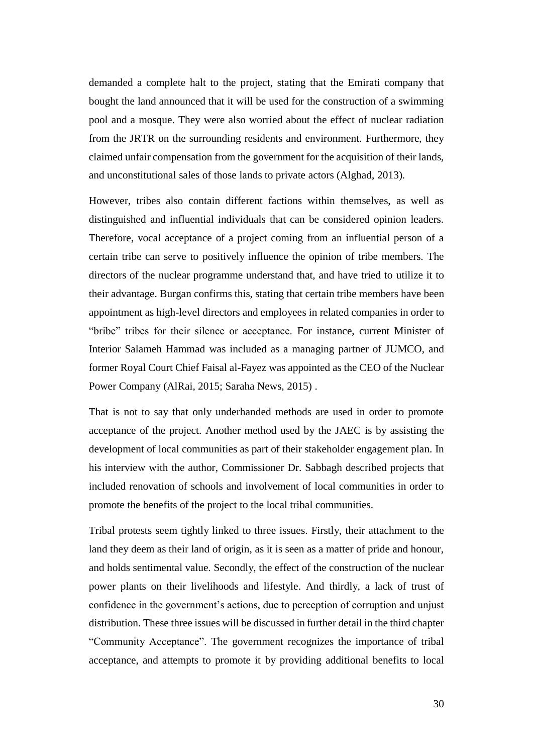demanded a complete halt to the project, stating that the Emirati company that bought the land announced that it will be used for the construction of a swimming pool and a mosque. They were also worried about the effect of nuclear radiation from the JRTR on the surrounding residents and environment. Furthermore, they claimed unfair compensation from the government for the acquisition of their lands, and unconstitutional sales of those lands to private actors (Alghad, 2013).

However, tribes also contain different factions within themselves, as well as distinguished and influential individuals that can be considered opinion leaders. Therefore, vocal acceptance of a project coming from an influential person of a certain tribe can serve to positively influence the opinion of tribe members. The directors of the nuclear programme understand that, and have tried to utilize it to their advantage. Burgan confirms this, stating that certain tribe members have been appointment as high-level directors and employees in related companies in order to "bribe" tribes for their silence or acceptance. For instance, current Minister of Interior Salameh Hammad was included as a managing partner of JUMCO, and former Royal Court Chief Faisal al-Fayez was appointed as the CEO of the Nuclear Power Company (AlRai, 2015; Saraha News, 2015) .

That is not to say that only underhanded methods are used in order to promote acceptance of the project. Another method used by the JAEC is by assisting the development of local communities as part of their stakeholder engagement plan. In his interview with the author, Commissioner Dr. Sabbagh described projects that included renovation of schools and involvement of local communities in order to promote the benefits of the project to the local tribal communities.

Tribal protests seem tightly linked to three issues. Firstly, their attachment to the land they deem as their land of origin, as it is seen as a matter of pride and honour, and holds sentimental value. Secondly, the effect of the construction of the nuclear power plants on their livelihoods and lifestyle. And thirdly, a lack of trust of confidence in the government's actions, due to perception of corruption and unjust distribution. These three issues will be discussed in further detail in the third chapter "Community Acceptance". The government recognizes the importance of tribal acceptance, and attempts to promote it by providing additional benefits to local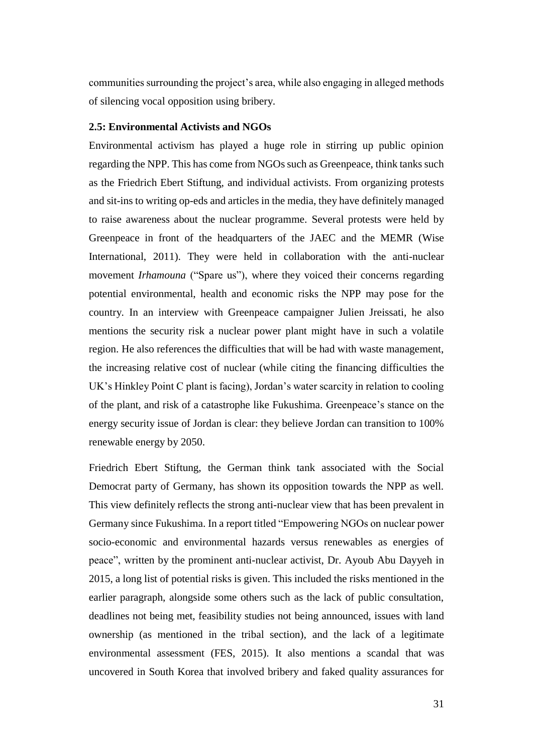communities surrounding the project's area, while also engaging in alleged methods of silencing vocal opposition using bribery.

#### <span id="page-31-0"></span>**2.5: Environmental Activists and NGOs**

Environmental activism has played a huge role in stirring up public opinion regarding the NPP. This has come from NGOs such as Greenpeace, think tanks such as the Friedrich Ebert Stiftung, and individual activists. From organizing protests and sit-ins to writing op-eds and articles in the media, they have definitely managed to raise awareness about the nuclear programme. Several protests were held by Greenpeace in front of the headquarters of the JAEC and the MEMR (Wise International, 2011). They were held in collaboration with the anti-nuclear movement *Irhamouna* ("Spare us"), where they voiced their concerns regarding potential environmental, health and economic risks the NPP may pose for the country. In an interview with Greenpeace campaigner Julien Jreissati, he also mentions the security risk a nuclear power plant might have in such a volatile region. He also references the difficulties that will be had with waste management, the increasing relative cost of nuclear (while citing the financing difficulties the UK's Hinkley Point C plant is facing), Jordan's water scarcity in relation to cooling of the plant, and risk of a catastrophe like Fukushima. Greenpeace's stance on the energy security issue of Jordan is clear: they believe Jordan can transition to 100% renewable energy by 2050.

Friedrich Ebert Stiftung, the German think tank associated with the Social Democrat party of Germany, has shown its opposition towards the NPP as well. This view definitely reflects the strong anti-nuclear view that has been prevalent in Germany since Fukushima. In a report titled "Empowering NGOs on nuclear power socio-economic and environmental hazards versus renewables as energies of peace", written by the prominent anti-nuclear activist, Dr. Ayoub Abu Dayyeh in 2015, a long list of potential risks is given. This included the risks mentioned in the earlier paragraph, alongside some others such as the lack of public consultation, deadlines not being met, feasibility studies not being announced, issues with land ownership (as mentioned in the tribal section), and the lack of a legitimate environmental assessment (FES, 2015). It also mentions a scandal that was uncovered in South Korea that involved bribery and faked quality assurances for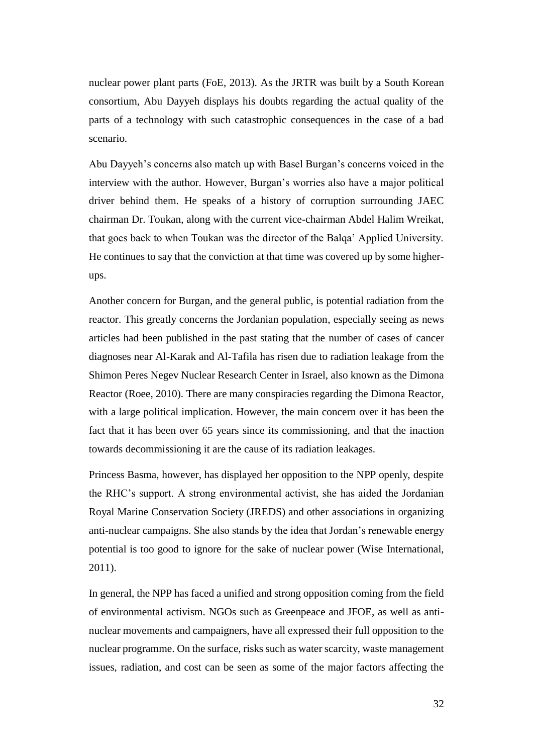nuclear power plant parts (FoE, 2013). As the JRTR was built by a South Korean consortium, Abu Dayyeh displays his doubts regarding the actual quality of the parts of a technology with such catastrophic consequences in the case of a bad scenario.

Abu Dayyeh's concerns also match up with Basel Burgan's concerns voiced in the interview with the author. However, Burgan's worries also have a major political driver behind them. He speaks of a history of corruption surrounding JAEC chairman Dr. Toukan, along with the current vice-chairman Abdel Halim Wreikat, that goes back to when Toukan was the director of the Balqa' Applied University. He continues to say that the conviction at that time was covered up by some higherups.

Another concern for Burgan, and the general public, is potential radiation from the reactor. This greatly concerns the Jordanian population, especially seeing as news articles had been published in the past stating that the number of cases of cancer diagnoses near Al-Karak and Al-Tafila has risen due to radiation leakage from the Shimon Peres Negev Nuclear Research Center in Israel, also known as the Dimona Reactor (Roee, 2010). There are many conspiracies regarding the Dimona Reactor, with a large political implication. However, the main concern over it has been the fact that it has been over 65 years since its commissioning, and that the inaction towards decommissioning it are the cause of its radiation leakages.

Princess Basma, however, has displayed her opposition to the NPP openly, despite the RHC's support. A strong environmental activist, she has aided the Jordanian Royal Marine Conservation Society (JREDS) and other associations in organizing anti-nuclear campaigns. She also stands by the idea that Jordan's renewable energy potential is too good to ignore for the sake of nuclear power (Wise International, 2011).

In general, the NPP has faced a unified and strong opposition coming from the field of environmental activism. NGOs such as Greenpeace and JFOE, as well as antinuclear movements and campaigners, have all expressed their full opposition to the nuclear programme. On the surface, risks such as water scarcity, waste management issues, radiation, and cost can be seen as some of the major factors affecting the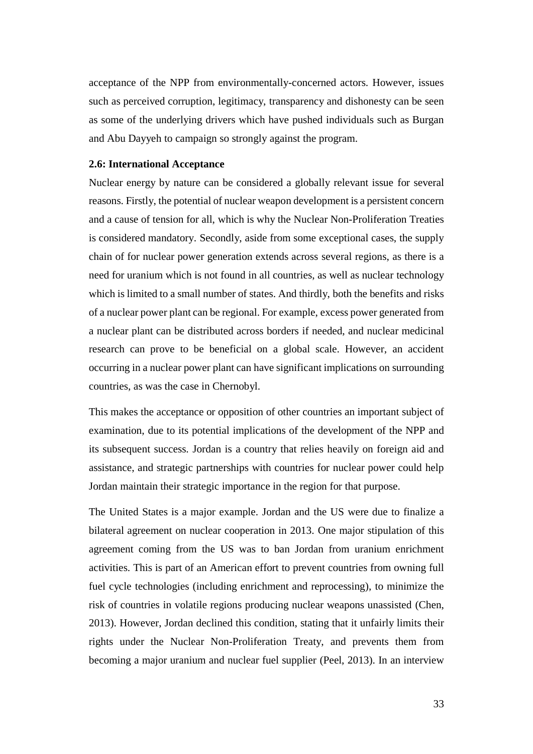acceptance of the NPP from environmentally-concerned actors. However, issues such as perceived corruption, legitimacy, transparency and dishonesty can be seen as some of the underlying drivers which have pushed individuals such as Burgan and Abu Dayyeh to campaign so strongly against the program.

#### <span id="page-33-0"></span>**2.6: International Acceptance**

Nuclear energy by nature can be considered a globally relevant issue for several reasons. Firstly, the potential of nuclear weapon development is a persistent concern and a cause of tension for all, which is why the Nuclear Non-Proliferation Treaties is considered mandatory. Secondly, aside from some exceptional cases, the supply chain of for nuclear power generation extends across several regions, as there is a need for uranium which is not found in all countries, as well as nuclear technology which is limited to a small number of states. And thirdly, both the benefits and risks of a nuclear power plant can be regional. For example, excess power generated from a nuclear plant can be distributed across borders if needed, and nuclear medicinal research can prove to be beneficial on a global scale. However, an accident occurring in a nuclear power plant can have significant implications on surrounding countries, as was the case in Chernobyl.

This makes the acceptance or opposition of other countries an important subject of examination, due to its potential implications of the development of the NPP and its subsequent success. Jordan is a country that relies heavily on foreign aid and assistance, and strategic partnerships with countries for nuclear power could help Jordan maintain their strategic importance in the region for that purpose.

The United States is a major example. Jordan and the US were due to finalize a bilateral agreement on nuclear cooperation in 2013. One major stipulation of this agreement coming from the US was to ban Jordan from uranium enrichment activities. This is part of an American effort to prevent countries from owning full fuel cycle technologies (including enrichment and reprocessing), to minimize the risk of countries in volatile regions producing nuclear weapons unassisted (Chen, 2013). However, Jordan declined this condition, stating that it unfairly limits their rights under the Nuclear Non-Proliferation Treaty, and prevents them from becoming a major uranium and nuclear fuel supplier (Peel, 2013). In an interview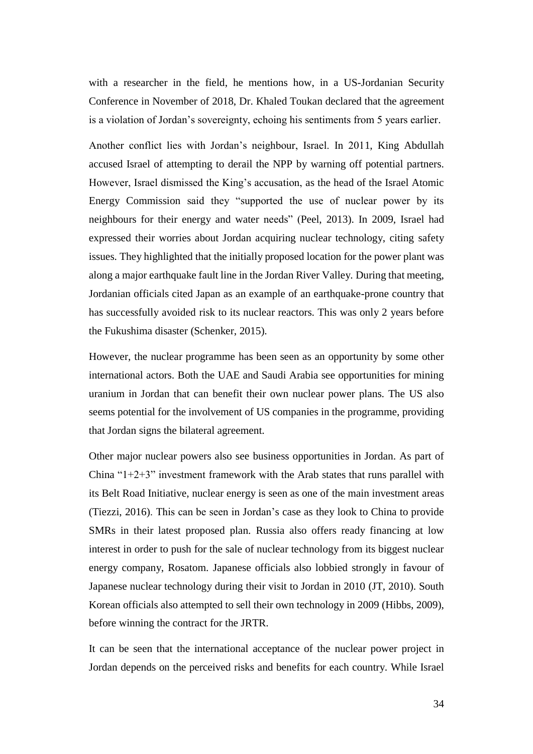with a researcher in the field, he mentions how, in a US-Jordanian Security Conference in November of 2018, Dr. Khaled Toukan declared that the agreement is a violation of Jordan's sovereignty, echoing his sentiments from 5 years earlier.

Another conflict lies with Jordan's neighbour, Israel. In 2011, King Abdullah accused Israel of attempting to derail the NPP by warning off potential partners. However, Israel dismissed the King's accusation, as the head of the Israel Atomic Energy Commission said they "supported the use of nuclear power by its neighbours for their energy and water needs" (Peel, 2013). In 2009, Israel had expressed their worries about Jordan acquiring nuclear technology, citing safety issues. They highlighted that the initially proposed location for the power plant was along a major earthquake fault line in the Jordan River Valley. During that meeting, Jordanian officials cited Japan as an example of an earthquake-prone country that has successfully avoided risk to its nuclear reactors. This was only 2 years before the Fukushima disaster (Schenker, 2015).

However, the nuclear programme has been seen as an opportunity by some other international actors. Both the UAE and Saudi Arabia see opportunities for mining uranium in Jordan that can benefit their own nuclear power plans. The US also seems potential for the involvement of US companies in the programme, providing that Jordan signs the bilateral agreement.

Other major nuclear powers also see business opportunities in Jordan. As part of China " $1+2+3$ " investment framework with the Arab states that runs parallel with its Belt Road Initiative, nuclear energy is seen as one of the main investment areas (Tiezzi, 2016). This can be seen in Jordan's case as they look to China to provide SMRs in their latest proposed plan. Russia also offers ready financing at low interest in order to push for the sale of nuclear technology from its biggest nuclear energy company, Rosatom. Japanese officials also lobbied strongly in favour of Japanese nuclear technology during their visit to Jordan in 2010 (JT, 2010). South Korean officials also attempted to sell their own technology in 2009 (Hibbs, 2009), before winning the contract for the JRTR.

It can be seen that the international acceptance of the nuclear power project in Jordan depends on the perceived risks and benefits for each country. While Israel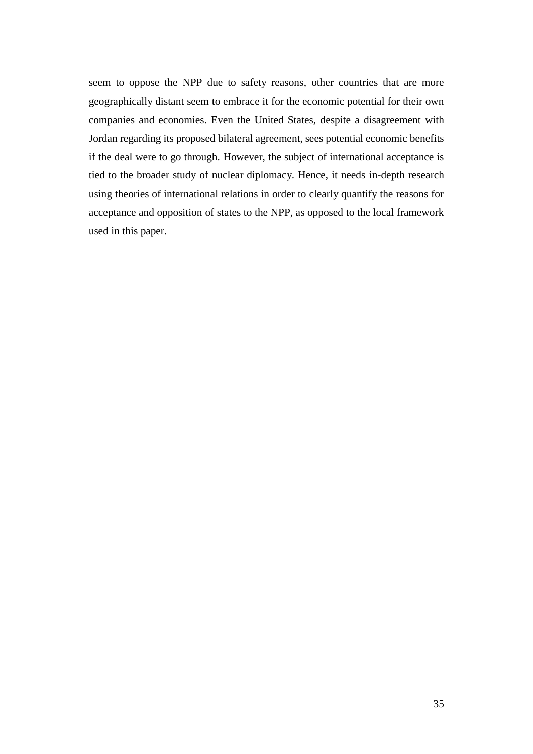seem to oppose the NPP due to safety reasons, other countries that are more geographically distant seem to embrace it for the economic potential for their own companies and economies. Even the United States, despite a disagreement with Jordan regarding its proposed bilateral agreement, sees potential economic benefits if the deal were to go through. However, the subject of international acceptance is tied to the broader study of nuclear diplomacy. Hence, it needs in-depth research using theories of international relations in order to clearly quantify the reasons for acceptance and opposition of states to the NPP, as opposed to the local framework used in this paper.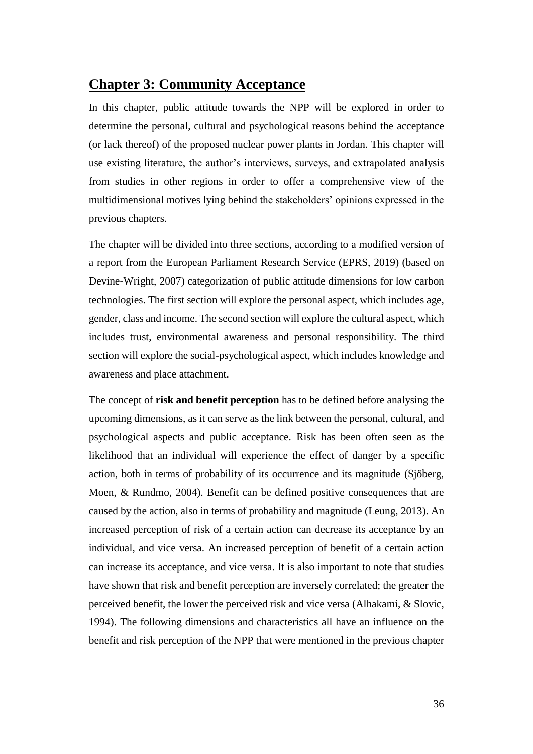## **Chapter 3: Community Acceptance**

In this chapter, public attitude towards the NPP will be explored in order to determine the personal, cultural and psychological reasons behind the acceptance (or lack thereof) of the proposed nuclear power plants in Jordan. This chapter will use existing literature, the author's interviews, surveys, and extrapolated analysis from studies in other regions in order to offer a comprehensive view of the multidimensional motives lying behind the stakeholders' opinions expressed in the previous chapters.

The chapter will be divided into three sections, according to a modified version of a report from the European Parliament Research Service (EPRS, 2019) (based on Devine-Wright, 2007) categorization of public attitude dimensions for low carbon technologies. The first section will explore the personal aspect, which includes age, gender, class and income. The second section will explore the cultural aspect, which includes trust, environmental awareness and personal responsibility. The third section will explore the social-psychological aspect, which includes knowledge and awareness and place attachment.

The concept of **risk and benefit perception** has to be defined before analysing the upcoming dimensions, as it can serve as the link between the personal, cultural, and psychological aspects and public acceptance. Risk has been often seen as the likelihood that an individual will experience the effect of danger by a specific action, both in terms of probability of its occurrence and its magnitude (Sjöberg, Moen, & Rundmo, 2004). Benefit can be defined positive consequences that are caused by the action, also in terms of probability and magnitude (Leung, 2013). An increased perception of risk of a certain action can decrease its acceptance by an individual, and vice versa. An increased perception of benefit of a certain action can increase its acceptance, and vice versa. It is also important to note that studies have shown that risk and benefit perception are inversely correlated; the greater the perceived benefit, the lower the perceived risk and vice versa (Alhakami, & Slovic, 1994). The following dimensions and characteristics all have an influence on the benefit and risk perception of the NPP that were mentioned in the previous chapter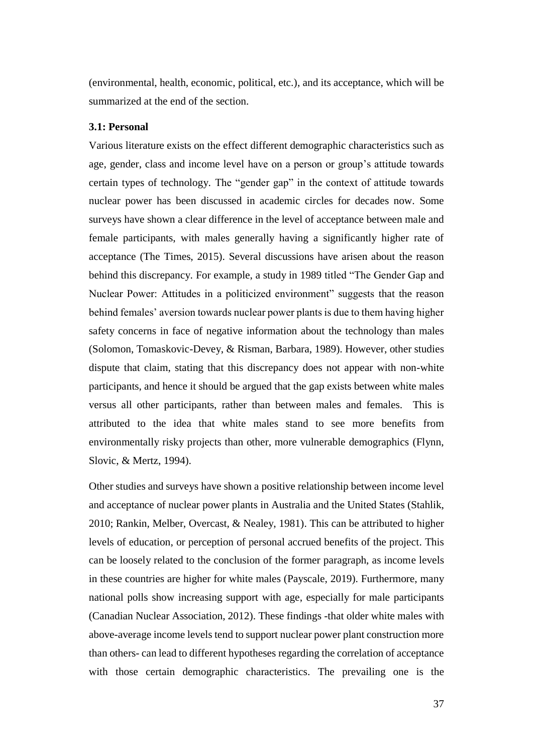(environmental, health, economic, political, etc.), and its acceptance, which will be summarized at the end of the section.

### **3.1: Personal**

Various literature exists on the effect different demographic characteristics such as age, gender, class and income level have on a person or group's attitude towards certain types of technology. The "gender gap" in the context of attitude towards nuclear power has been discussed in academic circles for decades now. Some surveys have shown a clear difference in the level of acceptance between male and female participants, with males generally having a significantly higher rate of acceptance (The Times, 2015). Several discussions have arisen about the reason behind this discrepancy. For example, a study in 1989 titled "The Gender Gap and Nuclear Power: Attitudes in a politicized environment" suggests that the reason behind females' aversion towards nuclear power plants is due to them having higher safety concerns in face of negative information about the technology than males (Solomon, Tomaskovic-Devey, & Risman, Barbara, 1989). However, other studies dispute that claim, stating that this discrepancy does not appear with non-white participants, and hence it should be argued that the gap exists between white males versus all other participants, rather than between males and females. This is attributed to the idea that white males stand to see more benefits from environmentally risky projects than other, more vulnerable demographics (Flynn, Slovic, & Mertz, 1994).

Other studies and surveys have shown a positive relationship between income level and acceptance of nuclear power plants in Australia and the United States (Stahlik, 2010; Rankin, Melber, Overcast, & Nealey, 1981). This can be attributed to higher levels of education, or perception of personal accrued benefits of the project. This can be loosely related to the conclusion of the former paragraph, as income levels in these countries are higher for white males (Payscale, 2019). Furthermore, many national polls show increasing support with age, especially for male participants (Canadian Nuclear Association, 2012). These findings -that older white males with above-average income levels tend to support nuclear power plant construction more than others- can lead to different hypotheses regarding the correlation of acceptance with those certain demographic characteristics. The prevailing one is the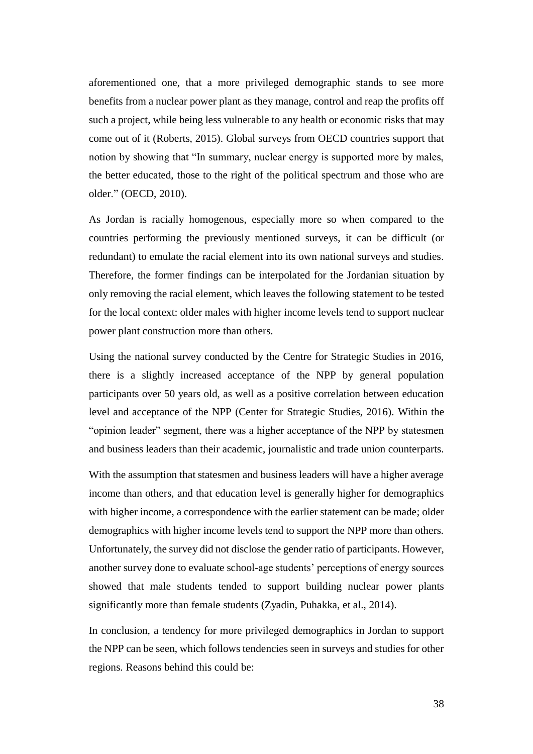aforementioned one, that a more privileged demographic stands to see more benefits from a nuclear power plant as they manage, control and reap the profits off such a project, while being less vulnerable to any health or economic risks that may come out of it (Roberts, 2015). Global surveys from OECD countries support that notion by showing that "In summary, nuclear energy is supported more by males, the better educated, those to the right of the political spectrum and those who are older." (OECD, 2010).

As Jordan is racially homogenous, especially more so when compared to the countries performing the previously mentioned surveys, it can be difficult (or redundant) to emulate the racial element into its own national surveys and studies. Therefore, the former findings can be interpolated for the Jordanian situation by only removing the racial element, which leaves the following statement to be tested for the local context: older males with higher income levels tend to support nuclear power plant construction more than others.

Using the national survey conducted by the Centre for Strategic Studies in 2016, there is a slightly increased acceptance of the NPP by general population participants over 50 years old, as well as a positive correlation between education level and acceptance of the NPP (Center for Strategic Studies, 2016). Within the "opinion leader" segment, there was a higher acceptance of the NPP by statesmen and business leaders than their academic, journalistic and trade union counterparts.

With the assumption that statesmen and business leaders will have a higher average income than others, and that education level is generally higher for demographics with higher income, a correspondence with the earlier statement can be made; older demographics with higher income levels tend to support the NPP more than others. Unfortunately, the survey did not disclose the gender ratio of participants. However, another survey done to evaluate school-age students' perceptions of energy sources showed that male students tended to support building nuclear power plants significantly more than female students (Zyadin, Puhakka, et al., 2014).

In conclusion, a tendency for more privileged demographics in Jordan to support the NPP can be seen, which follows tendencies seen in surveys and studies for other regions. Reasons behind this could be: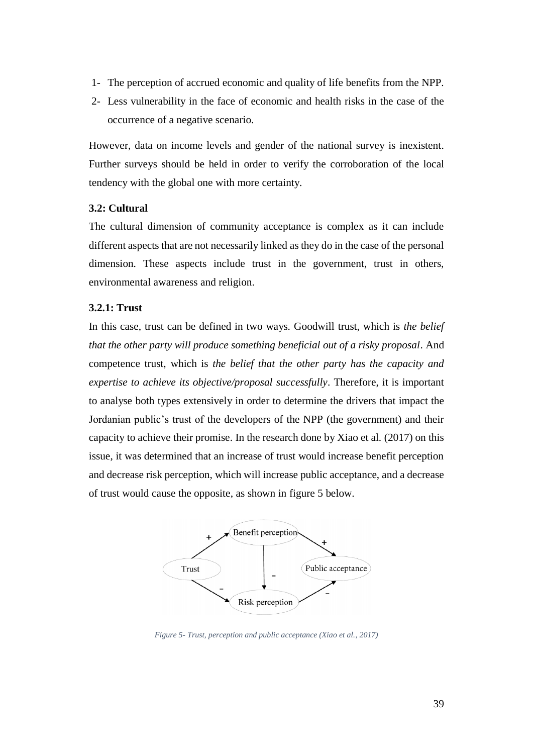- 1- The perception of accrued economic and quality of life benefits from the NPP.
- 2- Less vulnerability in the face of economic and health risks in the case of the occurrence of a negative scenario.

However, data on income levels and gender of the national survey is inexistent. Further surveys should be held in order to verify the corroboration of the local tendency with the global one with more certainty.

### **3.2: Cultural**

The cultural dimension of community acceptance is complex as it can include different aspects that are not necessarily linked as they do in the case of the personal dimension. These aspects include trust in the government, trust in others, environmental awareness and religion.

### **3.2.1: Trust**

In this case, trust can be defined in two ways. Goodwill trust, which is *the belief that the other party will produce something beneficial out of a risky proposal*. And competence trust, which is *the belief that the other party has the capacity and expertise to achieve its objective/proposal successfully*. Therefore, it is important to analyse both types extensively in order to determine the drivers that impact the Jordanian public's trust of the developers of the NPP (the government) and their capacity to achieve their promise. In the research done by Xiao et al. (2017) on this issue, it was determined that an increase of trust would increase benefit perception and decrease risk perception, which will increase public acceptance, and a decrease of trust would cause the opposite, as shown in figure 5 below.



*Figure 5- Trust, perception and public acceptance (Xiao et al., 2017)*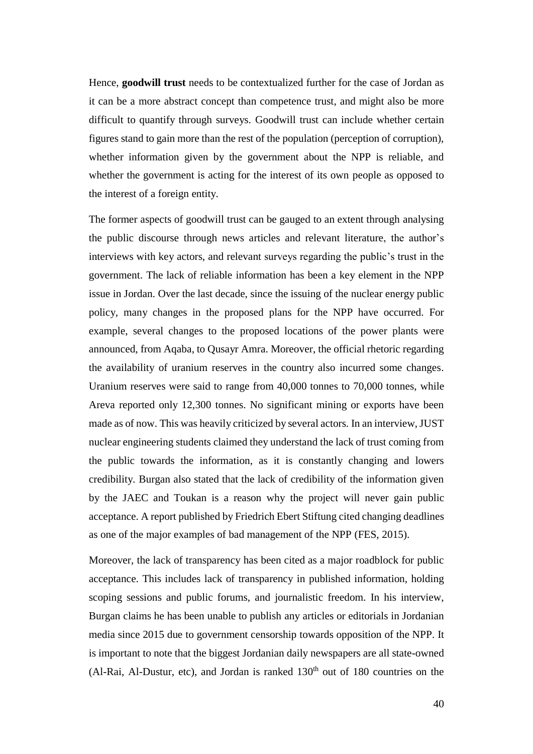Hence, **goodwill trust** needs to be contextualized further for the case of Jordan as it can be a more abstract concept than competence trust, and might also be more difficult to quantify through surveys. Goodwill trust can include whether certain figures stand to gain more than the rest of the population (perception of corruption), whether information given by the government about the NPP is reliable, and whether the government is acting for the interest of its own people as opposed to the interest of a foreign entity.

The former aspects of goodwill trust can be gauged to an extent through analysing the public discourse through news articles and relevant literature, the author's interviews with key actors, and relevant surveys regarding the public's trust in the government. The lack of reliable information has been a key element in the NPP issue in Jordan. Over the last decade, since the issuing of the nuclear energy public policy, many changes in the proposed plans for the NPP have occurred. For example, several changes to the proposed locations of the power plants were announced, from Aqaba, to Qusayr Amra. Moreover, the official rhetoric regarding the availability of uranium reserves in the country also incurred some changes. Uranium reserves were said to range from 40,000 tonnes to 70,000 tonnes, while Areva reported only 12,300 tonnes. No significant mining or exports have been made as of now. This was heavily criticized by several actors. In an interview, JUST nuclear engineering students claimed they understand the lack of trust coming from the public towards the information, as it is constantly changing and lowers credibility. Burgan also stated that the lack of credibility of the information given by the JAEC and Toukan is a reason why the project will never gain public acceptance. A report published by Friedrich Ebert Stiftung cited changing deadlines as one of the major examples of bad management of the NPP (FES, 2015).

Moreover, the lack of transparency has been cited as a major roadblock for public acceptance. This includes lack of transparency in published information, holding scoping sessions and public forums, and journalistic freedom. In his interview, Burgan claims he has been unable to publish any articles or editorials in Jordanian media since 2015 due to government censorship towards opposition of the NPP. It is important to note that the biggest Jordanian daily newspapers are all state-owned (Al-Rai, Al-Dustur, etc), and Jordan is ranked  $130<sup>th</sup>$  out of 180 countries on the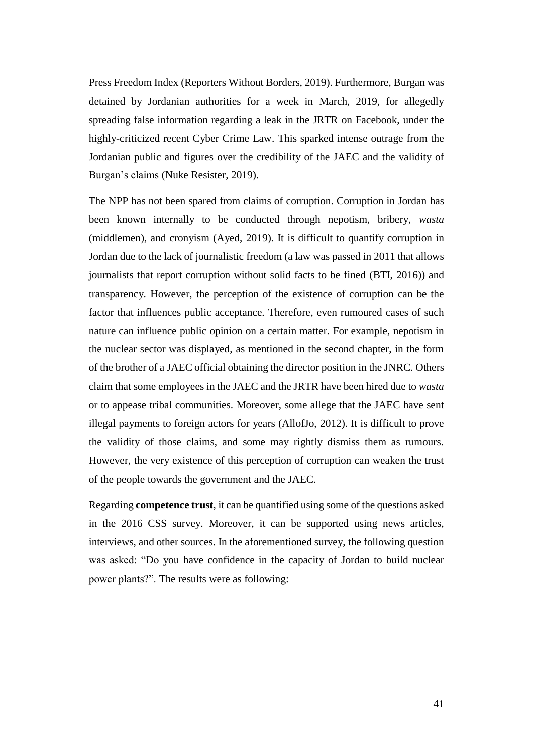Press Freedom Index (Reporters Without Borders, 2019). Furthermore, Burgan was detained by Jordanian authorities for a week in March, 2019, for allegedly spreading false information regarding a leak in the JRTR on Facebook, under the highly-criticized recent Cyber Crime Law. This sparked intense outrage from the Jordanian public and figures over the credibility of the JAEC and the validity of Burgan's claims (Nuke Resister, 2019).

The NPP has not been spared from claims of corruption. Corruption in Jordan has been known internally to be conducted through nepotism, bribery, *wasta*  (middlemen), and cronyism (Ayed, 2019). It is difficult to quantify corruption in Jordan due to the lack of journalistic freedom (a law was passed in 2011 that allows journalists that report corruption without solid facts to be fined (BTI, 2016)) and transparency. However, the perception of the existence of corruption can be the factor that influences public acceptance. Therefore, even rumoured cases of such nature can influence public opinion on a certain matter. For example, nepotism in the nuclear sector was displayed, as mentioned in the second chapter, in the form of the brother of a JAEC official obtaining the director position in the JNRC. Others claim that some employees in the JAEC and the JRTR have been hired due to *wasta* or to appease tribal communities. Moreover, some allege that the JAEC have sent illegal payments to foreign actors for years (AllofJo, 2012). It is difficult to prove the validity of those claims, and some may rightly dismiss them as rumours. However, the very existence of this perception of corruption can weaken the trust of the people towards the government and the JAEC.

Regarding **competence trust**, it can be quantified using some of the questions asked in the 2016 CSS survey. Moreover, it can be supported using news articles, interviews, and other sources. In the aforementioned survey, the following question was asked: "Do you have confidence in the capacity of Jordan to build nuclear power plants?". The results were as following: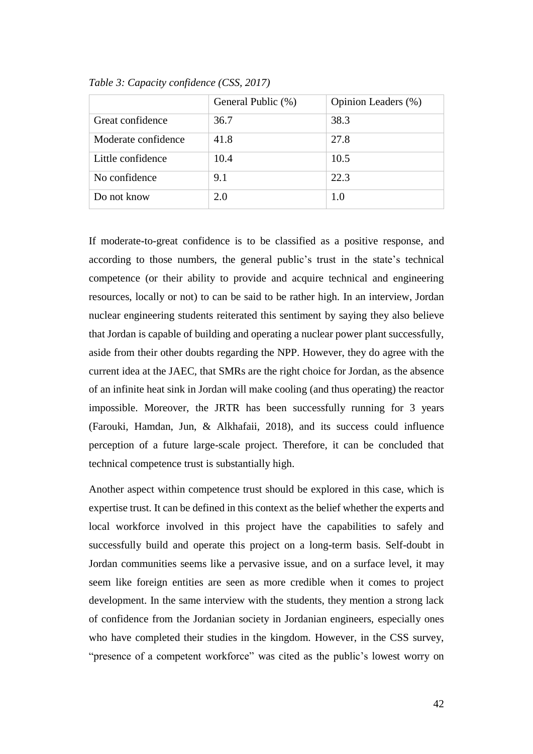|                     | General Public (%) | Opinion Leaders (%) |  |
|---------------------|--------------------|---------------------|--|
| Great confidence    | 36.7               | 38.3                |  |
| Moderate confidence | 41.8               | 27.8                |  |
| Little confidence   | 10.4               | 10.5                |  |
| No confidence       | 9.1                | 22.3                |  |
| Do not know         | 2.0                | 1.0                 |  |

*Table 3: Capacity confidence (CSS, 2017)*

If moderate-to-great confidence is to be classified as a positive response, and according to those numbers, the general public's trust in the state's technical competence (or their ability to provide and acquire technical and engineering resources, locally or not) to can be said to be rather high. In an interview, Jordan nuclear engineering students reiterated this sentiment by saying they also believe that Jordan is capable of building and operating a nuclear power plant successfully, aside from their other doubts regarding the NPP. However, they do agree with the current idea at the JAEC, that SMRs are the right choice for Jordan, as the absence of an infinite heat sink in Jordan will make cooling (and thus operating) the reactor impossible. Moreover, the JRTR has been successfully running for 3 years (Farouki, Hamdan, Jun, & Alkhafaii, 2018), and its success could influence perception of a future large-scale project. Therefore, it can be concluded that technical competence trust is substantially high.

Another aspect within competence trust should be explored in this case, which is expertise trust. It can be defined in this context as the belief whether the experts and local workforce involved in this project have the capabilities to safely and successfully build and operate this project on a long-term basis. Self-doubt in Jordan communities seems like a pervasive issue, and on a surface level, it may seem like foreign entities are seen as more credible when it comes to project development. In the same interview with the students, they mention a strong lack of confidence from the Jordanian society in Jordanian engineers, especially ones who have completed their studies in the kingdom. However, in the CSS survey, "presence of a competent workforce" was cited as the public's lowest worry on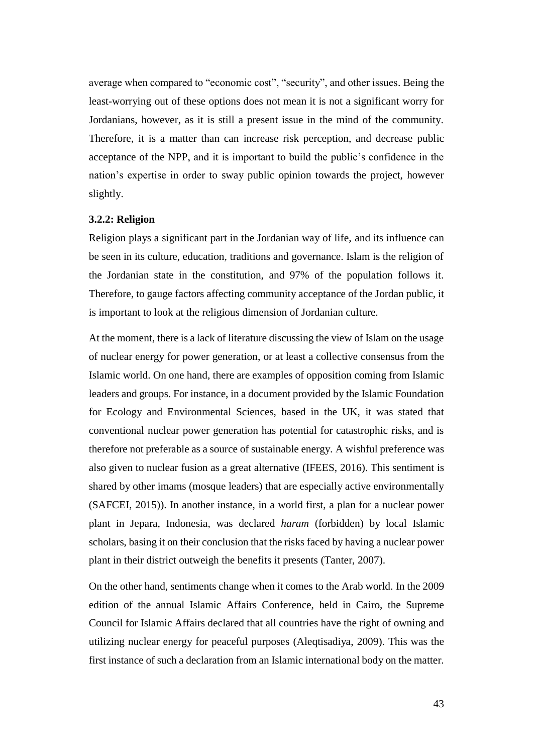average when compared to "economic cost", "security", and other issues. Being the least-worrying out of these options does not mean it is not a significant worry for Jordanians, however, as it is still a present issue in the mind of the community. Therefore, it is a matter than can increase risk perception, and decrease public acceptance of the NPP, and it is important to build the public's confidence in the nation's expertise in order to sway public opinion towards the project, however slightly.

#### **3.2.2: Religion**

Religion plays a significant part in the Jordanian way of life, and its influence can be seen in its culture, education, traditions and governance. Islam is the religion of the Jordanian state in the constitution, and 97% of the population follows it. Therefore, to gauge factors affecting community acceptance of the Jordan public, it is important to look at the religious dimension of Jordanian culture.

At the moment, there is a lack of literature discussing the view of Islam on the usage of nuclear energy for power generation, or at least a collective consensus from the Islamic world. On one hand, there are examples of opposition coming from Islamic leaders and groups. For instance, in a document provided by the Islamic Foundation for Ecology and Environmental Sciences, based in the UK, it was stated that conventional nuclear power generation has potential for catastrophic risks, and is therefore not preferable as a source of sustainable energy. A wishful preference was also given to nuclear fusion as a great alternative (IFEES, 2016). This sentiment is shared by other imams (mosque leaders) that are especially active environmentally (SAFCEI, 2015)). In another instance, in a world first, a plan for a nuclear power plant in Jepara, Indonesia, was declared *haram* (forbidden) by local Islamic scholars, basing it on their conclusion that the risks faced by having a nuclear power plant in their district outweigh the benefits it presents (Tanter, 2007).

On the other hand, sentiments change when it comes to the Arab world. In the 2009 edition of the annual Islamic Affairs Conference, held in Cairo, the Supreme Council for Islamic Affairs declared that all countries have the right of owning and utilizing nuclear energy for peaceful purposes (Aleqtisadiya, 2009). This was the first instance of such a declaration from an Islamic international body on the matter.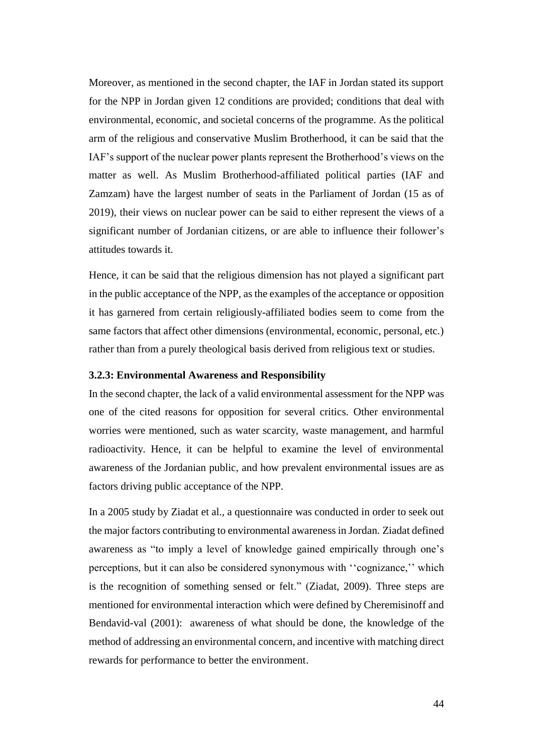Moreover, as mentioned in the second chapter, the IAF in Jordan stated its support for the NPP in Jordan given 12 conditions are provided; conditions that deal with environmental, economic, and societal concerns of the programme. As the political arm of the religious and conservative Muslim Brotherhood, it can be said that the IAF's support of the nuclear power plants represent the Brotherhood's views on the matter as well. As Muslim Brotherhood-affiliated political parties (IAF and Zamzam) have the largest number of seats in the Parliament of Jordan (15 as of 2019), their views on nuclear power can be said to either represent the views of a significant number of Jordanian citizens, or are able to influence their follower's attitudes towards it.

Hence, it can be said that the religious dimension has not played a significant part in the public acceptance of the NPP, as the examples of the acceptance or opposition it has garnered from certain religiously-affiliated bodies seem to come from the same factors that affect other dimensions (environmental, economic, personal, etc.) rather than from a purely theological basis derived from religious text or studies.

#### **3.2.3: Environmental Awareness and Responsibility**

In the second chapter, the lack of a valid environmental assessment for the NPP was one of the cited reasons for opposition for several critics. Other environmental worries were mentioned, such as water scarcity, waste management, and harmful radioactivity. Hence, it can be helpful to examine the level of environmental awareness of the Jordanian public, and how prevalent environmental issues are as factors driving public acceptance of the NPP.

In a 2005 study by Ziadat et al., a questionnaire was conducted in order to seek out the major factors contributing to environmental awareness in Jordan. Ziadat defined awareness as "to imply a level of knowledge gained empirically through one's perceptions, but it can also be considered synonymous with ''cognizance,'' which is the recognition of something sensed or felt." (Ziadat, 2009). Three steps are mentioned for environmental interaction which were defined by Cheremisinoff and Bendavid-val (2001): awareness of what should be done, the knowledge of the method of addressing an environmental concern, and incentive with matching direct rewards for performance to better the environment.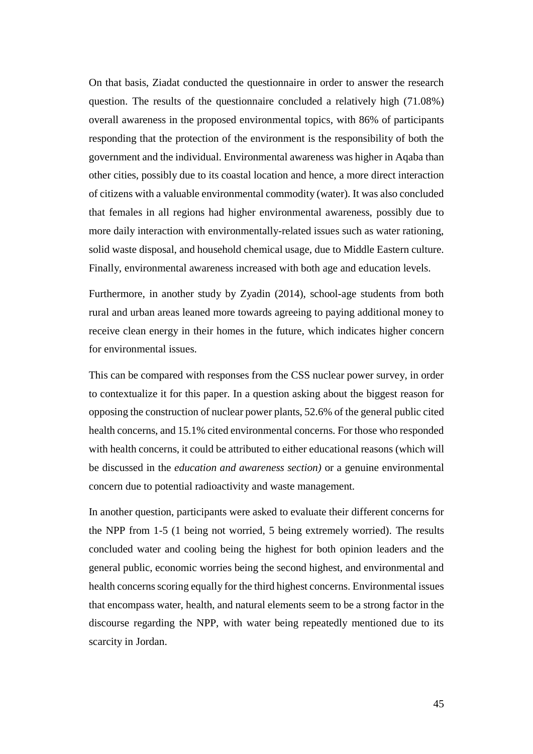On that basis, Ziadat conducted the questionnaire in order to answer the research question. The results of the questionnaire concluded a relatively high (71.08%) overall awareness in the proposed environmental topics, with 86% of participants responding that the protection of the environment is the responsibility of both the government and the individual. Environmental awareness was higher in Aqaba than other cities, possibly due to its coastal location and hence, a more direct interaction of citizens with a valuable environmental commodity (water). It was also concluded that females in all regions had higher environmental awareness, possibly due to more daily interaction with environmentally-related issues such as water rationing, solid waste disposal, and household chemical usage, due to Middle Eastern culture. Finally, environmental awareness increased with both age and education levels.

Furthermore, in another study by Zyadin (2014), school-age students from both rural and urban areas leaned more towards agreeing to paying additional money to receive clean energy in their homes in the future, which indicates higher concern for environmental issues.

This can be compared with responses from the CSS nuclear power survey, in order to contextualize it for this paper. In a question asking about the biggest reason for opposing the construction of nuclear power plants, 52.6% of the general public cited health concerns, and 15.1% cited environmental concerns. For those who responded with health concerns, it could be attributed to either educational reasons (which will be discussed in the *education and awareness section)* or a genuine environmental concern due to potential radioactivity and waste management.

In another question, participants were asked to evaluate their different concerns for the NPP from 1-5 (1 being not worried, 5 being extremely worried). The results concluded water and cooling being the highest for both opinion leaders and the general public, economic worries being the second highest, and environmental and health concerns scoring equally for the third highest concerns. Environmental issues that encompass water, health, and natural elements seem to be a strong factor in the discourse regarding the NPP, with water being repeatedly mentioned due to its scarcity in Jordan.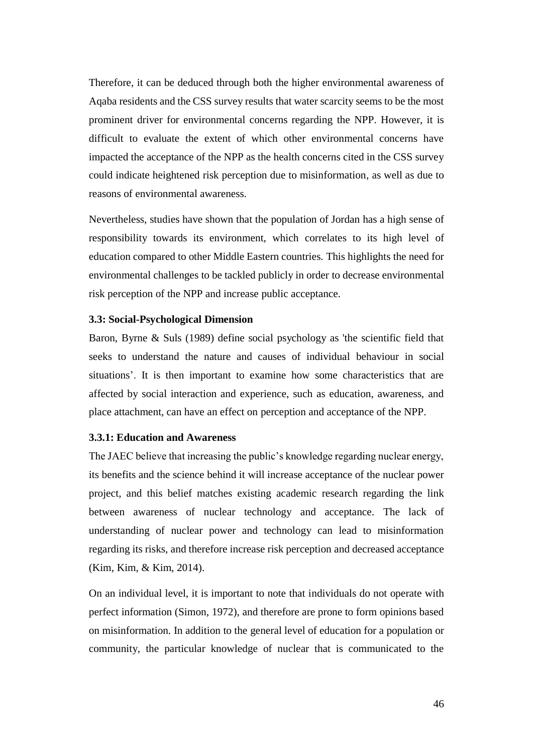Therefore, it can be deduced through both the higher environmental awareness of Aqaba residents and the CSS survey results that water scarcity seems to be the most prominent driver for environmental concerns regarding the NPP. However, it is difficult to evaluate the extent of which other environmental concerns have impacted the acceptance of the NPP as the health concerns cited in the CSS survey could indicate heightened risk perception due to misinformation, as well as due to reasons of environmental awareness.

Nevertheless, studies have shown that the population of Jordan has a high sense of responsibility towards its environment, which correlates to its high level of education compared to other Middle Eastern countries. This highlights the need for environmental challenges to be tackled publicly in order to decrease environmental risk perception of the NPP and increase public acceptance.

### **3.3: Social-Psychological Dimension**

Baron, Byrne & Suls (1989) define social psychology as 'the scientific field that seeks to understand the nature and causes of individual behaviour in social situations'. It is then important to examine how some characteristics that are affected by social interaction and experience, such as education, awareness, and place attachment, can have an effect on perception and acceptance of the NPP.

### **3.3.1: Education and Awareness**

The JAEC believe that increasing the public's knowledge regarding nuclear energy, its benefits and the science behind it will increase acceptance of the nuclear power project, and this belief matches existing academic research regarding the link between awareness of nuclear technology and acceptance. The lack of understanding of nuclear power and technology can lead to misinformation regarding its risks, and therefore increase risk perception and decreased acceptance (Kim, Kim, & Kim, 2014).

On an individual level, it is important to note that individuals do not operate with perfect information (Simon, 1972), and therefore are prone to form opinions based on misinformation. In addition to the general level of education for a population or community, the particular knowledge of nuclear that is communicated to the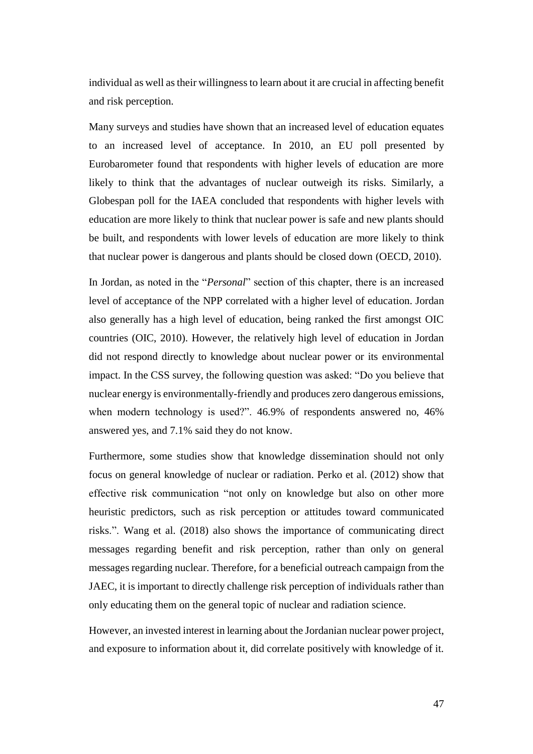individual as well as their willingness to learn about it are crucial in affecting benefit and risk perception.

Many surveys and studies have shown that an increased level of education equates to an increased level of acceptance. In 2010, an EU poll presented by Eurobarometer found that respondents with higher levels of education are more likely to think that the advantages of nuclear outweigh its risks. Similarly, a Globespan poll for the IAEA concluded that respondents with higher levels with education are more likely to think that nuclear power is safe and new plants should be built, and respondents with lower levels of education are more likely to think that nuclear power is dangerous and plants should be closed down (OECD, 2010).

In Jordan, as noted in the "*Personal*" section of this chapter, there is an increased level of acceptance of the NPP correlated with a higher level of education. Jordan also generally has a high level of education, being ranked the first amongst OIC countries (OIC, 2010). However, the relatively high level of education in Jordan did not respond directly to knowledge about nuclear power or its environmental impact. In the CSS survey, the following question was asked: "Do you believe that nuclear energy is environmentally-friendly and produces zero dangerous emissions, when modern technology is used?". 46.9% of respondents answered no, 46% answered yes, and 7.1% said they do not know.

Furthermore, some studies show that knowledge dissemination should not only focus on general knowledge of nuclear or radiation. Perko et al. (2012) show that effective risk communication "not only on knowledge but also on other more heuristic predictors, such as risk perception or attitudes toward communicated risks.". Wang et al. (2018) also shows the importance of communicating direct messages regarding benefit and risk perception, rather than only on general messages regarding nuclear. Therefore, for a beneficial outreach campaign from the JAEC, it is important to directly challenge risk perception of individuals rather than only educating them on the general topic of nuclear and radiation science.

However, an invested interest in learning about the Jordanian nuclear power project, and exposure to information about it, did correlate positively with knowledge of it.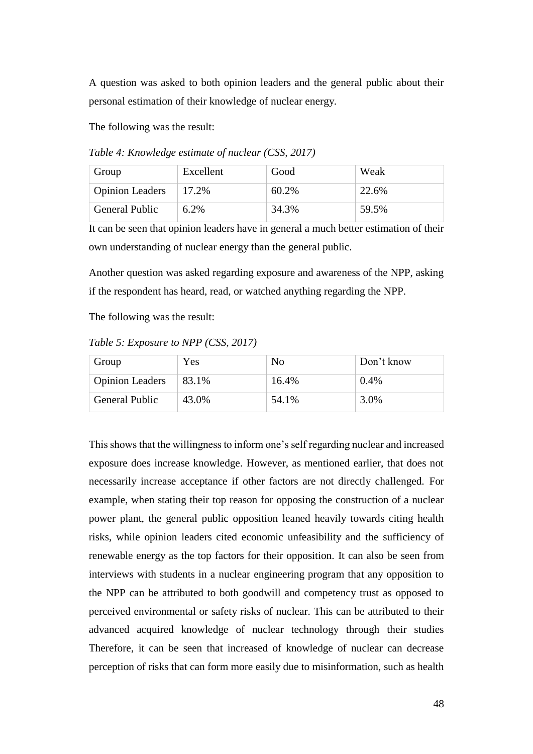A question was asked to both opinion leaders and the general public about their personal estimation of their knowledge of nuclear energy.

The following was the result:

*Table 4: Knowledge estimate of nuclear (CSS, 2017)*

| Group                  | Excellent | Good     | Weak  |
|------------------------|-----------|----------|-------|
| <b>Opinion Leaders</b> | 17.2%     | $60.2\%$ | 22.6% |
| <b>General Public</b>  | 6.2%      | 34.3%    | 59.5% |

It can be seen that opinion leaders have in general a much better estimation of their own understanding of nuclear energy than the general public.

Another question was asked regarding exposure and awareness of the NPP, asking if the respondent has heard, read, or watched anything regarding the NPP.

The following was the result:

*Table 5: Exposure to NPP (CSS, 2017)*

| Group                  | Yes   | No    | Don't know |
|------------------------|-------|-------|------------|
| <b>Opinion Leaders</b> | 83.1% | 16.4% | 0.4%       |
| <b>General Public</b>  | 43.0% | 54.1% | 3.0%       |

This shows that the willingness to inform one's self regarding nuclear and increased exposure does increase knowledge. However, as mentioned earlier, that does not necessarily increase acceptance if other factors are not directly challenged. For example, when stating their top reason for opposing the construction of a nuclear power plant, the general public opposition leaned heavily towards citing health risks, while opinion leaders cited economic unfeasibility and the sufficiency of renewable energy as the top factors for their opposition. It can also be seen from interviews with students in a nuclear engineering program that any opposition to the NPP can be attributed to both goodwill and competency trust as opposed to perceived environmental or safety risks of nuclear. This can be attributed to their advanced acquired knowledge of nuclear technology through their studies Therefore, it can be seen that increased of knowledge of nuclear can decrease perception of risks that can form more easily due to misinformation, such as health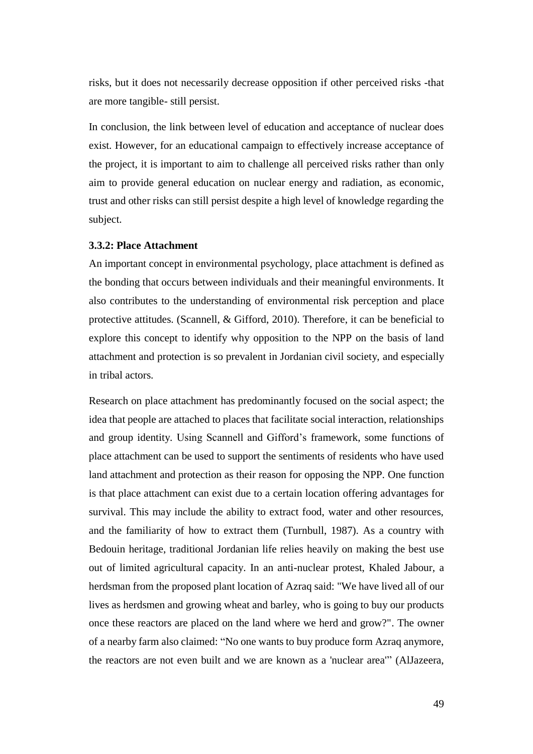risks, but it does not necessarily decrease opposition if other perceived risks -that are more tangible- still persist.

In conclusion, the link between level of education and acceptance of nuclear does exist. However, for an educational campaign to effectively increase acceptance of the project, it is important to aim to challenge all perceived risks rather than only aim to provide general education on nuclear energy and radiation, as economic, trust and other risks can still persist despite a high level of knowledge regarding the subject.

### **3.3.2: Place Attachment**

An important concept in environmental psychology, place attachment is defined as the bonding that occurs between individuals and their meaningful environments. It also contributes to the understanding of environmental risk perception and place protective attitudes. (Scannell, & Gifford, 2010). Therefore, it can be beneficial to explore this concept to identify why opposition to the NPP on the basis of land attachment and protection is so prevalent in Jordanian civil society, and especially in tribal actors.

Research on place attachment has predominantly focused on the social aspect; the idea that people are attached to places that facilitate social interaction, relationships and group identity. Using Scannell and Gifford's framework, some functions of place attachment can be used to support the sentiments of residents who have used land attachment and protection as their reason for opposing the NPP. One function is that place attachment can exist due to a certain location offering advantages for survival. This may include the ability to extract food, water and other resources, and the familiarity of how to extract them (Turnbull, 1987). As a country with Bedouin heritage, traditional Jordanian life relies heavily on making the best use out of limited agricultural capacity. In an anti-nuclear protest, Khaled Jabour, a herdsman from the proposed plant location of Azraq said: "We have lived all of our lives as herdsmen and growing wheat and barley, who is going to buy our products once these reactors are placed on the land where we herd and grow?". The owner of a nearby farm also claimed: "No one wants to buy produce form Azraq anymore, the reactors are not even built and we are known as a 'nuclear area'" (AlJazeera,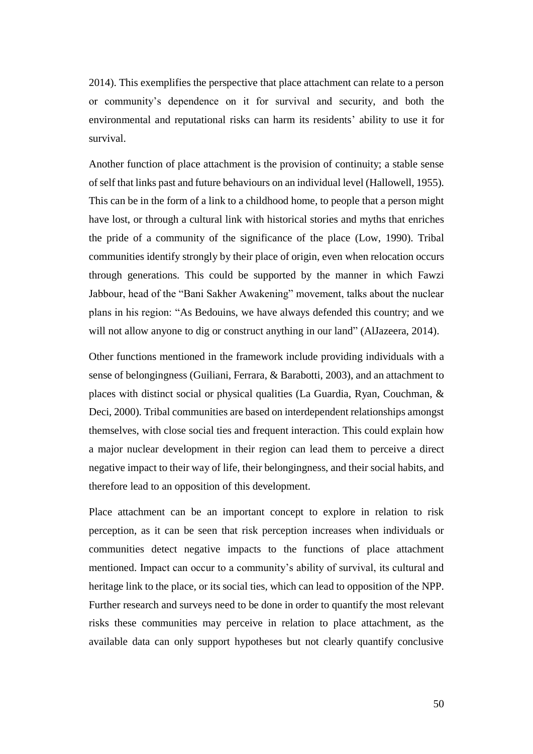2014). This exemplifies the perspective that place attachment can relate to a person or community's dependence on it for survival and security, and both the environmental and reputational risks can harm its residents' ability to use it for survival.

Another function of place attachment is the provision of continuity; a stable sense of self that links past and future behaviours on an individual level (Hallowell, 1955). This can be in the form of a link to a childhood home, to people that a person might have lost, or through a cultural link with historical stories and myths that enriches the pride of a community of the significance of the place (Low, 1990). Tribal communities identify strongly by their place of origin, even when relocation occurs through generations. This could be supported by the manner in which Fawzi Jabbour, head of the "Bani Sakher Awakening" movement, talks about the nuclear plans in his region: "As Bedouins, we have always defended this country; and we will not allow anyone to dig or construct anything in our land" (AlJazeera, 2014).

Other functions mentioned in the framework include providing individuals with a sense of belongingness (Guiliani, Ferrara, & Barabotti, 2003), and an attachment to places with distinct social or physical qualities (La Guardia, Ryan, Couchman, & Deci, 2000). Tribal communities are based on interdependent relationships amongst themselves, with close social ties and frequent interaction. This could explain how a major nuclear development in their region can lead them to perceive a direct negative impact to their way of life, their belongingness, and their social habits, and therefore lead to an opposition of this development.

Place attachment can be an important concept to explore in relation to risk perception, as it can be seen that risk perception increases when individuals or communities detect negative impacts to the functions of place attachment mentioned. Impact can occur to a community's ability of survival, its cultural and heritage link to the place, or its social ties, which can lead to opposition of the NPP. Further research and surveys need to be done in order to quantify the most relevant risks these communities may perceive in relation to place attachment, as the available data can only support hypotheses but not clearly quantify conclusive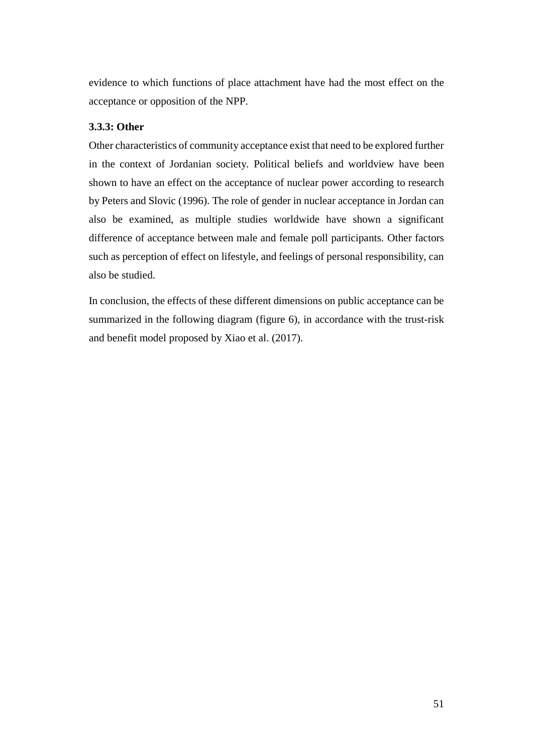evidence to which functions of place attachment have had the most effect on the acceptance or opposition of the NPP.

### **3.3.3: Other**

Other characteristics of community acceptance exist that need to be explored further in the context of Jordanian society. Political beliefs and worldview have been shown to have an effect on the acceptance of nuclear power according to research by Peters and Slovic (1996). The role of gender in nuclear acceptance in Jordan can also be examined, as multiple studies worldwide have shown a significant difference of acceptance between male and female poll participants. Other factors such as perception of effect on lifestyle, and feelings of personal responsibility, can also be studied.

In conclusion, the effects of these different dimensions on public acceptance can be summarized in the following diagram (figure 6), in accordance with the trust-risk and benefit model proposed by Xiao et al. (2017).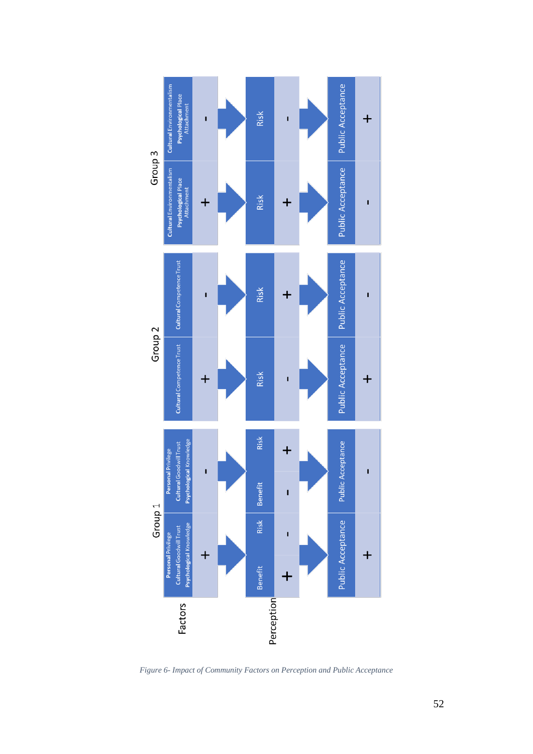

*Figure 6- Impact of Community Factors on Perception and Public Acceptance*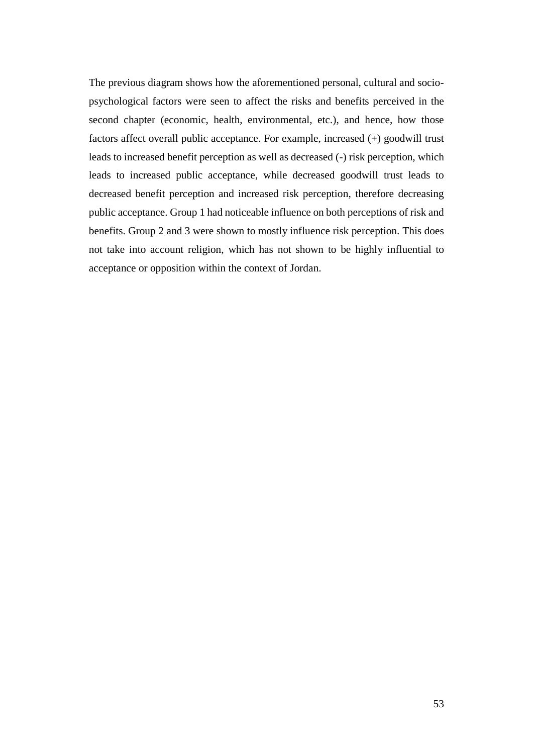The previous diagram shows how the aforementioned personal, cultural and sociopsychological factors were seen to affect the risks and benefits perceived in the second chapter (economic, health, environmental, etc.), and hence, how those factors affect overall public acceptance. For example, increased (+) goodwill trust leads to increased benefit perception as well as decreased (-) risk perception, which leads to increased public acceptance, while decreased goodwill trust leads to decreased benefit perception and increased risk perception, therefore decreasing public acceptance. Group 1 had noticeable influence on both perceptions of risk and benefits. Group 2 and 3 were shown to mostly influence risk perception. This does not take into account religion, which has not shown to be highly influential to acceptance or opposition within the context of Jordan.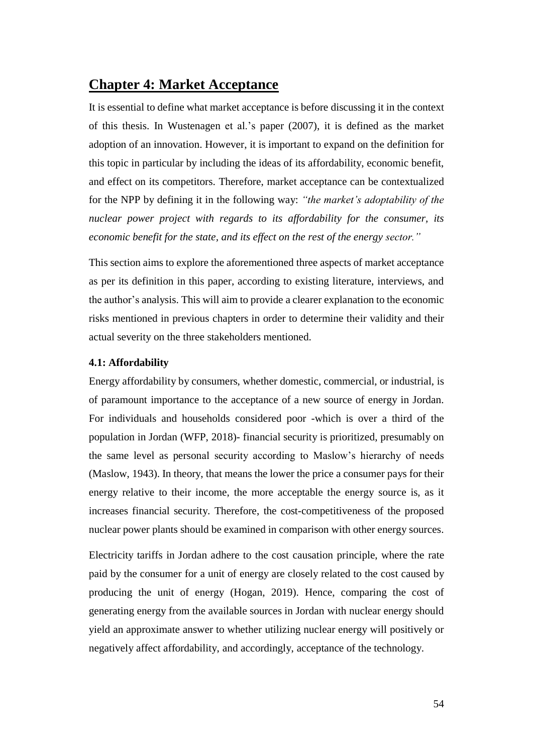# **Chapter 4: Market Acceptance**

It is essential to define what market acceptance is before discussing it in the context of this thesis. In Wustenagen et al.'s paper (2007), it is defined as the market adoption of an innovation. However, it is important to expand on the definition for this topic in particular by including the ideas of its affordability, economic benefit, and effect on its competitors. Therefore, market acceptance can be contextualized for the NPP by defining it in the following way: *"the market's adoptability of the nuclear power project with regards to its affordability for the consumer, its economic benefit for the state, and its effect on the rest of the energy sector."*

This section aims to explore the aforementioned three aspects of market acceptance as per its definition in this paper, according to existing literature, interviews, and the author's analysis. This will aim to provide a clearer explanation to the economic risks mentioned in previous chapters in order to determine their validity and their actual severity on the three stakeholders mentioned.

### **4.1: Affordability**

Energy affordability by consumers, whether domestic, commercial, or industrial, is of paramount importance to the acceptance of a new source of energy in Jordan. For individuals and households considered poor -which is over a third of the population in Jordan (WFP, 2018)- financial security is prioritized, presumably on the same level as personal security according to Maslow's hierarchy of needs (Maslow, 1943). In theory, that means the lower the price a consumer pays for their energy relative to their income, the more acceptable the energy source is, as it increases financial security. Therefore, the cost-competitiveness of the proposed nuclear power plants should be examined in comparison with other energy sources.

Electricity tariffs in Jordan adhere to the cost causation principle, where the rate paid by the consumer for a unit of energy are closely related to the cost caused by producing the unit of energy (Hogan, 2019). Hence, comparing the cost of generating energy from the available sources in Jordan with nuclear energy should yield an approximate answer to whether utilizing nuclear energy will positively or negatively affect affordability, and accordingly, acceptance of the technology.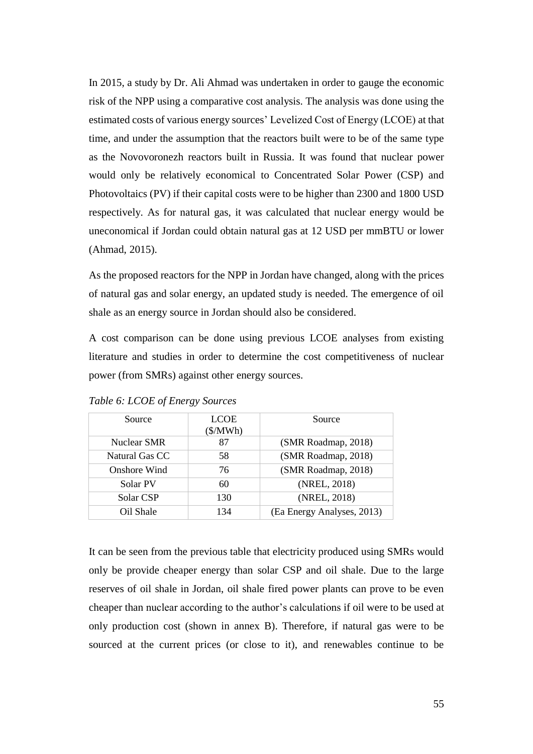In 2015, a study by Dr. Ali Ahmad was undertaken in order to gauge the economic risk of the NPP using a comparative cost analysis. The analysis was done using the estimated costs of various energy sources' Levelized Cost of Energy (LCOE) at that time, and under the assumption that the reactors built were to be of the same type as the Novovoronezh reactors built in Russia. It was found that nuclear power would only be relatively economical to Concentrated Solar Power (CSP) and Photovoltaics (PV) if their capital costs were to be higher than 2300 and 1800 USD respectively. As for natural gas, it was calculated that nuclear energy would be uneconomical if Jordan could obtain natural gas at 12 USD per mmBTU or lower (Ahmad, 2015).

As the proposed reactors for the NPP in Jordan have changed, along with the prices of natural gas and solar energy, an updated study is needed. The emergence of oil shale as an energy source in Jordan should also be considered.

A cost comparison can be done using previous LCOE analyses from existing literature and studies in order to determine the cost competitiveness of nuclear power (from SMRs) against other energy sources.

| Source         | <b>LCOE</b><br>$(\frac{MWh}{)}$ | Source                     |
|----------------|---------------------------------|----------------------------|
| Nuclear SMR    | 87                              | (SMR Roadmap, 2018)        |
| Natural Gas CC | 58                              | (SMR Roadmap, 2018)        |
| Onshore Wind   | 76                              | (SMR Roadmap, 2018)        |
| Solar PV       | 60                              | (NREL, 2018)               |
| Solar CSP      | 130                             | (NREL, 2018)               |
| Oil Shale      | 134                             | (Ea Energy Analyses, 2013) |

*Table 6: LCOE of Energy Sources*

It can be seen from the previous table that electricity produced using SMRs would only be provide cheaper energy than solar CSP and oil shale. Due to the large reserves of oil shale in Jordan, oil shale fired power plants can prove to be even cheaper than nuclear according to the author's calculations if oil were to be used at only production cost (shown in annex B). Therefore, if natural gas were to be sourced at the current prices (or close to it), and renewables continue to be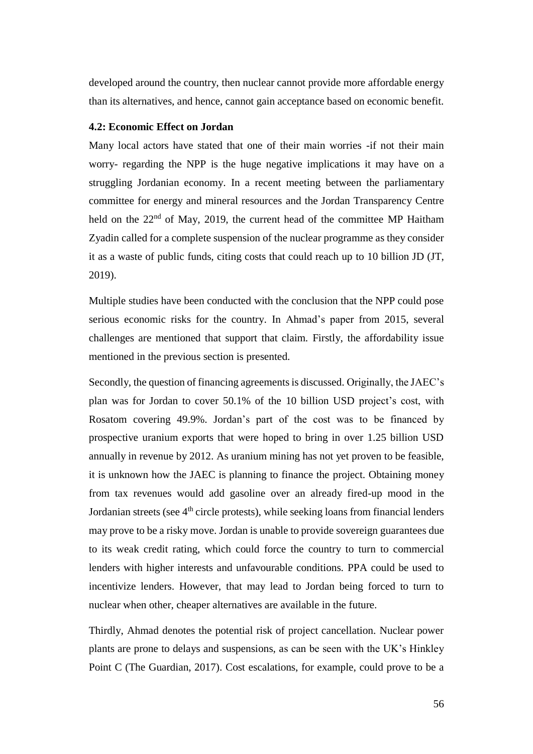developed around the country, then nuclear cannot provide more affordable energy than its alternatives, and hence, cannot gain acceptance based on economic benefit.

### **4.2: Economic Effect on Jordan**

Many local actors have stated that one of their main worries -if not their main worry- regarding the NPP is the huge negative implications it may have on a struggling Jordanian economy. In a recent meeting between the parliamentary committee for energy and mineral resources and the Jordan Transparency Centre held on the  $22<sup>nd</sup>$  of May, 2019, the current head of the committee MP Haitham Zyadin called for a complete suspension of the nuclear programme as they consider it as a waste of public funds, citing costs that could reach up to 10 billion JD (JT, 2019).

Multiple studies have been conducted with the conclusion that the NPP could pose serious economic risks for the country. In Ahmad's paper from 2015, several challenges are mentioned that support that claim. Firstly, the affordability issue mentioned in the previous section is presented.

Secondly, the question of financing agreements is discussed. Originally, the JAEC's plan was for Jordan to cover 50.1% of the 10 billion USD project's cost, with Rosatom covering 49.9%. Jordan's part of the cost was to be financed by prospective uranium exports that were hoped to bring in over 1.25 billion USD annually in revenue by 2012. As uranium mining has not yet proven to be feasible, it is unknown how the JAEC is planning to finance the project. Obtaining money from tax revenues would add gasoline over an already fired-up mood in the Jordanian streets (see  $4<sup>th</sup>$  circle protests), while seeking loans from financial lenders may prove to be a risky move. Jordan is unable to provide sovereign guarantees due to its weak credit rating, which could force the country to turn to commercial lenders with higher interests and unfavourable conditions. PPA could be used to incentivize lenders. However, that may lead to Jordan being forced to turn to nuclear when other, cheaper alternatives are available in the future.

Thirdly, Ahmad denotes the potential risk of project cancellation. Nuclear power plants are prone to delays and suspensions, as can be seen with the UK's Hinkley Point C (The Guardian, 2017). Cost escalations, for example, could prove to be a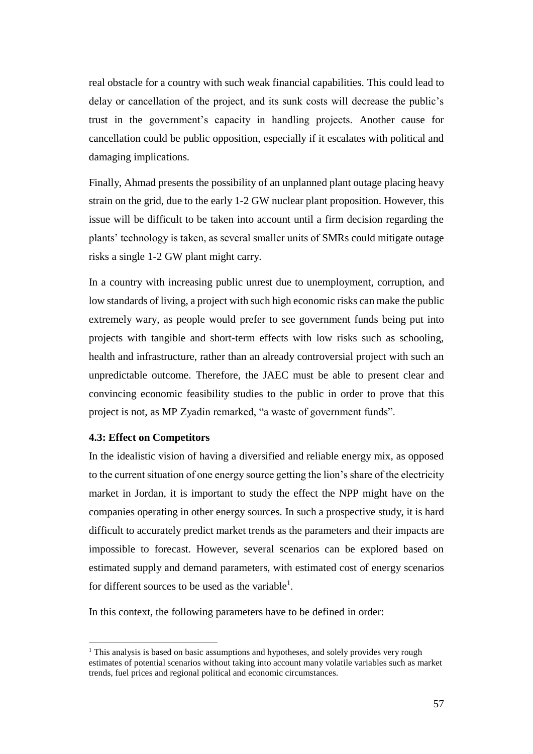real obstacle for a country with such weak financial capabilities. This could lead to delay or cancellation of the project, and its sunk costs will decrease the public's trust in the government's capacity in handling projects. Another cause for cancellation could be public opposition, especially if it escalates with political and damaging implications.

Finally, Ahmad presents the possibility of an unplanned plant outage placing heavy strain on the grid, due to the early 1-2 GW nuclear plant proposition. However, this issue will be difficult to be taken into account until a firm decision regarding the plants' technology is taken, as several smaller units of SMRs could mitigate outage risks a single 1-2 GW plant might carry.

In a country with increasing public unrest due to unemployment, corruption, and low standards of living, a project with such high economic risks can make the public extremely wary, as people would prefer to see government funds being put into projects with tangible and short-term effects with low risks such as schooling, health and infrastructure, rather than an already controversial project with such an unpredictable outcome. Therefore, the JAEC must be able to present clear and convincing economic feasibility studies to the public in order to prove that this project is not, as MP Zyadin remarked, "a waste of government funds".

#### **4.3: Effect on Competitors**

 $\overline{a}$ 

In the idealistic vision of having a diversified and reliable energy mix, as opposed to the current situation of one energy source getting the lion's share of the electricity market in Jordan, it is important to study the effect the NPP might have on the companies operating in other energy sources. In such a prospective study, it is hard difficult to accurately predict market trends as the parameters and their impacts are impossible to forecast. However, several scenarios can be explored based on estimated supply and demand parameters, with estimated cost of energy scenarios for different sources to be used as the variable<sup>1</sup>.

In this context, the following parameters have to be defined in order:

<sup>&</sup>lt;sup>1</sup> This analysis is based on basic assumptions and hypotheses, and solely provides very rough estimates of potential scenarios without taking into account many volatile variables such as market trends, fuel prices and regional political and economic circumstances.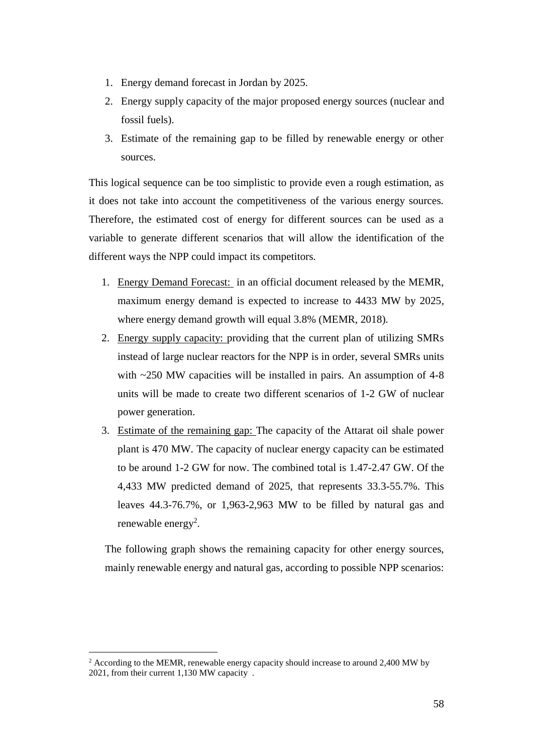- 1. Energy demand forecast in Jordan by 2025.
- 2. Energy supply capacity of the major proposed energy sources (nuclear and fossil fuels).
- 3. Estimate of the remaining gap to be filled by renewable energy or other sources.

This logical sequence can be too simplistic to provide even a rough estimation, as it does not take into account the competitiveness of the various energy sources. Therefore, the estimated cost of energy for different sources can be used as a variable to generate different scenarios that will allow the identification of the different ways the NPP could impact its competitors.

- 1. Energy Demand Forecast: in an official document released by the MEMR, maximum energy demand is expected to increase to 4433 MW by 2025, where energy demand growth will equal 3.8% (MEMR, 2018).
- 2. Energy supply capacity: providing that the current plan of utilizing SMRs instead of large nuclear reactors for the NPP is in order, several SMRs units with ~250 MW capacities will be installed in pairs. An assumption of 4-8 units will be made to create two different scenarios of 1-2 GW of nuclear power generation.
- 3. Estimate of the remaining gap: The capacity of the Attarat oil shale power plant is 470 MW. The capacity of nuclear energy capacity can be estimated to be around 1-2 GW for now. The combined total is 1.47-2.47 GW. Of the 4,433 MW predicted demand of 2025, that represents 33.3-55.7%. This leaves 44.3-76.7%, or 1,963-2,963 MW to be filled by natural gas and renewable energy<sup>2</sup>.

The following graph shows the remaining capacity for other energy sources, mainly renewable energy and natural gas, according to possible NPP scenarios:

 $\overline{a}$ 

<sup>&</sup>lt;sup>2</sup> According to the MEMR, renewable energy capacity should increase to around 2.400 MW by 2021, from their current 1,130 MW capacity .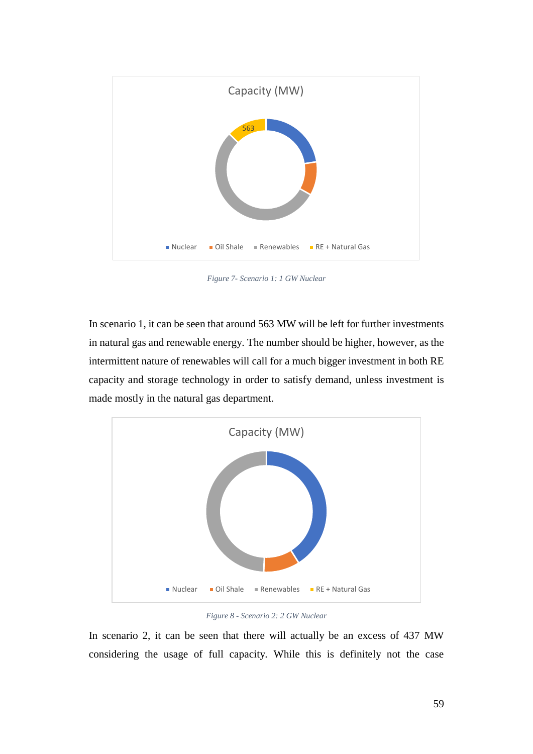

*Figure 7- Scenario 1: 1 GW Nuclear*

In scenario 1, it can be seen that around 563 MW will be left for further investments in natural gas and renewable energy. The number should be higher, however, as the intermittent nature of renewables will call for a much bigger investment in both RE capacity and storage technology in order to satisfy demand, unless investment is made mostly in the natural gas department.



*Figure 8 - Scenario 2: 2 GW Nuclear*

In scenario 2, it can be seen that there will actually be an excess of 437 MW considering the usage of full capacity. While this is definitely not the case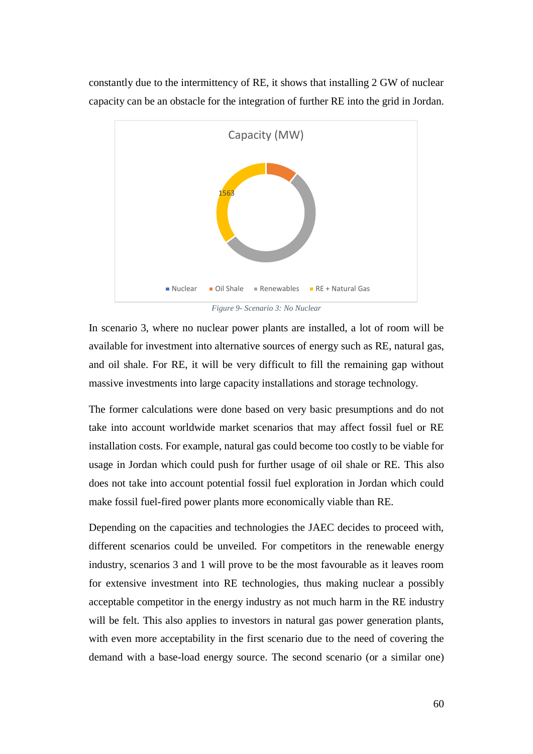constantly due to the intermittency of RE, it shows that installing 2 GW of nuclear capacity can be an obstacle for the integration of further RE into the grid in Jordan.



*Figure 9- Scenario 3: No Nuclear*

In scenario 3, where no nuclear power plants are installed, a lot of room will be available for investment into alternative sources of energy such as RE, natural gas, and oil shale. For RE, it will be very difficult to fill the remaining gap without massive investments into large capacity installations and storage technology.

The former calculations were done based on very basic presumptions and do not take into account worldwide market scenarios that may affect fossil fuel or RE installation costs. For example, natural gas could become too costly to be viable for usage in Jordan which could push for further usage of oil shale or RE. This also does not take into account potential fossil fuel exploration in Jordan which could make fossil fuel-fired power plants more economically viable than RE.

Depending on the capacities and technologies the JAEC decides to proceed with, different scenarios could be unveiled. For competitors in the renewable energy industry, scenarios 3 and 1 will prove to be the most favourable as it leaves room for extensive investment into RE technologies, thus making nuclear a possibly acceptable competitor in the energy industry as not much harm in the RE industry will be felt. This also applies to investors in natural gas power generation plants, with even more acceptability in the first scenario due to the need of covering the demand with a base-load energy source. The second scenario (or a similar one)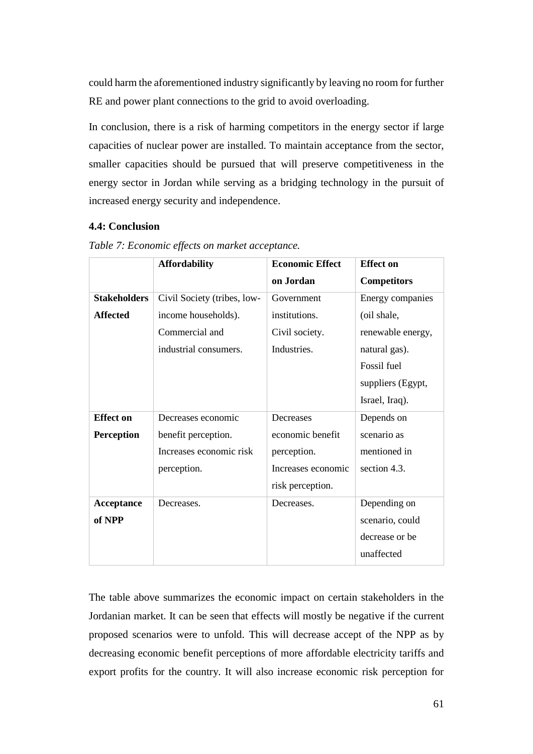could harm the aforementioned industry significantly by leaving no room for further RE and power plant connections to the grid to avoid overloading.

In conclusion, there is a risk of harming competitors in the energy sector if large capacities of nuclear power are installed. To maintain acceptance from the sector, smaller capacities should be pursued that will preserve competitiveness in the energy sector in Jordan while serving as a bridging technology in the pursuit of increased energy security and independence.

## **4.4: Conclusion**

|                     | <b>Affordability</b>        | <b>Economic Effect</b> | <b>Effect</b> on   |
|---------------------|-----------------------------|------------------------|--------------------|
|                     |                             | on Jordan              | <b>Competitors</b> |
| <b>Stakeholders</b> | Civil Society (tribes, low- | Government             | Energy companies   |
| <b>Affected</b>     | income households).         | institutions.          | (oil shale,        |
|                     | Commercial and              | Civil society.         | renewable energy,  |
|                     | industrial consumers.       | Industries.            | natural gas).      |
|                     |                             |                        | Fossil fuel        |
|                     |                             |                        | suppliers (Egypt,  |
|                     |                             |                        | Israel, Iraq).     |
| <b>Effect</b> on    | Decreases economic          | Decreases              | Depends on         |
| <b>Perception</b>   | benefit perception.         | economic benefit       | scenario as        |
|                     | Increases economic risk     | perception.            | mentioned in       |
|                     | perception.                 | Increases economic     | section 4.3.       |
|                     |                             | risk perception.       |                    |
| Acceptance          | Decreases.                  | Decreases.             | Depending on       |
| of NPP              |                             |                        | scenario, could    |
|                     |                             |                        | decrease or be     |
|                     |                             |                        | unaffected         |

*Table 7: Economic effects on market acceptance.*

The table above summarizes the economic impact on certain stakeholders in the Jordanian market. It can be seen that effects will mostly be negative if the current proposed scenarios were to unfold. This will decrease accept of the NPP as by decreasing economic benefit perceptions of more affordable electricity tariffs and export profits for the country. It will also increase economic risk perception for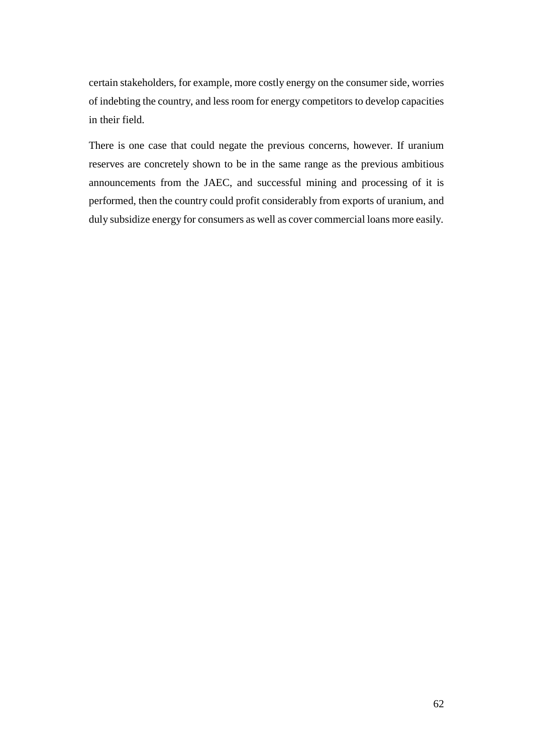certain stakeholders, for example, more costly energy on the consumer side, worries of indebting the country, and less room for energy competitors to develop capacities in their field.

There is one case that could negate the previous concerns, however. If uranium reserves are concretely shown to be in the same range as the previous ambitious announcements from the JAEC, and successful mining and processing of it is performed, then the country could profit considerably from exports of uranium, and duly subsidize energy for consumers as well as cover commercial loans more easily.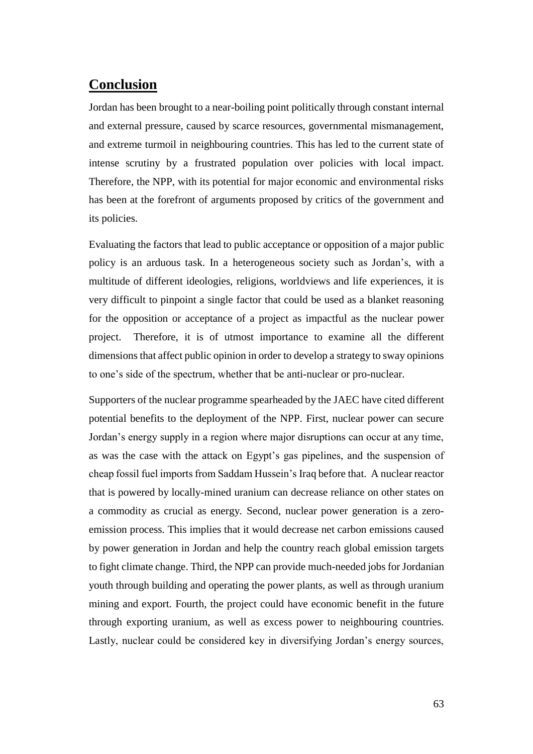# **Conclusion**

Jordan has been brought to a near-boiling point politically through constant internal and external pressure, caused by scarce resources, governmental mismanagement, and extreme turmoil in neighbouring countries. This has led to the current state of intense scrutiny by a frustrated population over policies with local impact. Therefore, the NPP, with its potential for major economic and environmental risks has been at the forefront of arguments proposed by critics of the government and its policies.

Evaluating the factors that lead to public acceptance or opposition of a major public policy is an arduous task. In a heterogeneous society such as Jordan's, with a multitude of different ideologies, religions, worldviews and life experiences, it is very difficult to pinpoint a single factor that could be used as a blanket reasoning for the opposition or acceptance of a project as impactful as the nuclear power project. Therefore, it is of utmost importance to examine all the different dimensions that affect public opinion in order to develop a strategy to sway opinions to one's side of the spectrum, whether that be anti-nuclear or pro-nuclear.

Supporters of the nuclear programme spearheaded by the JAEC have cited different potential benefits to the deployment of the NPP. First, nuclear power can secure Jordan's energy supply in a region where major disruptions can occur at any time, as was the case with the attack on Egypt's gas pipelines, and the suspension of cheap fossil fuel imports from Saddam Hussein's Iraq before that. A nuclear reactor that is powered by locally-mined uranium can decrease reliance on other states on a commodity as crucial as energy. Second, nuclear power generation is a zeroemission process. This implies that it would decrease net carbon emissions caused by power generation in Jordan and help the country reach global emission targets to fight climate change. Third, the NPP can provide much-needed jobs for Jordanian youth through building and operating the power plants, as well as through uranium mining and export. Fourth, the project could have economic benefit in the future through exporting uranium, as well as excess power to neighbouring countries. Lastly, nuclear could be considered key in diversifying Jordan's energy sources,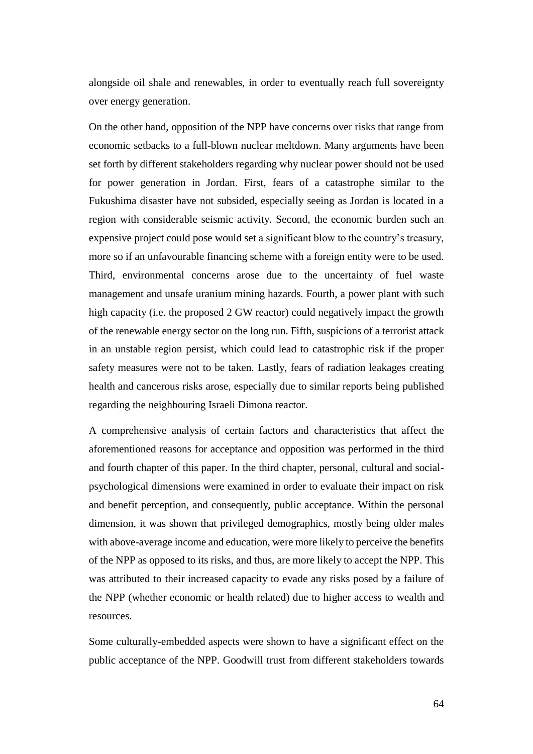alongside oil shale and renewables, in order to eventually reach full sovereignty over energy generation.

On the other hand, opposition of the NPP have concerns over risks that range from economic setbacks to a full-blown nuclear meltdown. Many arguments have been set forth by different stakeholders regarding why nuclear power should not be used for power generation in Jordan. First, fears of a catastrophe similar to the Fukushima disaster have not subsided, especially seeing as Jordan is located in a region with considerable seismic activity. Second, the economic burden such an expensive project could pose would set a significant blow to the country's treasury, more so if an unfavourable financing scheme with a foreign entity were to be used. Third, environmental concerns arose due to the uncertainty of fuel waste management and unsafe uranium mining hazards. Fourth, a power plant with such high capacity (i.e. the proposed 2 GW reactor) could negatively impact the growth of the renewable energy sector on the long run. Fifth, suspicions of a terrorist attack in an unstable region persist, which could lead to catastrophic risk if the proper safety measures were not to be taken. Lastly, fears of radiation leakages creating health and cancerous risks arose, especially due to similar reports being published regarding the neighbouring Israeli Dimona reactor.

A comprehensive analysis of certain factors and characteristics that affect the aforementioned reasons for acceptance and opposition was performed in the third and fourth chapter of this paper. In the third chapter, personal, cultural and socialpsychological dimensions were examined in order to evaluate their impact on risk and benefit perception, and consequently, public acceptance. Within the personal dimension, it was shown that privileged demographics, mostly being older males with above-average income and education, were more likely to perceive the benefits of the NPP as opposed to its risks, and thus, are more likely to accept the NPP. This was attributed to their increased capacity to evade any risks posed by a failure of the NPP (whether economic or health related) due to higher access to wealth and resources.

Some culturally-embedded aspects were shown to have a significant effect on the public acceptance of the NPP. Goodwill trust from different stakeholders towards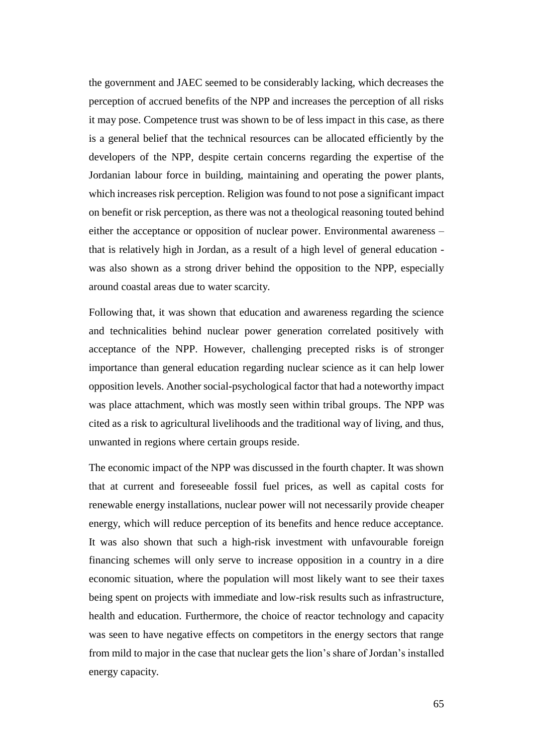the government and JAEC seemed to be considerably lacking, which decreases the perception of accrued benefits of the NPP and increases the perception of all risks it may pose. Competence trust was shown to be of less impact in this case, as there is a general belief that the technical resources can be allocated efficiently by the developers of the NPP, despite certain concerns regarding the expertise of the Jordanian labour force in building, maintaining and operating the power plants, which increases risk perception. Religion was found to not pose a significant impact on benefit or risk perception, as there was not a theological reasoning touted behind either the acceptance or opposition of nuclear power. Environmental awareness – that is relatively high in Jordan, as a result of a high level of general education was also shown as a strong driver behind the opposition to the NPP, especially around coastal areas due to water scarcity.

Following that, it was shown that education and awareness regarding the science and technicalities behind nuclear power generation correlated positively with acceptance of the NPP. However, challenging precepted risks is of stronger importance than general education regarding nuclear science as it can help lower opposition levels. Another social-psychological factor that had a noteworthy impact was place attachment, which was mostly seen within tribal groups. The NPP was cited as a risk to agricultural livelihoods and the traditional way of living, and thus, unwanted in regions where certain groups reside.

The economic impact of the NPP was discussed in the fourth chapter. It was shown that at current and foreseeable fossil fuel prices, as well as capital costs for renewable energy installations, nuclear power will not necessarily provide cheaper energy, which will reduce perception of its benefits and hence reduce acceptance. It was also shown that such a high-risk investment with unfavourable foreign financing schemes will only serve to increase opposition in a country in a dire economic situation, where the population will most likely want to see their taxes being spent on projects with immediate and low-risk results such as infrastructure, health and education. Furthermore, the choice of reactor technology and capacity was seen to have negative effects on competitors in the energy sectors that range from mild to major in the case that nuclear gets the lion's share of Jordan's installed energy capacity.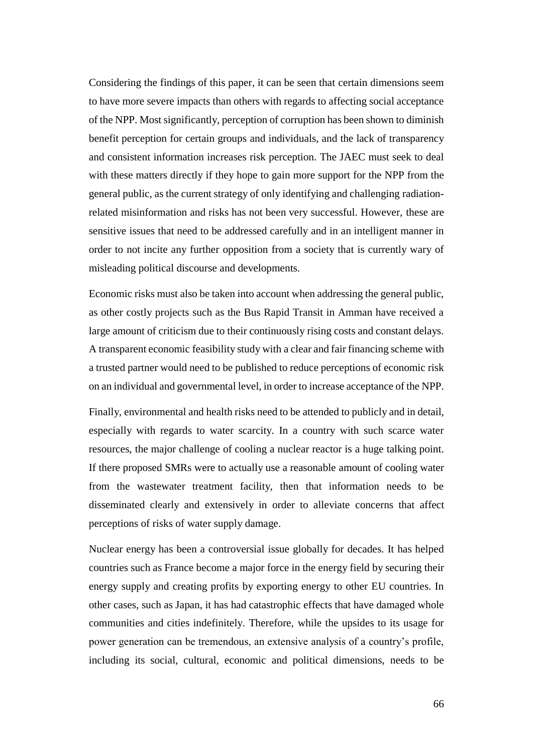Considering the findings of this paper, it can be seen that certain dimensions seem to have more severe impacts than others with regards to affecting social acceptance of the NPP. Most significantly, perception of corruption has been shown to diminish benefit perception for certain groups and individuals, and the lack of transparency and consistent information increases risk perception. The JAEC must seek to deal with these matters directly if they hope to gain more support for the NPP from the general public, as the current strategy of only identifying and challenging radiationrelated misinformation and risks has not been very successful. However, these are sensitive issues that need to be addressed carefully and in an intelligent manner in order to not incite any further opposition from a society that is currently wary of misleading political discourse and developments.

Economic risks must also be taken into account when addressing the general public, as other costly projects such as the Bus Rapid Transit in Amman have received a large amount of criticism due to their continuously rising costs and constant delays. A transparent economic feasibility study with a clear and fair financing scheme with a trusted partner would need to be published to reduce perceptions of economic risk on an individual and governmental level, in order to increase acceptance of the NPP.

Finally, environmental and health risks need to be attended to publicly and in detail, especially with regards to water scarcity. In a country with such scarce water resources, the major challenge of cooling a nuclear reactor is a huge talking point. If there proposed SMRs were to actually use a reasonable amount of cooling water from the wastewater treatment facility, then that information needs to be disseminated clearly and extensively in order to alleviate concerns that affect perceptions of risks of water supply damage.

Nuclear energy has been a controversial issue globally for decades. It has helped countries such as France become a major force in the energy field by securing their energy supply and creating profits by exporting energy to other EU countries. In other cases, such as Japan, it has had catastrophic effects that have damaged whole communities and cities indefinitely. Therefore, while the upsides to its usage for power generation can be tremendous, an extensive analysis of a country's profile, including its social, cultural, economic and political dimensions, needs to be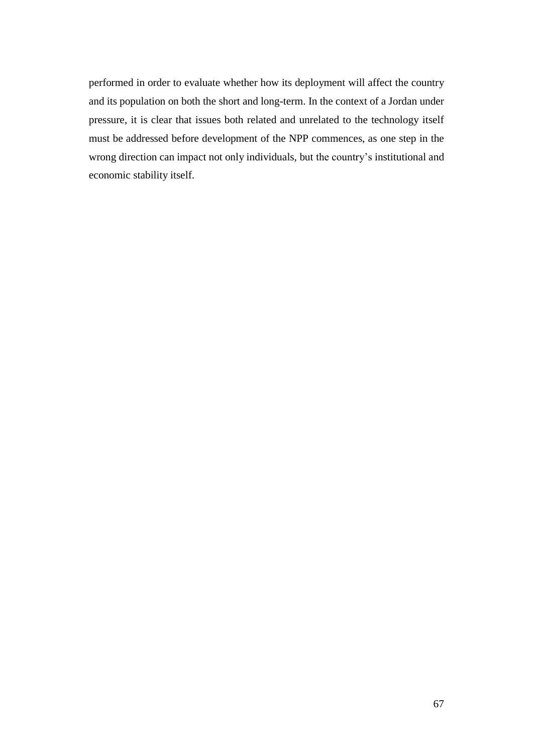performed in order to evaluate whether how its deployment will affect the country and its population on both the short and long-term. In the context of a Jordan under pressure, it is clear that issues both related and unrelated to the technology itself must be addressed before development of the NPP commences, as one step in the wrong direction can impact not only individuals, but the country's institutional and economic stability itself.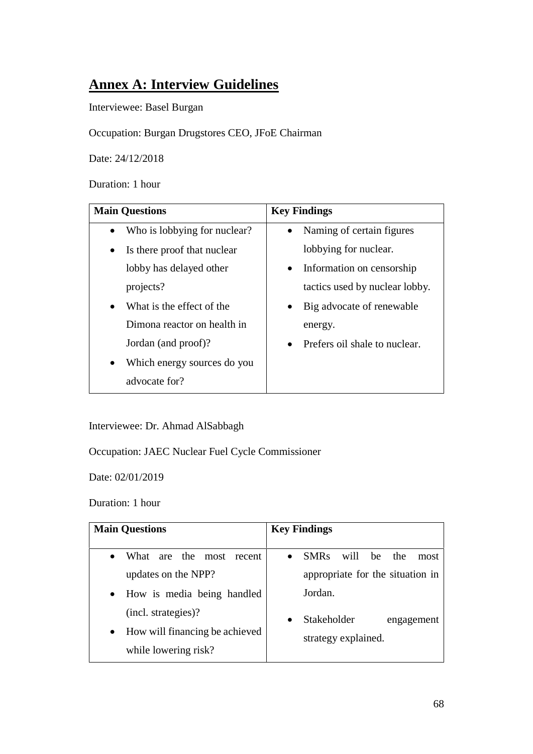# **Annex A: Interview Guidelines**

Interviewee: Basel Burgan

Occupation: Burgan Drugstores CEO, JFoE Chairman

Date: 24/12/2018

Duration: 1 hour

| <b>Main Questions</b>                    | <b>Key Findings</b>                        |  |  |
|------------------------------------------|--------------------------------------------|--|--|
| • Who is lobbying for nuclear?           | Naming of certain figures<br>$\bullet$     |  |  |
| Is there proof that nuclear              | lobbying for nuclear.                      |  |  |
| lobby has delayed other                  | Information on censorship<br>$\bullet$     |  |  |
| projects?                                | tactics used by nuclear lobby.             |  |  |
| What is the effect of the                | Big advocate of renewable<br>٠             |  |  |
| Dimona reactor on health in              | energy.                                    |  |  |
| Jordan (and proof)?                      | Prefers oil shale to nuclear.<br>$\bullet$ |  |  |
| Which energy sources do you<br>$\bullet$ |                                            |  |  |
| advocate for?                            |                                            |  |  |

Interviewee: Dr. Ahmad AlSabbagh

Occupation: JAEC Nuclear Fuel Cycle Commissioner

Date: 02/01/2019

Duration: 1 hour

| <b>Main Questions</b>                       | <b>Key Findings</b>              |
|---------------------------------------------|----------------------------------|
| are the most recent<br>What<br>$\bullet$    | SMRs will be<br>the<br>most      |
| updates on the NPP?                         | appropriate for the situation in |
| • How is media being handled                | Jordan.                          |
| (incl. strategies)?                         | Stakeholder<br>engagement        |
| How will financing be achieved<br>$\bullet$ | strategy explained.              |
| while lowering risk?                        |                                  |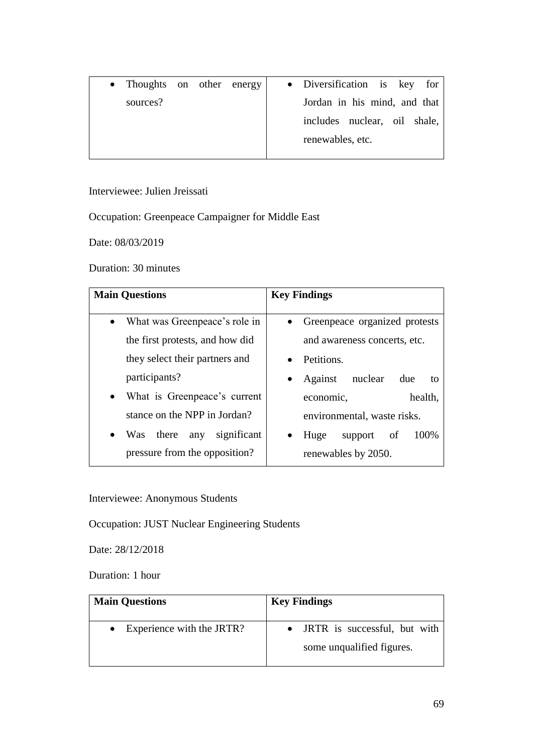• Thoughts on other energy sources? • Diversification is key for Jordan in his mind, and that includes nuclear, oil shale, renewables, etc.

Interviewee: Julien Jreissati

Occupation: Greenpeace Campaigner for Middle East

Date: 08/03/2019

Duration: 30 minutes

| <b>Main Questions</b>                                  | <b>Key Findings</b>                                   |  |
|--------------------------------------------------------|-------------------------------------------------------|--|
| • What was Greenpeace's role in                        | • Greenpeace organized protests                       |  |
| the first protests, and how did                        | and awareness concerts, etc.                          |  |
| they select their partners and                         | Petitions.                                            |  |
| participants?                                          | Against nuclear<br>due<br>to                          |  |
| • What is Greenpeace's current                         | health,<br>economic,                                  |  |
| stance on the NPP in Jordan?                           | environmental, waste risks.                           |  |
| significant<br>there<br><b>Was</b><br>any<br>$\bullet$ | 100%<br>support<br>Huge<br><sub>of</sub><br>$\bullet$ |  |
| pressure from the opposition?                          | renewables by 2050.                                   |  |

Interviewee: Anonymous Students

Occupation: JUST Nuclear Engineering Students

Date: 28/12/2018

Duration: 1 hour

| <b>Main Questions</b>               | <b>Key Findings</b>                                         |
|-------------------------------------|-------------------------------------------------------------|
| $\bullet$ Experience with the JRTR? | • JRTR is successful, but with<br>some unqualified figures. |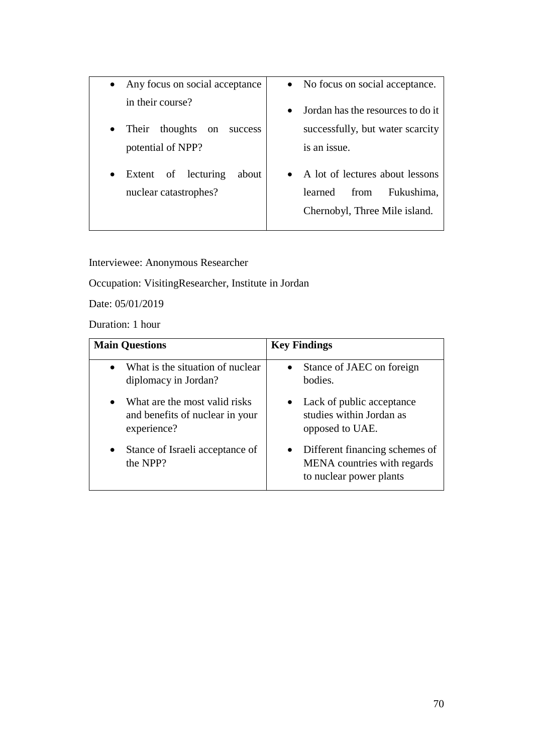- Any focus on social acceptance in their course?
- Their thoughts on success potential of NPP?
- Extent of lecturing about nuclear catastrophes?
- No focus on social acceptance.
- Jordan has the resources to do it successfully, but water scarcity is an issue.
- A lot of lectures about lessons learned from Fukushima, Chernobyl, Three Mile island.

Interviewee: Anonymous Researcher

Occupation: VisitingResearcher, Institute in Jordan

Date: 05/01/2019

Duration: 1 hour

| <b>Main Questions</b>                                                                        | <b>Key Findings</b>                                                                      |
|----------------------------------------------------------------------------------------------|------------------------------------------------------------------------------------------|
| What is the situation of nuclear<br>$\bullet$<br>diplomacy in Jordan?                        | Stance of JAEC on foreign<br>bodies.                                                     |
| What are the most valid risks<br>$\bullet$<br>and benefits of nuclear in your<br>experience? | Lack of public acceptance<br>studies within Jordan as<br>opposed to UAE.                 |
| Stance of Israeli acceptance of<br>$\bullet$<br>the NPP?                                     | Different financing schemes of<br>MENA countries with regards<br>to nuclear power plants |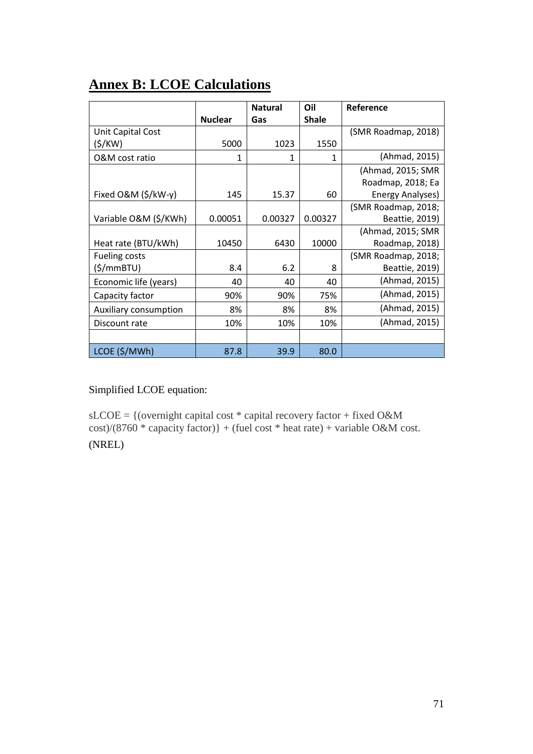# **Annex B: LCOE Calculations**

|                       |                | <b>Natural</b> | Oil          | Reference           |
|-----------------------|----------------|----------------|--------------|---------------------|
|                       | <b>Nuclear</b> | Gas            | <b>Shale</b> |                     |
| Unit Capital Cost     |                |                |              | (SMR Roadmap, 2018) |
| (\$/KW)               | 5000           | 1023           | 1550         |                     |
| O&M cost ratio        | 1              | 1              | 1            | (Ahmad, 2015)       |
|                       |                |                |              | (Ahmad, 2015; SMR   |
|                       |                |                |              | Roadmap, 2018; Ea   |
| Fixed O&M (\$/kW-y)   | 145            | 15.37          | 60           | Energy Analyses)    |
|                       |                |                |              | (SMR Roadmap, 2018; |
| Variable O&M (\$/KWh) | 0.00051        | 0.00327        | 0.00327      | Beattie, 2019)      |
|                       |                |                |              | (Ahmad, 2015; SMR   |
| Heat rate (BTU/kWh)   | 10450          | 6430           | 10000        | Roadmap, 2018)      |
| <b>Fueling costs</b>  |                |                |              | (SMR Roadmap, 2018; |
| (\$/mmBTU)            | 8.4            | 6.2            | 8            | Beattie, 2019)      |
| Economic life (years) | 40             | 40             | 40           | (Ahmad, 2015)       |
| Capacity factor       | 90%            | 90%            | 75%          | (Ahmad, 2015)       |
| Auxiliary consumption | 8%             | 8%             | 8%           | (Ahmad, 2015)       |
| Discount rate         | 10%            | 10%            | 10%          | (Ahmad, 2015)       |
|                       |                |                |              |                     |
| LCOE (\$/MWh)         | 87.8           | 39.9           | 80.0         |                     |

# Simplified LCOE equation:

sLCOE = {(overnight capital cost \* capital recovery factor + fixed O&M  $\cos t$ /(8760 \* capacity factor)} + (fuel cost \* heat rate) + variable O&M cost.

(NREL)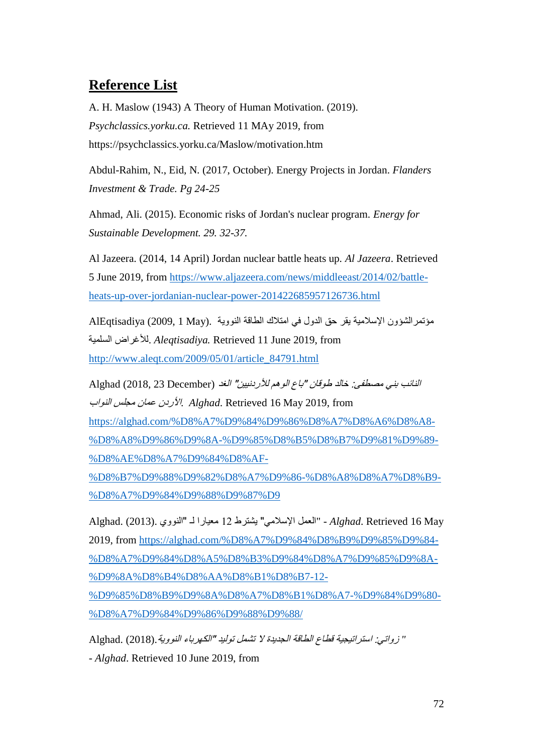## **Reference List**

A. H. Maslow (1943) A Theory of Human Motivation. (2019). *Psychclassics.yorku.ca.* Retrieved 11 MAy 2019, from https://psychclassics.yorku.ca/Maslow/motivation.htm

Abdul-Rahim, N., Eid, N. (2017, October). Energy Projects in Jordan. *Flanders Investment & Trade. Pg 24-25*

Ahmad, Ali. (2015). Economic risks of Jordan's nuclear program. *Energy for Sustainable Development. 29. 32-37.*

Al Jazeera. (2014, 14 April) Jordan nuclear battle heats up. *Al Jazeera*. Retrieved 5 June 2019, from [https://www.aljazeera.com/news/middleeast/2014/02/battle](https://www.aljazeera.com/news/middleeast/2014/02/battle-heats-up-over-jordanian-nuclear-power-201422685957126736.html)[heats-up-over-jordanian-nuclear-power-201422685957126736.html](https://www.aljazeera.com/news/middleeast/2014/02/battle-heats-up-over-jordanian-nuclear-power-201422685957126736.html)

مؤتمرالشؤون اإلسالمية يقر حق الدول في امتالك الطاقة النووية .(May 1 2009, (AlEqtisadiya السلمية لألغراض. *Aleqtisadiya.* Retrieved 11 June 2019, from [http://www.aleqt.com/2009/05/01/article\\_84791.html](http://www.aleqt.com/2009/05/01/article_84791.html)

النائب بني مصطفى: خالد طوقان "باع الوهم لألردنيين" الغد (December 23 2018, (Alghad from 2019, May 16 Retrieved .*Alghad* .األردن عمان مجلس النواب [https://alghad.com/%D8%A7%D9%84%D9%86%D8%A7%D8%A6%D8%A8-](https://alghad.com/%D8%A7%D9%84%D9%86%D8%A7%D8%A6%D8%A8-%D8%A8%D9%86%D9%8A-%D9%85%D8%B5%D8%B7%D9%81%D9%89-%D8%AE%D8%A7%D9%84%D8%AF-%D8%B7%D9%88%D9%82%D8%A7%D9%86-%D8%A8%D8%A7%D8%B9-%D8%A7%D9%84%D9%88%D9%87%D9) [%D8%A8%D9%86%D9%8A-%D9%85%D8%B5%D8%B7%D9%81%D9%89-](https://alghad.com/%D8%A7%D9%84%D9%86%D8%A7%D8%A6%D8%A8-%D8%A8%D9%86%D9%8A-%D9%85%D8%B5%D8%B7%D9%81%D9%89-%D8%AE%D8%A7%D9%84%D8%AF-%D8%B7%D9%88%D9%82%D8%A7%D9%86-%D8%A8%D8%A7%D8%B9-%D8%A7%D9%84%D9%88%D9%87%D9) [%D8%AE%D8%A7%D9%84%D8%AF-](https://alghad.com/%D8%A7%D9%84%D9%86%D8%A7%D8%A6%D8%A8-%D8%A8%D9%86%D9%8A-%D9%85%D8%B5%D8%B7%D9%81%D9%89-%D8%AE%D8%A7%D9%84%D8%AF-%D8%B7%D9%88%D9%82%D8%A7%D9%86-%D8%A8%D8%A7%D8%B9-%D8%A7%D9%84%D9%88%D9%87%D9)

[%D8%B7%D9%88%D9%82%D8%A7%D9%86-%D8%A8%D8%A7%D8%B9-](https://alghad.com/%D8%A7%D9%84%D9%86%D8%A7%D8%A6%D8%A8-%D8%A8%D9%86%D9%8A-%D9%85%D8%B5%D8%B7%D9%81%D9%89-%D8%AE%D8%A7%D9%84%D8%AF-%D8%B7%D9%88%D9%82%D8%A7%D9%86-%D8%A8%D8%A7%D8%B9-%D8%A7%D9%84%D9%88%D9%87%D9) [%D8%A7%D9%84%D9%88%D9%87%D9](https://alghad.com/%D8%A7%D9%84%D9%86%D8%A7%D8%A6%D8%A8-%D8%A8%D9%86%D9%8A-%D9%85%D8%B5%D8%B7%D9%81%D9%89-%D8%AE%D8%A7%D9%84%D8%AF-%D8%B7%D9%88%D9%82%D8%A7%D9%86-%D8%A8%D8%A7%D8%B9-%D8%A7%D9%84%D9%88%D9%87%D9)

 May 16 Retrieved .*Alghad* -" العمل اإلسالمي" يشترط 12 معيارا لـ "النووي .(2013) .Alghad 2019, from [https://alghad.com/%D8%A7%D9%84%D8%B9%D9%85%D9%84-](https://alghad.com/%D8%A7%D9%84%D8%B9%D9%85%D9%84-%D8%A7%D9%84%D8%A5%D8%B3%D9%84%D8%A7%D9%85%D9%8A-%D9%8A%D8%B4%D8%AA%D8%B1%D8%B7-12-%D9%85%D8%B9%D9%8A%D8%A7%D8%B1%D8%A7-%D9%84%D9%80-%D8%A7%D9%84%D9%86%D9%88%D9%88/) [%D8%A7%D9%84%D8%A5%D8%B3%D9%84%D8%A7%D9%85%D9%8A-](https://alghad.com/%D8%A7%D9%84%D8%B9%D9%85%D9%84-%D8%A7%D9%84%D8%A5%D8%B3%D9%84%D8%A7%D9%85%D9%8A-%D9%8A%D8%B4%D8%AA%D8%B1%D8%B7-12-%D9%85%D8%B9%D9%8A%D8%A7%D8%B1%D8%A7-%D9%84%D9%80-%D8%A7%D9%84%D9%86%D9%88%D9%88/) [%D9%8A%D8%B4%D8%AA%D8%B1%D8%B7-12-](https://alghad.com/%D8%A7%D9%84%D8%B9%D9%85%D9%84-%D8%A7%D9%84%D8%A5%D8%B3%D9%84%D8%A7%D9%85%D9%8A-%D9%8A%D8%B4%D8%AA%D8%B1%D8%B7-12-%D9%85%D8%B9%D9%8A%D8%A7%D8%B1%D8%A7-%D9%84%D9%80-%D8%A7%D9%84%D9%86%D9%88%D9%88/) [%D9%85%D8%B9%D9%8A%D8%A7%D8%B1%D8%A7-%D9%84%D9%80-](https://alghad.com/%D8%A7%D9%84%D8%B9%D9%85%D9%84-%D8%A7%D9%84%D8%A5%D8%B3%D9%84%D8%A7%D9%85%D9%8A-%D9%8A%D8%B4%D8%AA%D8%B1%D8%B7-12-%D9%85%D8%B9%D9%8A%D8%A7%D8%B1%D8%A7-%D9%84%D9%80-%D8%A7%D9%84%D9%86%D9%88%D9%88/) [%D8%A7%D9%84%D9%86%D9%88%D9%88/](https://alghad.com/%D8%A7%D9%84%D8%B9%D9%85%D9%84-%D8%A7%D9%84%D8%A5%D8%B3%D9%84%D8%A7%D9%85%D9%8A-%D9%8A%D8%B4%D8%AA%D8%B1%D8%B7-12-%D9%85%D8%B9%D9%8A%D8%A7%D8%B1%D8%A7-%D9%84%D9%80-%D8%A7%D9%84%D9%86%D9%88%D9%88/)

 *"* زواتي: استراتيجية قطاع الطاقة الجديدة ال تشمل توليد "الكهرباء النووية.(2018) .Alghad

*- Alghad*. Retrieved 10 June 2019, from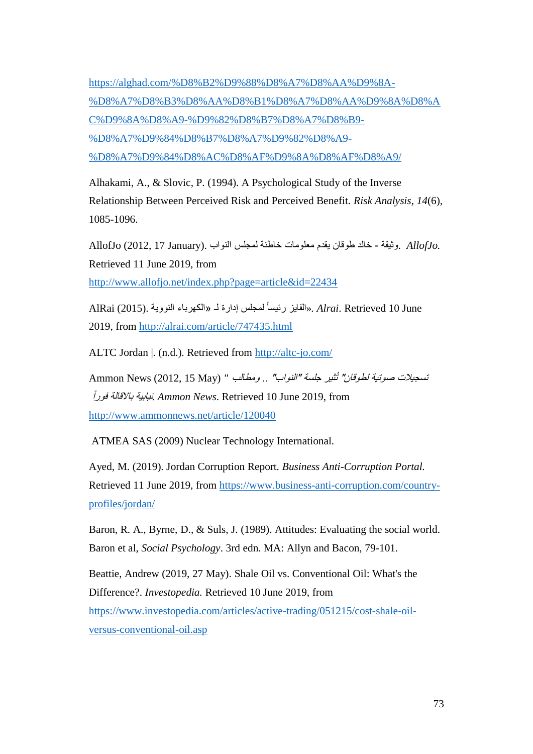[https://alghad.com/%D8%B2%D9%88%D8%A7%D8%AA%D9%8A-](https://alghad.com/%D8%B2%D9%88%D8%A7%D8%AA%D9%8A-%D8%A7%D8%B3%D8%AA%D8%B1%D8%A7%D8%AA%D9%8A%D8%AC%D9%8A%D8%A9-%D9%82%D8%B7%D8%A7%D8%B9-%D8%A7%D9%84%D8%B7%D8%A7%D9%82%D8%A9-%D8%A7%D9%84%D8%AC%D8%AF%D9%8A%D8%AF%D8%A9/) [%D8%A7%D8%B3%D8%AA%D8%B1%D8%A7%D8%AA%D9%8A%D8%A](https://alghad.com/%D8%B2%D9%88%D8%A7%D8%AA%D9%8A-%D8%A7%D8%B3%D8%AA%D8%B1%D8%A7%D8%AA%D9%8A%D8%AC%D9%8A%D8%A9-%D9%82%D8%B7%D8%A7%D8%B9-%D8%A7%D9%84%D8%B7%D8%A7%D9%82%D8%A9-%D8%A7%D9%84%D8%AC%D8%AF%D9%8A%D8%AF%D8%A9/) [C%D9%8A%D8%A9-%D9%82%D8%B7%D8%A7%D8%B9-](https://alghad.com/%D8%B2%D9%88%D8%A7%D8%AA%D9%8A-%D8%A7%D8%B3%D8%AA%D8%B1%D8%A7%D8%AA%D9%8A%D8%AC%D9%8A%D8%A9-%D9%82%D8%B7%D8%A7%D8%B9-%D8%A7%D9%84%D8%B7%D8%A7%D9%82%D8%A9-%D8%A7%D9%84%D8%AC%D8%AF%D9%8A%D8%AF%D8%A9/) [%D8%A7%D9%84%D8%B7%D8%A7%D9%82%D8%A9-](https://alghad.com/%D8%B2%D9%88%D8%A7%D8%AA%D9%8A-%D8%A7%D8%B3%D8%AA%D8%B1%D8%A7%D8%AA%D9%8A%D8%AC%D9%8A%D8%A9-%D9%82%D8%B7%D8%A7%D8%B9-%D8%A7%D9%84%D8%B7%D8%A7%D9%82%D8%A9-%D8%A7%D9%84%D8%AC%D8%AF%D9%8A%D8%AF%D8%A9/) [%D8%A7%D9%84%D8%AC%D8%AF%D9%8A%D8%AF%D8%A9/](https://alghad.com/%D8%B2%D9%88%D8%A7%D8%AA%D9%8A-%D8%A7%D8%B3%D8%AA%D8%B1%D8%A7%D8%AA%D9%8A%D8%AC%D9%8A%D8%A9-%D9%82%D8%B7%D8%A7%D8%B9-%D8%A7%D9%84%D8%B7%D8%A7%D9%82%D8%A9-%D8%A7%D9%84%D8%AC%D8%AF%D9%8A%D8%AF%D8%A9/)

Alhakami, A., & Slovic, P. (1994). A Psychological Study of the Inverse Relationship Between Perceived Risk and Perceived Benefit. *Risk Analysis*, *14*(6), 1085-1096.

 *.AllofJo* .وثيقة - خالد طوقان يقدم معلومات خاطئة لمجلس النواب .(January 17 2012, (AllofJo Retrieved 11 June 2019, from <http://www.allofjo.net/index.php?page=article&id=22434>

لمجلس إدارة لـ .(2015) AlRai June 10 Retrieved .*Alrai* .»الفايز رئيسا »الكهرباء النووية ً 2019, from<http://alrai.com/article/747435.html>

ALTC Jordan |. (n.d.). Retrieved from<http://altc-jo.com/>

تسجيالت صوتية لطوقان" تُثير جلسة "النواب" .. ومطالب *"* (May 15 2012, (News Ammon ًفورا باالقالة نيابية. *Ammon News*. Retrieved 10 June 2019, from <http://www.ammonnews.net/article/120040>

ATMEA SAS (2009) Nuclear Technology International.

Ayed, M. (2019). Jordan Corruption Report*. Business Anti-Corruption Portal.* Retrieved 11 June 2019, from [https://www.business-anti-corruption.com/country](https://www.business-anti-corruption.com/country-profiles/jordan/)[profiles/jordan/](https://www.business-anti-corruption.com/country-profiles/jordan/)

Baron, R. A., Byrne, D., & Suls, J. (1989). Attitudes: Evaluating the social world. Baron et al, *Social Psychology*. 3rd edn. MA: Allyn and Bacon, 79-101.

Beattie, Andrew (2019, 27 May). Shale Oil vs. Conventional Oil: What's the Difference?. *Investopedia.* Retrieved 10 June 2019, from [https://www.investopedia.com/articles/active-trading/051215/cost-shale-oil](https://www.investopedia.com/articles/active-trading/051215/cost-shale-oil-versus-conventional-oil.asp)[versus-conventional-oil.asp](https://www.investopedia.com/articles/active-trading/051215/cost-shale-oil-versus-conventional-oil.asp)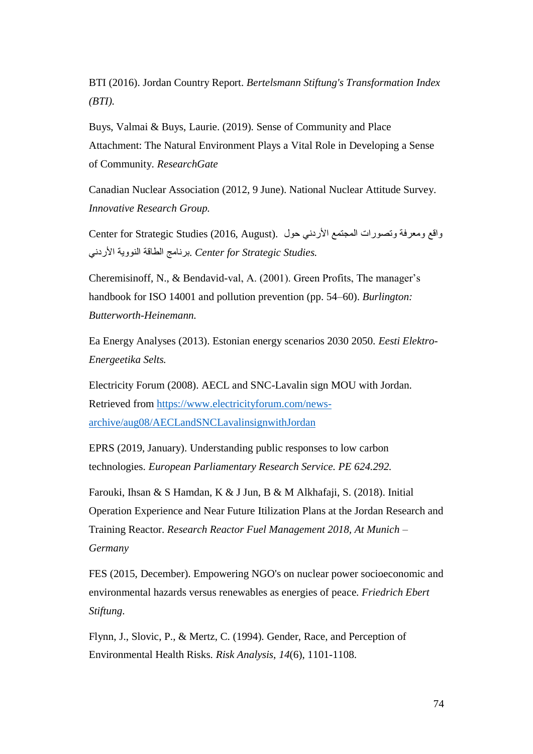BTI (2016). Jordan Country Report. *Bertelsmann Stiftung's Transformation Index (BTI).*

Buys, Valmai & Buys, Laurie. (2019). Sense of Community and Place Attachment: The Natural Environment Plays a Vital Role in Developing a Sense of Community. *ResearchGate*

Canadian Nuclear Association (2012, 9 June). National Nuclear Attitude Survey. *Innovative Research Group.*

واقع ومعرفة وتصورات المجتمع الأردني حول . (Center for Strategic Studies (2016, August *.Studies Strategic for Center* .برنامج الطاقة النووية األردني

Cheremisinoff, N., & Bendavid-val, A. (2001). Green Profits, The manager's handbook for ISO 14001 and pollution prevention (pp. 54–60). *Burlington: Butterworth-Heinemann.*

Ea Energy Analyses (2013). Estonian energy scenarios 2030 2050. *Eesti Elektro-Energeetika Selts.*

Electricity Forum (2008). AECL and SNC-Lavalin sign MOU with Jordan. Retrieved from [https://www.electricityforum.com/news](https://www.electricityforum.com/news-archive/aug08/AECLandSNCLavalinsignwithJordan)[archive/aug08/AECLandSNCLavalinsignwithJordan](https://www.electricityforum.com/news-archive/aug08/AECLandSNCLavalinsignwithJordan)

EPRS (2019, January). Understanding public responses to low carbon technologies. *European Parliamentary Research Service. PE 624.292.*

Farouki, Ihsan & S Hamdan, K & J Jun, B & M Alkhafaji, S. (2018). Initial Operation Experience and Near Future Itilization Plans at the Jordan Research and Training Reactor. *Research Reactor Fuel Management 2018, At Munich – Germany*

FES (2015, December). Empowering NGO's on nuclear power socioeconomic and environmental hazards versus renewables as energies of peace*. Friedrich Ebert Stiftung*.

Flynn, J., Slovic, P., & Mertz, C. (1994). Gender, Race, and Perception of Environmental Health Risks. *Risk Analysis*, *14*(6), 1101-1108.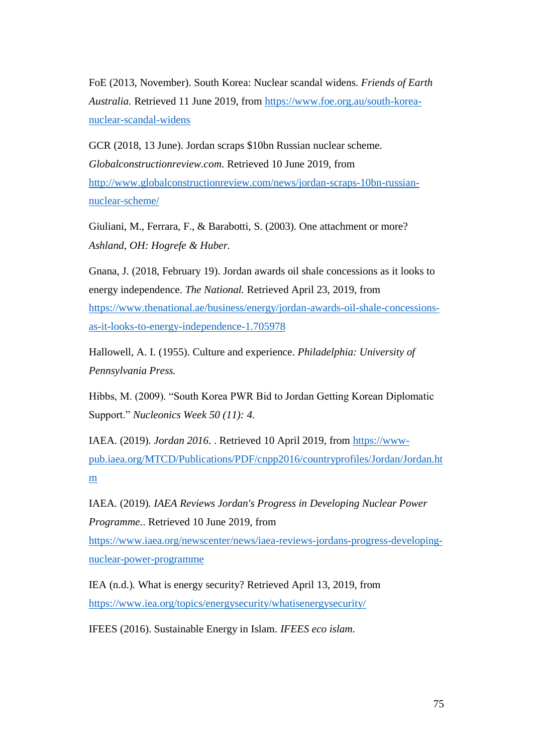FoE (2013, November). South Korea: Nuclear scandal widens. *Friends of Earth Australia.* Retrieved 11 June 2019, from [https://www.foe.org.au/south-korea](https://www.foe.org.au/south-korea-nuclear-scandal-widens)[nuclear-scandal-widens](https://www.foe.org.au/south-korea-nuclear-scandal-widens)

GCR (2018, 13 June). Jordan scraps \$10bn Russian nuclear scheme. *Globalconstructionreview.com*. Retrieved 10 June 2019, from [http://www.globalconstructionreview.com/news/jordan-scraps-10bn-russian](http://www.globalconstructionreview.com/news/jordan-scraps-10bn-russian-nuclear-scheme/)[nuclear-scheme/](http://www.globalconstructionreview.com/news/jordan-scraps-10bn-russian-nuclear-scheme/)

Giuliani, M., Ferrara, F., & Barabotti, S. (2003). One attachment or more? *Ashland, OH: Hogrefe & Huber.*

Gnana, J. (2018, February 19). Jordan awards oil shale concessions as it looks to energy independence. *The National.* Retrieved April 23, 2019, from [https://www.thenational.ae/business/energy/jordan-awards-oil-shale-concessions](https://www.thenational.ae/business/energy/jordan-awards-oil-shale-concessions-as-it-looks-to-energy-independence-1.705978)[as-it-looks-to-energy-independence-1.705978](https://www.thenational.ae/business/energy/jordan-awards-oil-shale-concessions-as-it-looks-to-energy-independence-1.705978)

Hallowell, A. I. (1955). Culture and experience. *Philadelphia: University of Pennsylvania Press.*

Hibbs, M. (2009). "South Korea PWR Bid to Jordan Getting Korean Diplomatic Support." *Nucleonics Week 50 (11): 4.*

IAEA. (2019). *Jordan 2016*. . Retrieved 10 April 2019, from [https://www](https://www-pub.iaea.org/MTCD/Publications/PDF/cnpp2016/countryprofiles/Jordan/Jordan.htm)[pub.iaea.org/MTCD/Publications/PDF/cnpp2016/countryprofiles/Jordan/Jordan.ht](https://www-pub.iaea.org/MTCD/Publications/PDF/cnpp2016/countryprofiles/Jordan/Jordan.htm) [m](https://www-pub.iaea.org/MTCD/Publications/PDF/cnpp2016/countryprofiles/Jordan/Jordan.htm)

IAEA. (2019). *IAEA Reviews Jordan's Progress in Developing Nuclear Power Programme.*. Retrieved 10 June 2019, from [https://www.iaea.org/newscenter/news/iaea-reviews-jordans-progress-developing](https://www.iaea.org/newscenter/news/iaea-reviews-jordans-progress-developing-nuclear-power-programme)[nuclear-power-programme](https://www.iaea.org/newscenter/news/iaea-reviews-jordans-progress-developing-nuclear-power-programme)

IEA (n.d.). What is energy security? Retrieved April 13, 2019, from <https://www.iea.org/topics/energysecurity/whatisenergysecurity/>

IFEES (2016). Sustainable Energy in Islam. *IFEES eco islam.*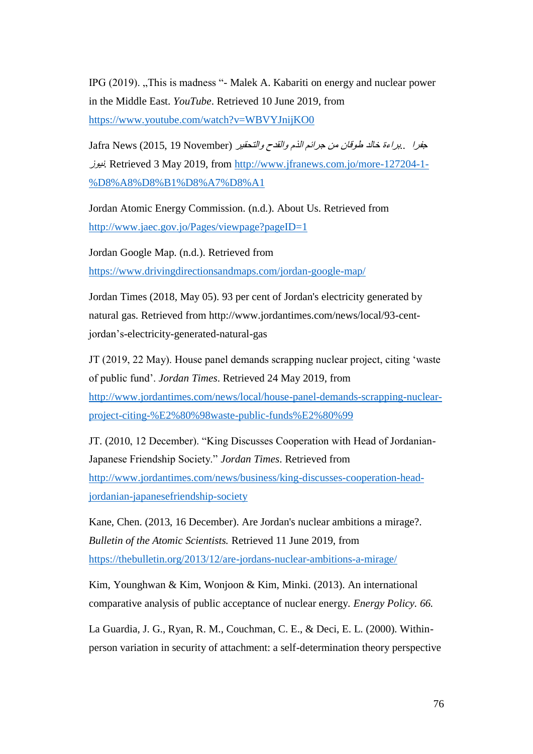IPG (2019). "This is madness "- Malek A. Kabariti on energy and nuclear power in the Middle East. *YouTube*. Retrieved 10 June 2019, from <https://www.youtube.com/watch?v=WBVYJnijKO0>

جفرا ..براءة خالد طوقان من جرائم الذم والقدح والتحقير (November 19 2015, (News Jafra نيوز. Retrieved 3 May 2019, from [http://www.jfranews.com.jo/more-127204-1-](http://www.jfranews.com.jo/more-127204-1-%D8%A8%D8%B1%D8%A7%D8%A1) [%D8%A8%D8%B1%D8%A7%D8%A1](http://www.jfranews.com.jo/more-127204-1-%D8%A8%D8%B1%D8%A7%D8%A1)

Jordan Atomic Energy Commission. (n.d.). About Us. Retrieved from <http://www.jaec.gov.jo/Pages/viewpage?pageID=1>

Jordan Google Map. (n.d.). Retrieved from <https://www.drivingdirectionsandmaps.com/jordan-google-map/>

Jordan Times (2018, May 05). 93 per cent of Jordan's electricity generated by natural gas. Retrieved from http://www.jordantimes.com/news/local/93-centjordan's-electricity-generated-natural-gas

JT (2019, 22 May). House panel demands scrapping nuclear project, citing 'waste of public fund'. *Jordan Times*. Retrieved 24 May 2019, from [http://www.jordantimes.com/news/local/house-panel-demands-scrapping-nuclear](http://www.jordantimes.com/news/local/house-panel-demands-scrapping-nuclear-project-citing-%E2%80%98waste-public-funds%E2%80%99)[project-citing-%E2%80%98waste-public-funds%E2%80%99](http://www.jordantimes.com/news/local/house-panel-demands-scrapping-nuclear-project-citing-%E2%80%98waste-public-funds%E2%80%99)

JT. (2010, 12 December). "King Discusses Cooperation with Head of Jordanian-Japanese Friendship Society." *Jordan Times*. Retrieved from [http://www.jordantimes.com/news/business/king-discusses-cooperation-head](http://www.jordantimes.com/news/business/king-discusses-cooperation-head-jordanian-japanesefriendship-society)[jordanian-japanesefriendship-society](http://www.jordantimes.com/news/business/king-discusses-cooperation-head-jordanian-japanesefriendship-society)

Kane, Chen. (2013, 16 December). Are Jordan's nuclear ambitions a mirage?. *Bulletin of the Atomic Scientists.* Retrieved 11 June 2019, from <https://thebulletin.org/2013/12/are-jordans-nuclear-ambitions-a-mirage/>

Kim, Younghwan & Kim, Wonjoon & Kim, Minki. (2013). An international comparative analysis of public acceptance of nuclear energy. *Energy Policy. 66.*

La Guardia, J. G., Ryan, R. M., Couchman, C. E., & Deci, E. L. (2000). Withinperson variation in security of attachment: a self-determination theory perspective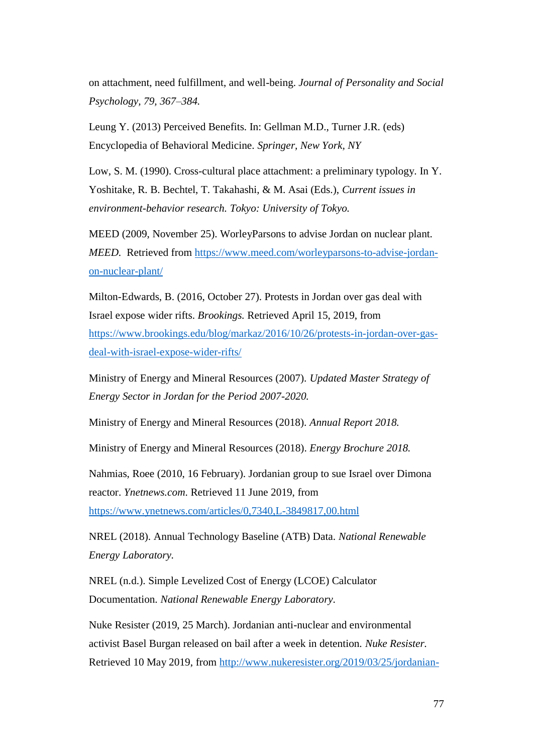on attachment, need fulfillment, and well-being. *Journal of Personality and Social Psychology, 79, 367–384.*

Leung Y. (2013) Perceived Benefits. In: Gellman M.D., Turner J.R. (eds) Encyclopedia of Behavioral Medicine. *Springer, New York, NY*

Low, S. M. (1990). Cross-cultural place attachment: a preliminary typology. In Y. Yoshitake, R. B. Bechtel, T. Takahashi, & M. Asai (Eds.), *Current issues in environment-behavior research. Tokyo: University of Tokyo.*

MEED (2009, November 25). WorleyParsons to advise Jordan on nuclear plant. *MEED.* Retrieved from [https://www.meed.com/worleyparsons-to-advise-jordan](https://www.meed.com/worleyparsons-to-advise-jordan-on-nuclear-plant/)[on-nuclear-plant/](https://www.meed.com/worleyparsons-to-advise-jordan-on-nuclear-plant/)

Milton-Edwards, B. (2016, October 27). Protests in Jordan over gas deal with Israel expose wider rifts. *Brookings.* Retrieved April 15, 2019, from [https://www.brookings.edu/blog/markaz/2016/10/26/protests-in-jordan-over-gas](https://www.brookings.edu/blog/markaz/2016/10/26/protests-in-jordan-over-gas-deal-with-israel-expose-wider-rifts/)[deal-with-israel-expose-wider-rifts/](https://www.brookings.edu/blog/markaz/2016/10/26/protests-in-jordan-over-gas-deal-with-israel-expose-wider-rifts/)

Ministry of Energy and Mineral Resources (2007). *Updated Master Strategy of Energy Sector in Jordan for the Period 2007-2020.*

Ministry of Energy and Mineral Resources (2018). *Annual Report 2018.*

Ministry of Energy and Mineral Resources (2018). *Energy Brochure 2018.*

Nahmias, Roee (2010, 16 February). Jordanian group to sue Israel over Dimona reactor. *Ynetnews.com*. Retrieved 11 June 2019, from <https://www.ynetnews.com/articles/0,7340,L-3849817,00.html>

NREL (2018). Annual Technology Baseline (ATB) Data. *National Renewable Energy Laboratory.* 

NREL (n.d.). Simple Levelized Cost of Energy (LCOE) Calculator Documentation. *National Renewable Energy Laboratory.* 

Nuke Resister (2019, 25 March). Jordanian anti-nuclear and environmental activist Basel Burgan released on bail after a week in detention. *Nuke Resister.*  Retrieved 10 May 2019, from [http://www.nukeresister.org/2019/03/25/jordanian-](http://www.nukeresister.org/2019/03/25/jordanian-anti-nuclear-and-environmental-activist-basel-burgan-released-on-bail-after-a-week-in-detention/)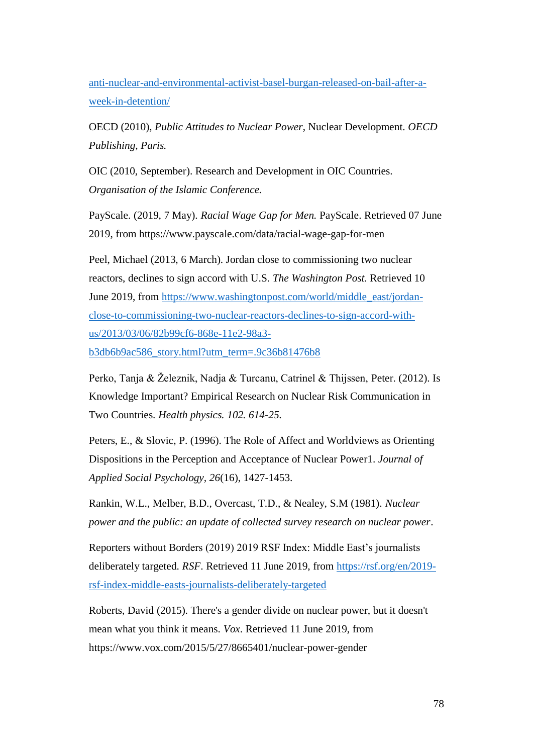[anti-nuclear-and-environmental-activist-basel-burgan-released-on-bail-after-a](http://www.nukeresister.org/2019/03/25/jordanian-anti-nuclear-and-environmental-activist-basel-burgan-released-on-bail-after-a-week-in-detention/)[week-in-detention/](http://www.nukeresister.org/2019/03/25/jordanian-anti-nuclear-and-environmental-activist-basel-burgan-released-on-bail-after-a-week-in-detention/)

OECD (2010), *Public Attitudes to Nuclear Power*, Nuclear Development. *OECD Publishing, Paris.*

OIC (2010, September). Research and Development in OIC Countries. *Organisation of the Islamic Conference.* 

PayScale. (2019, 7 May). *Racial Wage Gap for Men.* PayScale. Retrieved 07 June 2019, from https://www.payscale.com/data/racial-wage-gap-for-men

Peel, Michael (2013, 6 March). Jordan close to commissioning two nuclear reactors, declines to sign accord with U.S. *The Washington Post.* Retrieved 10 June 2019, from [https://www.washingtonpost.com/world/middle\\_east/jordan](https://www.washingtonpost.com/world/middle_east/jordan-close-to-commissioning-two-nuclear-reactors-declines-to-sign-accord-with-us/2013/03/06/82b99cf6-868e-11e2-98a3-b3db6b9ac586_story.html?utm_term=.9c36b81476b8)[close-to-commissioning-two-nuclear-reactors-declines-to-sign-accord-with](https://www.washingtonpost.com/world/middle_east/jordan-close-to-commissioning-two-nuclear-reactors-declines-to-sign-accord-with-us/2013/03/06/82b99cf6-868e-11e2-98a3-b3db6b9ac586_story.html?utm_term=.9c36b81476b8)[us/2013/03/06/82b99cf6-868e-11e2-98a3-](https://www.washingtonpost.com/world/middle_east/jordan-close-to-commissioning-two-nuclear-reactors-declines-to-sign-accord-with-us/2013/03/06/82b99cf6-868e-11e2-98a3-b3db6b9ac586_story.html?utm_term=.9c36b81476b8)

[b3db6b9ac586\\_story.html?utm\\_term=.9c36b81476b8](https://www.washingtonpost.com/world/middle_east/jordan-close-to-commissioning-two-nuclear-reactors-declines-to-sign-accord-with-us/2013/03/06/82b99cf6-868e-11e2-98a3-b3db6b9ac586_story.html?utm_term=.9c36b81476b8)

Perko, Tanja & Železnik, Nadja & Turcanu, Catrinel & Thijssen, Peter. (2012). Is Knowledge Important? Empirical Research on Nuclear Risk Communication in Two Countries. *Health physics. 102. 614-25.*

Peters, E., & Slovic, P. (1996). The Role of Affect and Worldviews as Orienting Dispositions in the Perception and Acceptance of Nuclear Power1. *Journal of Applied Social Psychology, 26*(16), 1427-1453.

Rankin, W.L., Melber, B.D., Overcast, T.D., & Nealey, S.M (1981). *Nuclear power and the public: an update of collected survey research on nuclear power*.

Reporters without Borders (2019) 2019 RSF Index: Middle East's journalists deliberately targeted. *RSF*. Retrieved 11 June 2019, from [https://rsf.org/en/2019](https://rsf.org/en/2019-rsf-index-middle-easts-journalists-deliberately-targeted) [rsf-index-middle-easts-journalists-deliberately-targeted](https://rsf.org/en/2019-rsf-index-middle-easts-journalists-deliberately-targeted)

Roberts, David (2015). There's a gender divide on nuclear power, but it doesn't mean what you think it means. *Vox*. Retrieved 11 June 2019, from https://www.vox.com/2015/5/27/8665401/nuclear-power-gender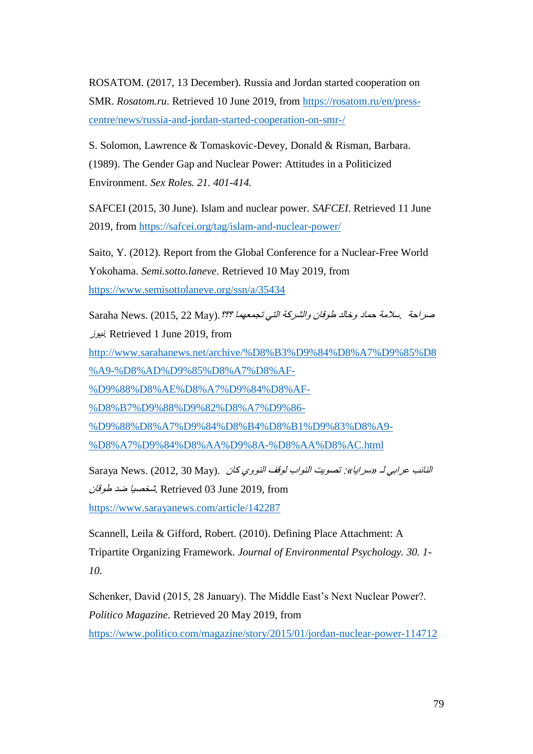ROSATOM. (2017, 13 December). Russia and Jordan started cooperation on SMR. *Rosatom.ru*. Retrieved 10 June 2019, from [https://rosatom.ru/en/press](https://rosatom.ru/en/press-centre/news/russia-and-jordan-started-cooperation-on-smr-/)[centre/news/russia-and-jordan-started-cooperation-on-smr-/](https://rosatom.ru/en/press-centre/news/russia-and-jordan-started-cooperation-on-smr-/)

S. Solomon, Lawrence & Tomaskovic-Devey, Donald & Risman, Barbara. (1989). The Gender Gap and Nuclear Power: Attitudes in a Politicized Environment. *Sex Roles. 21. 401-414.*

SAFCEI (2015, 30 June). Islam and nuclear power. *SAFCEI*. Retrieved 11 June 2019, from<https://safcei.org/tag/islam-and-nuclear-power/>

Saito, Y. (2012). Report from the Global Conference for a Nuclear-Free World Yokohama. *Semi.sotto.laneve*. Retrieved 10 May 2019, from <https://www.semisottolaneve.org/ssn/a/35434>

صراحة بسلامة حماد وخالد طوقان والشركة التي تجمعهما ؟؟؟. Saraha News. (2015, 22 May). نيوز. Retrieved 1 June 2019, from

[http://www.sarahanews.net/archive/%D8%B3%D9%84%D8%A7%D9%85%D8](http://www.sarahanews.net/archive/%D8%B3%D9%84%D8%A7%D9%85%D8%A9-%D8%AD%D9%85%D8%A7%D8%AF-%D9%88%D8%AE%D8%A7%D9%84%D8%AF-%D8%B7%D9%88%D9%82%D8%A7%D9%86-%D9%88%D8%A7%D9%84%D8%B4%D8%B1%D9%83%D8%A9-%D8%A7%D9%84%D8%AA%D9%8A-%D8%AA%D8%AC.html) [%A9-%D8%AD%D9%85%D8%A7%D8%AF-](http://www.sarahanews.net/archive/%D8%B3%D9%84%D8%A7%D9%85%D8%A9-%D8%AD%D9%85%D8%A7%D8%AF-%D9%88%D8%AE%D8%A7%D9%84%D8%AF-%D8%B7%D9%88%D9%82%D8%A7%D9%86-%D9%88%D8%A7%D9%84%D8%B4%D8%B1%D9%83%D8%A9-%D8%A7%D9%84%D8%AA%D9%8A-%D8%AA%D8%AC.html)

[%D9%88%D8%AE%D8%A7%D9%84%D8%AF-](http://www.sarahanews.net/archive/%D8%B3%D9%84%D8%A7%D9%85%D8%A9-%D8%AD%D9%85%D8%A7%D8%AF-%D9%88%D8%AE%D8%A7%D9%84%D8%AF-%D8%B7%D9%88%D9%82%D8%A7%D9%86-%D9%88%D8%A7%D9%84%D8%B4%D8%B1%D9%83%D8%A9-%D8%A7%D9%84%D8%AA%D9%8A-%D8%AA%D8%AC.html)

[%D8%B7%D9%88%D9%82%D8%A7%D9%86-](http://www.sarahanews.net/archive/%D8%B3%D9%84%D8%A7%D9%85%D8%A9-%D8%AD%D9%85%D8%A7%D8%AF-%D9%88%D8%AE%D8%A7%D9%84%D8%AF-%D8%B7%D9%88%D9%82%D8%A7%D9%86-%D9%88%D8%A7%D9%84%D8%B4%D8%B1%D9%83%D8%A9-%D8%A7%D9%84%D8%AA%D9%8A-%D8%AA%D8%AC.html)

[%D9%88%D8%A7%D9%84%D8%B4%D8%B1%D9%83%D8%A9-](http://www.sarahanews.net/archive/%D8%B3%D9%84%D8%A7%D9%85%D8%A9-%D8%AD%D9%85%D8%A7%D8%AF-%D9%88%D8%AE%D8%A7%D9%84%D8%AF-%D8%B7%D9%88%D9%82%D8%A7%D9%86-%D9%88%D8%A7%D9%84%D8%B4%D8%B1%D9%83%D8%A9-%D8%A7%D9%84%D8%AA%D9%8A-%D8%AA%D8%AC.html)

[%D8%A7%D9%84%D8%AA%D9%8A-%D8%AA%D8%AC.html](http://www.sarahanews.net/archive/%D8%B3%D9%84%D8%A7%D9%85%D8%A9-%D8%AD%D9%85%D8%A7%D8%AF-%D9%88%D8%AE%D8%A7%D9%84%D8%AF-%D8%B7%D9%88%D9%82%D8%A7%D9%86-%D9%88%D8%A7%D9%84%D8%B4%D8%B1%D9%83%D8%A9-%D8%A7%D9%84%D8%AA%D9%8A-%D8%AA%D8%AC.html)

النائب عرابي لـ «سرايا»: تصويت النواب لوقف النووي كان .(Saraya News. (2012, 30 May شخصيا ضد طوقا*ن* Retrieved 03 June 2019, from <https://www.sarayanews.com/article/142287>

Scannell, Leila & Gifford, Robert. (2010). Defining Place Attachment: A Tripartite Organizing Framework. *Journal of Environmental Psychology. 30. 1- 10.*

Schenker, David (2015, 28 January). The Middle East's Next Nuclear Power?. *Politico Magazine.* Retrieved 20 May 2019, from <https://www.politico.com/magazine/story/2015/01/jordan-nuclear-power-114712>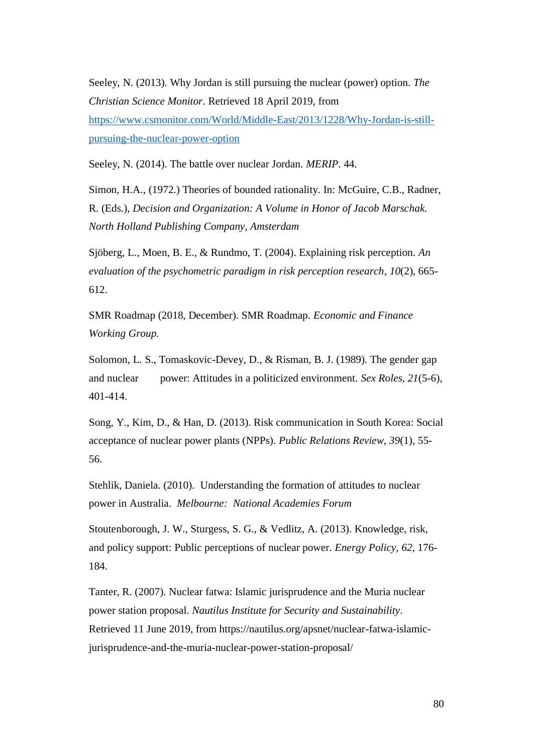Seeley, N. (2013). Why Jordan is still pursuing the nuclear (power) option. *The Christian Science Monitor*. Retrieved 18 April 2019, from [https://www.csmonitor.com/World/Middle-East/2013/1228/Why-Jordan-is-still](https://www.csmonitor.com/World/Middle-East/2013/1228/Why-Jordan-is-still-pursuing-the-nuclear-power-option)[pursuing-the-nuclear-power-option](https://www.csmonitor.com/World/Middle-East/2013/1228/Why-Jordan-is-still-pursuing-the-nuclear-power-option)

Seeley, N. (2014). The battle over nuclear Jordan. *MERIP*. 44.

Simon, H.A., (1972.) Theories of bounded rationality. In: McGuire, C.B., Radner, R. (Eds.), *Decision and Organization: A Volume in Honor of Jacob Marschak. North Holland Publishing Company, Amsterdam*

Sjöberg, L., Moen, B. E., & Rundmo, T. (2004). Explaining risk perception. *An evaluation of the psychometric paradigm in risk perception research*, *10*(2), 665- 612.

SMR Roadmap (2018, December). SMR Roadmap. *Economic and Finance Working Group.*

Solomon, L. S., Tomaskovic-Devey, D., & Risman, B. J. (1989). The gender gap and nuclear power: Attitudes in a politicized environment. *Sex Roles, 21*(5-6), 401-414.

Song, Y., Kim, D., & Han, D. (2013). Risk communication in South Korea: Social acceptance of nuclear power plants (NPPs). *Public Relations Review, 39*(1), 55- 56.

Stehlik, Daniela. (2010). Understanding the formation of attitudes to nuclear power in Australia. *Melbourne: National Academies Forum*

Stoutenborough, J. W., Sturgess, S. G., & Vedlitz, A. (2013). Knowledge, risk, and policy support: Public perceptions of nuclear power. *Energy Policy, 62*, 176- 184.

Tanter, R. (2007). Nuclear fatwa: Islamic jurisprudence and the Muria nuclear power station proposal. *Nautilus Institute for Security and Sustainability*. Retrieved 11 June 2019, from https://nautilus.org/apsnet/nuclear-fatwa-islamicjurisprudence-and-the-muria-nuclear-power-station-proposal/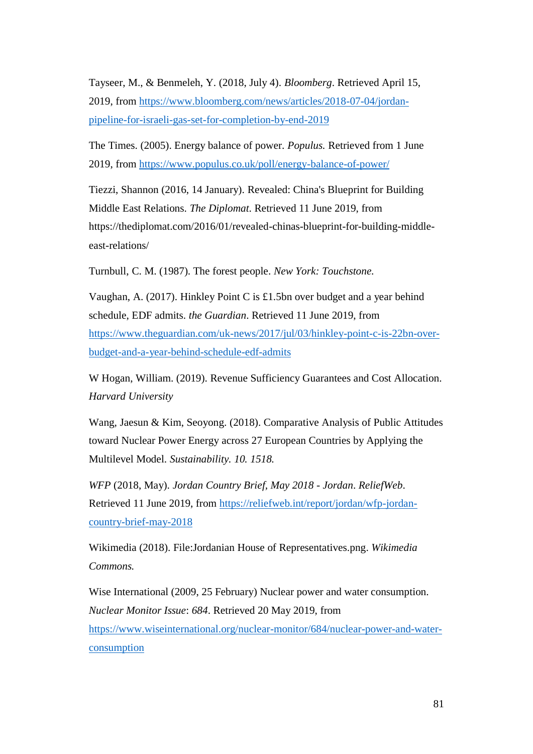Tayseer, M., & Benmeleh, Y. (2018, July 4). *Bloomberg*. Retrieved April 15, 2019, from [https://www.bloomberg.com/news/articles/2018-07-04/jordan](https://www.bloomberg.com/news/articles/2018-07-04/jordan-pipeline-for-israeli-gas-set-for-completion-by-end-2019)[pipeline-for-israeli-gas-set-for-completion-by-end-2019](https://www.bloomberg.com/news/articles/2018-07-04/jordan-pipeline-for-israeli-gas-set-for-completion-by-end-2019)

The Times. (2005). Energy balance of power. *Populus.* Retrieved from 1 June 2019, from<https://www.populus.co.uk/poll/energy-balance-of-power/>

Tiezzi, Shannon (2016, 14 January). Revealed: China's Blueprint for Building Middle East Relations. *The Diplomat*. Retrieved 11 June 2019, from https://thediplomat.com/2016/01/revealed-chinas-blueprint-for-building-middleeast-relations/

Turnbull, C. M. (1987). The forest people. *New York: Touchstone.*

Vaughan, A. (2017). Hinkley Point C is £1.5bn over budget and a year behind schedule, EDF admits. *the Guardian*. Retrieved 11 June 2019, from [https://www.theguardian.com/uk-news/2017/jul/03/hinkley-point-c-is-22bn-over](https://www.theguardian.com/uk-news/2017/jul/03/hinkley-point-c-is-22bn-over-budget-and-a-year-behind-schedule-edf-admits)[budget-and-a-year-behind-schedule-edf-admits](https://www.theguardian.com/uk-news/2017/jul/03/hinkley-point-c-is-22bn-over-budget-and-a-year-behind-schedule-edf-admits)

W Hogan, William. (2019). Revenue Sufficiency Guarantees and Cost Allocation. *Harvard University*

Wang, Jaesun & Kim, Seoyong. (2018). Comparative Analysis of Public Attitudes toward Nuclear Power Energy across 27 European Countries by Applying the Multilevel Model. *Sustainability. 10. 1518.*

*WFP* (2018, May). *Jordan Country Brief, May 2018 - Jordan*. *ReliefWeb*. Retrieved 11 June 2019, from [https://reliefweb.int/report/jordan/wfp-jordan](https://reliefweb.int/report/jordan/wfp-jordan-country-brief-may-2018)[country-brief-may-2018](https://reliefweb.int/report/jordan/wfp-jordan-country-brief-may-2018)

Wikimedia (2018). File:Jordanian House of Representatives.png. *Wikimedia Commons.*

Wise International (2009, 25 February) Nuclear power and water consumption. *Nuclear Monitor Issue*: *684*. Retrieved 20 May 2019, from [https://www.wiseinternational.org/nuclear-monitor/684/nuclear-power-and-water](https://www.wiseinternational.org/nuclear-monitor/684/nuclear-power-and-water-consumption)[consumption](https://www.wiseinternational.org/nuclear-monitor/684/nuclear-power-and-water-consumption)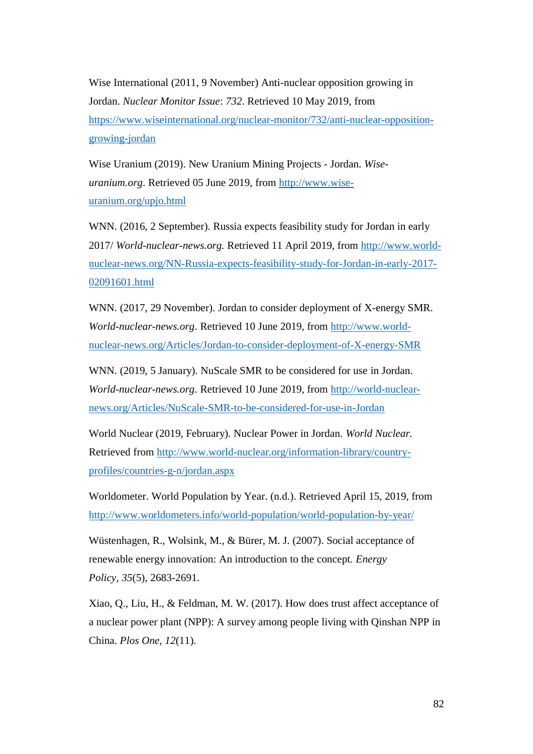Wise International (2011, 9 November) Anti-nuclear opposition growing in Jordan. *Nuclear Monitor Issue*: *732*. Retrieved 10 May 2019, from [https://www.wiseinternational.org/nuclear-monitor/732/anti-nuclear-opposition](https://www.wiseinternational.org/nuclear-monitor/732/anti-nuclear-opposition-growing-jordan)[growing-jordan](https://www.wiseinternational.org/nuclear-monitor/732/anti-nuclear-opposition-growing-jordan)

Wise Uranium (2019). New Uranium Mining Projects - Jordan. *Wiseuranium.org*. Retrieved 05 June 2019, from [http://www.wise](http://www.wise-uranium.org/upjo.html)[uranium.org/upjo.html](http://www.wise-uranium.org/upjo.html)

WNN. (2016, 2 September). Russia expects feasibility study for Jordan in early 2017/ *World-nuclear-news.org.* Retrieved 11 April 2019, from [http://www.world](http://www.world-nuclear-news.org/NN-Russia-expects-feasibility-study-for-Jordan-in-early-2017-02091601.html)[nuclear-news.org/NN-Russia-expects-feasibility-study-for-Jordan-in-early-2017-](http://www.world-nuclear-news.org/NN-Russia-expects-feasibility-study-for-Jordan-in-early-2017-02091601.html) [02091601.html](http://www.world-nuclear-news.org/NN-Russia-expects-feasibility-study-for-Jordan-in-early-2017-02091601.html)

WNN. (2017, 29 November). Jordan to consider deployment of X-energy SMR. *World-nuclear-news.org*. Retrieved 10 June 2019, from [http://www.world](http://www.world-nuclear-news.org/Articles/Jordan-to-consider-deployment-of-X-energy-SMR)[nuclear-news.org/Articles/Jordan-to-consider-deployment-of-X-energy-SMR](http://www.world-nuclear-news.org/Articles/Jordan-to-consider-deployment-of-X-energy-SMR)

WNN. (2019, 5 January). NuScale SMR to be considered for use in Jordan. *World-nuclear-news.org*. Retrieved 10 June 2019, from [http://world-nuclear](http://world-nuclear-news.org/Articles/NuScale-SMR-to-be-considered-for-use-in-Jordan)[news.org/Articles/NuScale-SMR-to-be-considered-for-use-in-Jordan](http://world-nuclear-news.org/Articles/NuScale-SMR-to-be-considered-for-use-in-Jordan)

World Nuclear (2019, February). Nuclear Power in Jordan. *World Nuclear.*  Retrieved from [http://www.world-nuclear.org/information-library/country](http://www.world-nuclear.org/information-library/country-profiles/countries-g-n/jordan.aspx)[profiles/countries-g-n/jordan.aspx](http://www.world-nuclear.org/information-library/country-profiles/countries-g-n/jordan.aspx)

Worldometer. World Population by Year. (n.d.). Retrieved April 15, 2019, from <http://www.worldometers.info/world-population/world-population-by-year/>

Wüstenhagen, R., Wolsink, M., & Bürer, M. J. (2007). Social acceptance of renewable energy innovation: An introduction to the concept. *Energy Policy, 35*(5), 2683-2691.

Xiao, Q., Liu, H., & Feldman, M. W. (2017). How does trust affect acceptance of a nuclear power plant (NPP): A survey among people living with Qinshan NPP in China. *Plos One, 12*(11).